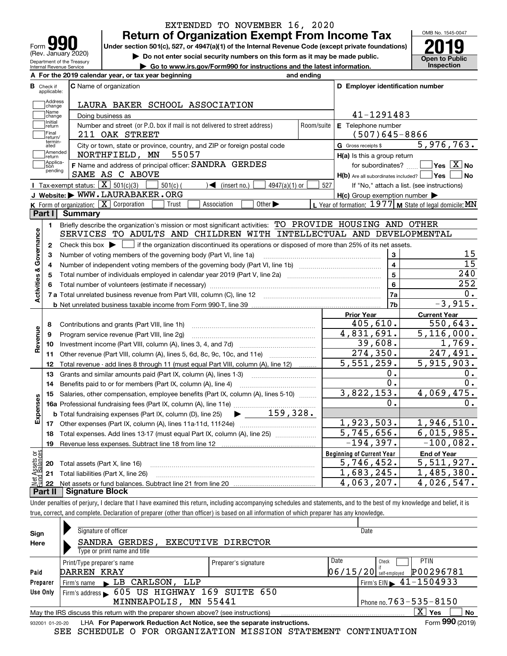| $\mathbf{U}$<br>Form<br>(Rev. January 2020)            |
|--------------------------------------------------------|
| Department of the Treasury<br>Internal Revenue Service |

### **Return of Organization Exempt From Income Tax** EXTENDED TO NOVEMBER 16, 2020

Under section 501(c), 527, or 4947(a)(1) of the Internal Revenue Code (except private foundations) **2019** 

**| Do not enter social security numbers on this form as it may be made public.**

**| Go to www.irs.gov/Form990 for instructions and the latest information. Inspection**

OMB No. 1545-0047 **Open to Public** 

|                         |                         | A For the 2019 calendar year, or tax year beginning                                                                                                 | and ending |                                                     |                                                           |
|-------------------------|-------------------------|-----------------------------------------------------------------------------------------------------------------------------------------------------|------------|-----------------------------------------------------|-----------------------------------------------------------|
| В                       | Check if<br>applicable: | <b>C</b> Name of organization                                                                                                                       |            | D Employer identification number                    |                                                           |
|                         | Address<br>change       | LAURA BAKER SCHOOL ASSOCIATION                                                                                                                      |            |                                                     |                                                           |
|                         | Name<br>change          | Doing business as                                                                                                                                   |            | 41-1291483                                          |                                                           |
|                         | Initial<br>return       | Number and street (or P.O. box if mail is not delivered to street address)                                                                          | Room/suite | E Telephone number                                  |                                                           |
|                         | Final<br>return/        | 211 OAK STREET                                                                                                                                      |            | $(507)645 - 8866$                                   |                                                           |
|                         | termin-<br>ated         | City or town, state or province, country, and ZIP or foreign postal code                                                                            |            | G Gross receipts \$                                 | 5,976,763.                                                |
|                         | Amended<br>return       | 55057<br>NORTHFIELD, MN                                                                                                                             |            | H(a) Is this a group return                         |                                                           |
|                         | Applica-<br>tion        | F Name and address of principal officer: SANDRA GERDES                                                                                              |            | for subordinates?                                   | $\boxed{\phantom{1}}$ Yes $\boxed{\mathrm{X}}$ No         |
|                         | pending                 | SAME AS C ABOVE                                                                                                                                     |            | H(b) Are all subordinates included?   Yes           | ∣No                                                       |
|                         |                         | <b>I</b> Tax-exempt status: $\boxed{\mathbf{X}}$ 501(c)(3)<br>$501(c)$ (<br>$\sqrt{\frac{1}{1}}$ (insert no.)<br>$4947(a)(1)$ or                    | 527        |                                                     | If "No," attach a list. (see instructions)                |
|                         |                         | J Website: WWW.LAURABAKER.ORG                                                                                                                       |            | $H(c)$ Group exemption number $\blacktriangleright$ |                                                           |
|                         |                         | K Form of organization: X Corporation<br>Association<br>Other $\blacktriangleright$<br>Trust                                                        |            |                                                     | L Year of formation: 1977   M State of legal domicile: MN |
|                         | Part I                  | <b>Summary</b>                                                                                                                                      |            |                                                     |                                                           |
|                         | 1.                      | Briefly describe the organization's mission or most significant activities: TO PROVIDE HOUSING AND OTHER                                            |            |                                                     |                                                           |
|                         |                         | SERVICES TO ADULTS AND CHILDREN WITH INTELLECTUAL AND DEVELOPMENTAL                                                                                 |            |                                                     |                                                           |
| Activities & Governance | $\mathbf{2}$            | Check this box $\blacktriangleright$ $\blacksquare$ if the organization discontinued its operations or disposed of more than 25% of its net assets. |            |                                                     |                                                           |
|                         | 3                       | Number of voting members of the governing body (Part VI, line 1a)                                                                                   |            | 3                                                   | 15                                                        |
|                         | 4                       |                                                                                                                                                     |            | $\overline{\mathbf{4}}$                             | $\overline{15}$                                           |
|                         | 5                       | 5                                                                                                                                                   | 240        |                                                     |                                                           |
|                         | 6                       |                                                                                                                                                     | 6          | 252                                                 |                                                           |
|                         |                         |                                                                                                                                                     |            | 7a                                                  | 0.                                                        |
|                         |                         |                                                                                                                                                     |            | 7b                                                  | $-3,915.$                                                 |
|                         |                         |                                                                                                                                                     |            | <b>Prior Year</b>                                   | <b>Current Year</b>                                       |
|                         | 8                       | Contributions and grants (Part VIII, line 1h)                                                                                                       |            | 405,610.                                            | 550,643.                                                  |
| Revenue                 | 9                       | Program service revenue (Part VIII, line 2g)                                                                                                        |            | $\overline{4,831,691}$ .                            | 5,116,000.                                                |
|                         | 10                      |                                                                                                                                                     |            | 39,608.                                             | 1,769.                                                    |
|                         | 11                      | Other revenue (Part VIII, column (A), lines 5, 6d, 8c, 9c, 10c, and 11e)                                                                            |            | 274, 350.                                           | 247,491.                                                  |
|                         | 12                      | Total revenue - add lines 8 through 11 (must equal Part VIII, column (A), line 12)                                                                  |            | 5,551,259.                                          | 5,915,903.                                                |
|                         | 13                      | Grants and similar amounts paid (Part IX, column (A), lines 1-3)                                                                                    |            | 0.                                                  | 0.                                                        |
|                         | 14                      | Benefits paid to or for members (Part IX, column (A), line 4)                                                                                       |            | $0$ .                                               | 0.                                                        |
|                         | 15                      | Salaries, other compensation, employee benefits (Part IX, column (A), lines 5-10)                                                                   |            | 3,822,153.                                          | 4,069,475.                                                |
|                         |                         |                                                                                                                                                     |            | ο.                                                  | 0.                                                        |
| Expenses                |                         | $\blacktriangleright$ $\frac{159}{328}$ .<br><b>b</b> Total fundraising expenses (Part IX, column (D), line 25)                                     |            |                                                     |                                                           |
|                         |                         |                                                                                                                                                     |            | 1,923,503.                                          | 1,946,510.                                                |
|                         | 18                      | Total expenses. Add lines 13-17 (must equal Part IX, column (A), line 25) [                                                                         |            | $\overline{5,745,656}$ .                            | 6,015,985.                                                |
|                         | 19                      |                                                                                                                                                     |            | $-194,397.$                                         | $-100,082.$                                               |
| ងថ្                     |                         |                                                                                                                                                     |            | <b>Beginning of Current Year</b>                    | <b>End of Year</b>                                        |
| <b>Ssets</b><br>Ralam   |                         | <b>20</b> Total assets (Part X, line 16)                                                                                                            |            | $\overline{5}$ , 746, 452.                          | 5,511,927.                                                |
|                         |                         | 21 Total liabilities (Part X, line 26)                                                                                                              |            | 1,683,245.                                          | 1,485,380.                                                |
|                         | 22                      |                                                                                                                                                     |            | 4,063,207.                                          | 4,026,547.                                                |
|                         |                         | Part II   Signature Block                                                                                                                           |            |                                                     |                                                           |

Under penalties of perjury, I declare that I have examined this return, including accompanying schedules and statements, and to the best of my knowledge and belief, it is true, correct, and complete. Declaration of preparer (other than officer) is based on all information of which preparer has any knowledge.

| Sign     | Signature of officer                                                                                                      |                      | Date                                       |  |  |  |  |  |  |  |
|----------|---------------------------------------------------------------------------------------------------------------------------|----------------------|--------------------------------------------|--|--|--|--|--|--|--|
| Here     | SANDRA GERDES, EXECUTIVE DIRECTOR                                                                                         |                      |                                            |  |  |  |  |  |  |  |
|          | Type or print name and title                                                                                              |                      |                                            |  |  |  |  |  |  |  |
|          | Print/Type preparer's name                                                                                                | Preparer's signature | PTIN<br>Date<br>Check                      |  |  |  |  |  |  |  |
| Paid     | DARREN KRAY                                                                                                               |                      | P00296781<br>$ 06/15/20 $ self-employed    |  |  |  |  |  |  |  |
| Preparer | Firm's name LB CARLSON, LLP                                                                                               |                      | $1$ Firm's EIN $\triangleright$ 41-1504933 |  |  |  |  |  |  |  |
| Use Only | Firm's address > 605 US HIGHWAY 169 SUITE 650                                                                             |                      |                                            |  |  |  |  |  |  |  |
|          | Phone no. 763 - 535 - 8150                                                                                                |                      |                                            |  |  |  |  |  |  |  |
|          | $\mathbf{x}$  <br><b>No</b><br>∣ Yes<br>May the IRS discuss this return with the preparer shown above? (see instructions) |                      |                                            |  |  |  |  |  |  |  |
|          | Form 990 (2019)<br>LHA For Paperwork Reduction Act Notice, see the separate instructions.<br>932001 01-20-20              |                      |                                            |  |  |  |  |  |  |  |

SEE SCHEDULE O FOR ORGANIZATION MISSION STATEMENT CONTINUATION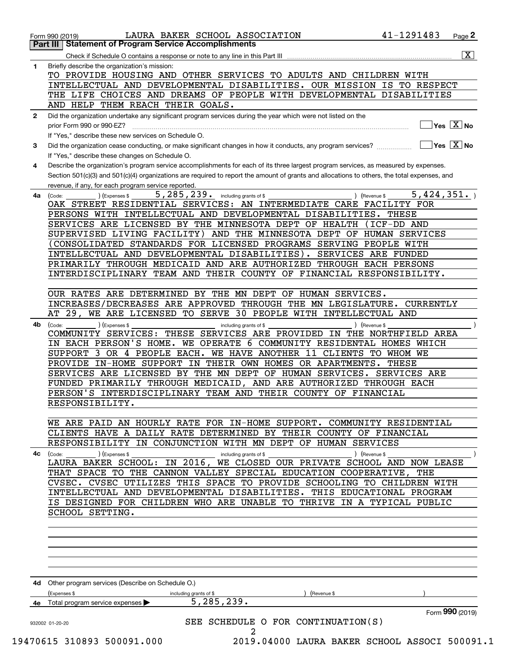| <b>Part III Statement of Program Service Accomplishments</b><br>$\overline{\mathtt{x}}$<br>Check if Schedule O contains a response or note to any line in this Part III<br>Briefly describe the organization's mission:<br>TO PROVIDE HOUSING AND OTHER SERVICES TO ADULTS AND CHILDREN WITH<br>INTELLECTUAL AND DEVELOPMENTAL DISABILITIES. OUR MISSION IS TO RESPECT<br>THE LIFE CHOICES AND DREAMS OF PEOPLE WITH DEVELOPMENTAL DISABILITIES<br>AND HELP THEM REACH THEIR GOALS.<br>Did the organization undertake any significant program services during the year which were not listed on the<br>$\overline{\mathsf{Yes}\mathrel{\hspace{0.05cm}\mathbf{X}}$ No<br>prior Form 990 or 990-EZ?<br>If "Yes," describe these new services on Schedule O.<br>$\overline{\ }$ Yes $\overline{\phantom{a}X}$ No<br>Did the organization cease conducting, or make significant changes in how it conducts, any program services?<br>If "Yes," describe these changes on Schedule O.<br>Describe the organization's program service accomplishments for each of its three largest program services, as measured by expenses.<br>Section 501(c)(3) and 501(c)(4) organizations are required to report the amount of grants and allocations to others, the total expenses, and<br>revenue, if any, for each program service reported.<br>5, 285, 239. including grants of \$<br>5,424,351.<br>(Expenses \$<br>) (Revenue \$<br>(Code:<br>OAK STREET RESIDENTIAL SERVICES: AN INTERMEDIATE CARE FACILITY FOR<br>PERSONS WITH INTELLECTUAL AND DEVELOPMENTAL DISABILITIES.<br>THESE<br>SERVICES ARE LICENSED BY THE MINNESOTA DEPT OF HEALTH<br>(ICF-DD AND<br>SUPERVISED LIVING FACILITY) AND THE MINNESOTA DEPT OF HUMAN SERVICES<br>CONSOLIDATED STANDARDS FOR LICENSED PROGRAMS SERVING PEOPLE WITH<br>INTELLECTUAL AND DEVELOPMENTAL DISABILITIES). SERVICES ARE FUNDED |
|-----------------------------------------------------------------------------------------------------------------------------------------------------------------------------------------------------------------------------------------------------------------------------------------------------------------------------------------------------------------------------------------------------------------------------------------------------------------------------------------------------------------------------------------------------------------------------------------------------------------------------------------------------------------------------------------------------------------------------------------------------------------------------------------------------------------------------------------------------------------------------------------------------------------------------------------------------------------------------------------------------------------------------------------------------------------------------------------------------------------------------------------------------------------------------------------------------------------------------------------------------------------------------------------------------------------------------------------------------------------------------------------------------------------------------------------------------------------------------------------------------------------------------------------------------------------------------------------------------------------------------------------------------------------------------------------------------------------------------------------------------------------------------------------------------------------------------------------------------------------------|
|                                                                                                                                                                                                                                                                                                                                                                                                                                                                                                                                                                                                                                                                                                                                                                                                                                                                                                                                                                                                                                                                                                                                                                                                                                                                                                                                                                                                                                                                                                                                                                                                                                                                                                                                                                                                                                                                       |
|                                                                                                                                                                                                                                                                                                                                                                                                                                                                                                                                                                                                                                                                                                                                                                                                                                                                                                                                                                                                                                                                                                                                                                                                                                                                                                                                                                                                                                                                                                                                                                                                                                                                                                                                                                                                                                                                       |
|                                                                                                                                                                                                                                                                                                                                                                                                                                                                                                                                                                                                                                                                                                                                                                                                                                                                                                                                                                                                                                                                                                                                                                                                                                                                                                                                                                                                                                                                                                                                                                                                                                                                                                                                                                                                                                                                       |
|                                                                                                                                                                                                                                                                                                                                                                                                                                                                                                                                                                                                                                                                                                                                                                                                                                                                                                                                                                                                                                                                                                                                                                                                                                                                                                                                                                                                                                                                                                                                                                                                                                                                                                                                                                                                                                                                       |
|                                                                                                                                                                                                                                                                                                                                                                                                                                                                                                                                                                                                                                                                                                                                                                                                                                                                                                                                                                                                                                                                                                                                                                                                                                                                                                                                                                                                                                                                                                                                                                                                                                                                                                                                                                                                                                                                       |
|                                                                                                                                                                                                                                                                                                                                                                                                                                                                                                                                                                                                                                                                                                                                                                                                                                                                                                                                                                                                                                                                                                                                                                                                                                                                                                                                                                                                                                                                                                                                                                                                                                                                                                                                                                                                                                                                       |
|                                                                                                                                                                                                                                                                                                                                                                                                                                                                                                                                                                                                                                                                                                                                                                                                                                                                                                                                                                                                                                                                                                                                                                                                                                                                                                                                                                                                                                                                                                                                                                                                                                                                                                                                                                                                                                                                       |
|                                                                                                                                                                                                                                                                                                                                                                                                                                                                                                                                                                                                                                                                                                                                                                                                                                                                                                                                                                                                                                                                                                                                                                                                                                                                                                                                                                                                                                                                                                                                                                                                                                                                                                                                                                                                                                                                       |
|                                                                                                                                                                                                                                                                                                                                                                                                                                                                                                                                                                                                                                                                                                                                                                                                                                                                                                                                                                                                                                                                                                                                                                                                                                                                                                                                                                                                                                                                                                                                                                                                                                                                                                                                                                                                                                                                       |
|                                                                                                                                                                                                                                                                                                                                                                                                                                                                                                                                                                                                                                                                                                                                                                                                                                                                                                                                                                                                                                                                                                                                                                                                                                                                                                                                                                                                                                                                                                                                                                                                                                                                                                                                                                                                                                                                       |
|                                                                                                                                                                                                                                                                                                                                                                                                                                                                                                                                                                                                                                                                                                                                                                                                                                                                                                                                                                                                                                                                                                                                                                                                                                                                                                                                                                                                                                                                                                                                                                                                                                                                                                                                                                                                                                                                       |
|                                                                                                                                                                                                                                                                                                                                                                                                                                                                                                                                                                                                                                                                                                                                                                                                                                                                                                                                                                                                                                                                                                                                                                                                                                                                                                                                                                                                                                                                                                                                                                                                                                                                                                                                                                                                                                                                       |
|                                                                                                                                                                                                                                                                                                                                                                                                                                                                                                                                                                                                                                                                                                                                                                                                                                                                                                                                                                                                                                                                                                                                                                                                                                                                                                                                                                                                                                                                                                                                                                                                                                                                                                                                                                                                                                                                       |
|                                                                                                                                                                                                                                                                                                                                                                                                                                                                                                                                                                                                                                                                                                                                                                                                                                                                                                                                                                                                                                                                                                                                                                                                                                                                                                                                                                                                                                                                                                                                                                                                                                                                                                                                                                                                                                                                       |
|                                                                                                                                                                                                                                                                                                                                                                                                                                                                                                                                                                                                                                                                                                                                                                                                                                                                                                                                                                                                                                                                                                                                                                                                                                                                                                                                                                                                                                                                                                                                                                                                                                                                                                                                                                                                                                                                       |
|                                                                                                                                                                                                                                                                                                                                                                                                                                                                                                                                                                                                                                                                                                                                                                                                                                                                                                                                                                                                                                                                                                                                                                                                                                                                                                                                                                                                                                                                                                                                                                                                                                                                                                                                                                                                                                                                       |
|                                                                                                                                                                                                                                                                                                                                                                                                                                                                                                                                                                                                                                                                                                                                                                                                                                                                                                                                                                                                                                                                                                                                                                                                                                                                                                                                                                                                                                                                                                                                                                                                                                                                                                                                                                                                                                                                       |
|                                                                                                                                                                                                                                                                                                                                                                                                                                                                                                                                                                                                                                                                                                                                                                                                                                                                                                                                                                                                                                                                                                                                                                                                                                                                                                                                                                                                                                                                                                                                                                                                                                                                                                                                                                                                                                                                       |
|                                                                                                                                                                                                                                                                                                                                                                                                                                                                                                                                                                                                                                                                                                                                                                                                                                                                                                                                                                                                                                                                                                                                                                                                                                                                                                                                                                                                                                                                                                                                                                                                                                                                                                                                                                                                                                                                       |
|                                                                                                                                                                                                                                                                                                                                                                                                                                                                                                                                                                                                                                                                                                                                                                                                                                                                                                                                                                                                                                                                                                                                                                                                                                                                                                                                                                                                                                                                                                                                                                                                                                                                                                                                                                                                                                                                       |
|                                                                                                                                                                                                                                                                                                                                                                                                                                                                                                                                                                                                                                                                                                                                                                                                                                                                                                                                                                                                                                                                                                                                                                                                                                                                                                                                                                                                                                                                                                                                                                                                                                                                                                                                                                                                                                                                       |
| PRIMARILY THROUGH MEDICAID AND ARE AUTHORIZED THROUGH EACH PERSONS                                                                                                                                                                                                                                                                                                                                                                                                                                                                                                                                                                                                                                                                                                                                                                                                                                                                                                                                                                                                                                                                                                                                                                                                                                                                                                                                                                                                                                                                                                                                                                                                                                                                                                                                                                                                    |
| INTERDISCIPLINARY TEAM AND THEIR COUNTY OF FINANCIAL RESPONSIBILITY.                                                                                                                                                                                                                                                                                                                                                                                                                                                                                                                                                                                                                                                                                                                                                                                                                                                                                                                                                                                                                                                                                                                                                                                                                                                                                                                                                                                                                                                                                                                                                                                                                                                                                                                                                                                                  |
|                                                                                                                                                                                                                                                                                                                                                                                                                                                                                                                                                                                                                                                                                                                                                                                                                                                                                                                                                                                                                                                                                                                                                                                                                                                                                                                                                                                                                                                                                                                                                                                                                                                                                                                                                                                                                                                                       |
| OUR RATES ARE DETERMINED BY THE MN DEPT OF HUMAN SERVICES.                                                                                                                                                                                                                                                                                                                                                                                                                                                                                                                                                                                                                                                                                                                                                                                                                                                                                                                                                                                                                                                                                                                                                                                                                                                                                                                                                                                                                                                                                                                                                                                                                                                                                                                                                                                                            |
| INCREASES/DECREASES ARE APPROVED THROUGH THE MN LEGISLATURE. CURRENTLY                                                                                                                                                                                                                                                                                                                                                                                                                                                                                                                                                                                                                                                                                                                                                                                                                                                                                                                                                                                                                                                                                                                                                                                                                                                                                                                                                                                                                                                                                                                                                                                                                                                                                                                                                                                                |
| AT 29, WE ARE LICENSED TO SERVE 30 PEOPLE WITH INTELLECTUAL AND                                                                                                                                                                                                                                                                                                                                                                                                                                                                                                                                                                                                                                                                                                                                                                                                                                                                                                                                                                                                                                                                                                                                                                                                                                                                                                                                                                                                                                                                                                                                                                                                                                                                                                                                                                                                       |
| ) (Expenses \$<br>) (Revenue \$<br>(Code:<br>including grants of \$                                                                                                                                                                                                                                                                                                                                                                                                                                                                                                                                                                                                                                                                                                                                                                                                                                                                                                                                                                                                                                                                                                                                                                                                                                                                                                                                                                                                                                                                                                                                                                                                                                                                                                                                                                                                   |
| COMMUNITY SERVICES: THESE SERVICES ARE PROVIDED IN THE NORTHFIELD AREA                                                                                                                                                                                                                                                                                                                                                                                                                                                                                                                                                                                                                                                                                                                                                                                                                                                                                                                                                                                                                                                                                                                                                                                                                                                                                                                                                                                                                                                                                                                                                                                                                                                                                                                                                                                                |
| IN EACH PERSON'S HOME. WE OPERATE 6 COMMUNITY RESIDENTAL HOMES WHICH                                                                                                                                                                                                                                                                                                                                                                                                                                                                                                                                                                                                                                                                                                                                                                                                                                                                                                                                                                                                                                                                                                                                                                                                                                                                                                                                                                                                                                                                                                                                                                                                                                                                                                                                                                                                  |
| SUPPORT 3 OR 4 PEOPLE EACH. WE HAVE ANOTHER 11 CLIENTS TO WHOM WE                                                                                                                                                                                                                                                                                                                                                                                                                                                                                                                                                                                                                                                                                                                                                                                                                                                                                                                                                                                                                                                                                                                                                                                                                                                                                                                                                                                                                                                                                                                                                                                                                                                                                                                                                                                                     |
| PROVIDE IN-HOME SUPPORT IN THEIR OWN HOMES OR APARTMENTS.<br>THESE                                                                                                                                                                                                                                                                                                                                                                                                                                                                                                                                                                                                                                                                                                                                                                                                                                                                                                                                                                                                                                                                                                                                                                                                                                                                                                                                                                                                                                                                                                                                                                                                                                                                                                                                                                                                    |
| SERVICES ARE LICENSED BY THE MN DEPT OF HUMAN SERVICES. SERVICES ARE                                                                                                                                                                                                                                                                                                                                                                                                                                                                                                                                                                                                                                                                                                                                                                                                                                                                                                                                                                                                                                                                                                                                                                                                                                                                                                                                                                                                                                                                                                                                                                                                                                                                                                                                                                                                  |
| FUNDED PRIMARILY THROUGH MEDICAID, AND ARE AUTHORIZED THROUGH EACH                                                                                                                                                                                                                                                                                                                                                                                                                                                                                                                                                                                                                                                                                                                                                                                                                                                                                                                                                                                                                                                                                                                                                                                                                                                                                                                                                                                                                                                                                                                                                                                                                                                                                                                                                                                                    |
| PERSON'S INTERDISCIPLINARY TEAM AND THEIR COUNTY OF FINANCIAL                                                                                                                                                                                                                                                                                                                                                                                                                                                                                                                                                                                                                                                                                                                                                                                                                                                                                                                                                                                                                                                                                                                                                                                                                                                                                                                                                                                                                                                                                                                                                                                                                                                                                                                                                                                                         |
| RESPONSIBILITY.                                                                                                                                                                                                                                                                                                                                                                                                                                                                                                                                                                                                                                                                                                                                                                                                                                                                                                                                                                                                                                                                                                                                                                                                                                                                                                                                                                                                                                                                                                                                                                                                                                                                                                                                                                                                                                                       |
|                                                                                                                                                                                                                                                                                                                                                                                                                                                                                                                                                                                                                                                                                                                                                                                                                                                                                                                                                                                                                                                                                                                                                                                                                                                                                                                                                                                                                                                                                                                                                                                                                                                                                                                                                                                                                                                                       |
| WE ARE PAID AN HOURLY RATE FOR IN-HOME SUPPORT. COMMUNITY RESIDENTIAL                                                                                                                                                                                                                                                                                                                                                                                                                                                                                                                                                                                                                                                                                                                                                                                                                                                                                                                                                                                                                                                                                                                                                                                                                                                                                                                                                                                                                                                                                                                                                                                                                                                                                                                                                                                                 |
| CLIENTS HAVE A DAILY RATE DETERMINED BY THEIR COUNTY OF FINANCIAL                                                                                                                                                                                                                                                                                                                                                                                                                                                                                                                                                                                                                                                                                                                                                                                                                                                                                                                                                                                                                                                                                                                                                                                                                                                                                                                                                                                                                                                                                                                                                                                                                                                                                                                                                                                                     |
| RESPONSIBILITY IN CONJUNCTION WITH MN DEPT OF HUMAN SERVICES                                                                                                                                                                                                                                                                                                                                                                                                                                                                                                                                                                                                                                                                                                                                                                                                                                                                                                                                                                                                                                                                                                                                                                                                                                                                                                                                                                                                                                                                                                                                                                                                                                                                                                                                                                                                          |
| ) (Expenses \$<br>) (Revenue \$<br>(Code:<br>including grants of \$                                                                                                                                                                                                                                                                                                                                                                                                                                                                                                                                                                                                                                                                                                                                                                                                                                                                                                                                                                                                                                                                                                                                                                                                                                                                                                                                                                                                                                                                                                                                                                                                                                                                                                                                                                                                   |
| LAURA BAKER SCHOOL: IN 2016, WE CLOSED OUR PRIVATE SCHOOL AND NOW LEASE                                                                                                                                                                                                                                                                                                                                                                                                                                                                                                                                                                                                                                                                                                                                                                                                                                                                                                                                                                                                                                                                                                                                                                                                                                                                                                                                                                                                                                                                                                                                                                                                                                                                                                                                                                                               |
| THAT SPACE TO THE CANNON VALLEY SPECIAL EDUCATION COOPERATIVE,<br>THE                                                                                                                                                                                                                                                                                                                                                                                                                                                                                                                                                                                                                                                                                                                                                                                                                                                                                                                                                                                                                                                                                                                                                                                                                                                                                                                                                                                                                                                                                                                                                                                                                                                                                                                                                                                                 |
| CVSEC. CVSEC UTILIZES THIS SPACE TO PROVIDE SCHOOLING TO CHILDREN WITH                                                                                                                                                                                                                                                                                                                                                                                                                                                                                                                                                                                                                                                                                                                                                                                                                                                                                                                                                                                                                                                                                                                                                                                                                                                                                                                                                                                                                                                                                                                                                                                                                                                                                                                                                                                                |
| INTELLECTUAL AND DEVELOPMENTAL DISABILITIES. THIS EDUCATIONAL PROGRAM                                                                                                                                                                                                                                                                                                                                                                                                                                                                                                                                                                                                                                                                                                                                                                                                                                                                                                                                                                                                                                                                                                                                                                                                                                                                                                                                                                                                                                                                                                                                                                                                                                                                                                                                                                                                 |
| IS DESIGNED FOR CHILDREN WHO ARE UNABLE TO THRIVE IN A TYPICAL PUBLIC                                                                                                                                                                                                                                                                                                                                                                                                                                                                                                                                                                                                                                                                                                                                                                                                                                                                                                                                                                                                                                                                                                                                                                                                                                                                                                                                                                                                                                                                                                                                                                                                                                                                                                                                                                                                 |
| SCHOOL SETTING.                                                                                                                                                                                                                                                                                                                                                                                                                                                                                                                                                                                                                                                                                                                                                                                                                                                                                                                                                                                                                                                                                                                                                                                                                                                                                                                                                                                                                                                                                                                                                                                                                                                                                                                                                                                                                                                       |
|                                                                                                                                                                                                                                                                                                                                                                                                                                                                                                                                                                                                                                                                                                                                                                                                                                                                                                                                                                                                                                                                                                                                                                                                                                                                                                                                                                                                                                                                                                                                                                                                                                                                                                                                                                                                                                                                       |
|                                                                                                                                                                                                                                                                                                                                                                                                                                                                                                                                                                                                                                                                                                                                                                                                                                                                                                                                                                                                                                                                                                                                                                                                                                                                                                                                                                                                                                                                                                                                                                                                                                                                                                                                                                                                                                                                       |
|                                                                                                                                                                                                                                                                                                                                                                                                                                                                                                                                                                                                                                                                                                                                                                                                                                                                                                                                                                                                                                                                                                                                                                                                                                                                                                                                                                                                                                                                                                                                                                                                                                                                                                                                                                                                                                                                       |
|                                                                                                                                                                                                                                                                                                                                                                                                                                                                                                                                                                                                                                                                                                                                                                                                                                                                                                                                                                                                                                                                                                                                                                                                                                                                                                                                                                                                                                                                                                                                                                                                                                                                                                                                                                                                                                                                       |
|                                                                                                                                                                                                                                                                                                                                                                                                                                                                                                                                                                                                                                                                                                                                                                                                                                                                                                                                                                                                                                                                                                                                                                                                                                                                                                                                                                                                                                                                                                                                                                                                                                                                                                                                                                                                                                                                       |
|                                                                                                                                                                                                                                                                                                                                                                                                                                                                                                                                                                                                                                                                                                                                                                                                                                                                                                                                                                                                                                                                                                                                                                                                                                                                                                                                                                                                                                                                                                                                                                                                                                                                                                                                                                                                                                                                       |
| Other program services (Describe on Schedule O.)                                                                                                                                                                                                                                                                                                                                                                                                                                                                                                                                                                                                                                                                                                                                                                                                                                                                                                                                                                                                                                                                                                                                                                                                                                                                                                                                                                                                                                                                                                                                                                                                                                                                                                                                                                                                                      |
| Expenses \$<br>including grants of \$<br>(Revenue \$                                                                                                                                                                                                                                                                                                                                                                                                                                                                                                                                                                                                                                                                                                                                                                                                                                                                                                                                                                                                                                                                                                                                                                                                                                                                                                                                                                                                                                                                                                                                                                                                                                                                                                                                                                                                                  |
| 5, 285, 239.<br>Total program service expenses<br>Form 990 (2019)                                                                                                                                                                                                                                                                                                                                                                                                                                                                                                                                                                                                                                                                                                                                                                                                                                                                                                                                                                                                                                                                                                                                                                                                                                                                                                                                                                                                                                                                                                                                                                                                                                                                                                                                                                                                     |
|                                                                                                                                                                                                                                                                                                                                                                                                                                                                                                                                                                                                                                                                                                                                                                                                                                                                                                                                                                                                                                                                                                                                                                                                                                                                                                                                                                                                                                                                                                                                                                                                                                                                                                                                                                                                                                                                       |
| SEE SCHEDULE O FOR CONTINUATION(S)<br>932002 01-20-20                                                                                                                                                                                                                                                                                                                                                                                                                                                                                                                                                                                                                                                                                                                                                                                                                                                                                                                                                                                                                                                                                                                                                                                                                                                                                                                                                                                                                                                                                                                                                                                                                                                                                                                                                                                                                 |
|                                                                                                                                                                                                                                                                                                                                                                                                                                                                                                                                                                                                                                                                                                                                                                                                                                                                                                                                                                                                                                                                                                                                                                                                                                                                                                                                                                                                                                                                                                                                                                                                                                                                                                                                                                                                                                                                       |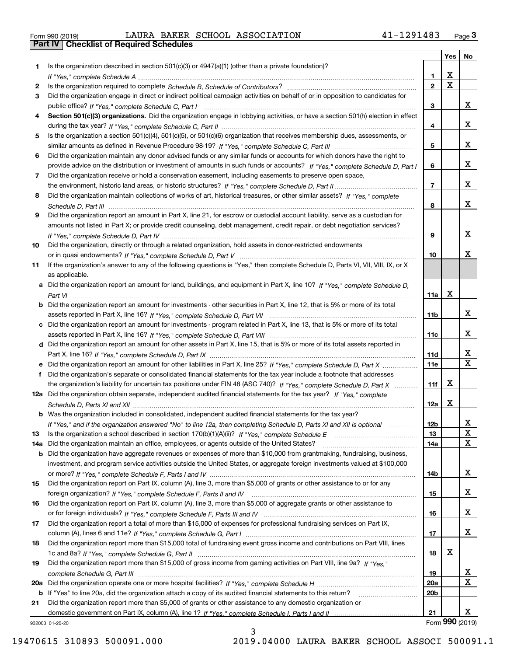| orm 990 (2019) |  |  |  |
|----------------|--|--|--|
|                |  |  |  |

Form 990 (2019) LAURA BAKER SCHOOL ASSOCIATION 41-1291483 <sub>Page</sub> 3<br>**Part IV | Checklist of Required Schedules** 

|    |                                                                                                                                       |                 | Yes         | No              |
|----|---------------------------------------------------------------------------------------------------------------------------------------|-----------------|-------------|-----------------|
| 1  | Is the organization described in section $501(c)(3)$ or $4947(a)(1)$ (other than a private foundation)?                               |                 |             |                 |
|    |                                                                                                                                       | 1               | X           |                 |
| 2  |                                                                                                                                       | $\overline{2}$  | $\mathbf X$ |                 |
| 3  | Did the organization engage in direct or indirect political campaign activities on behalf of or in opposition to candidates for       |                 |             |                 |
|    |                                                                                                                                       | 3               |             | x               |
| 4  | Section 501(c)(3) organizations. Did the organization engage in lobbying activities, or have a section 501(h) election in effect      |                 |             |                 |
|    |                                                                                                                                       | 4               |             | x               |
| 5  | Is the organization a section 501(c)(4), 501(c)(5), or 501(c)(6) organization that receives membership dues, assessments, or          |                 |             |                 |
|    |                                                                                                                                       | 5               |             | x               |
| 6  | Did the organization maintain any donor advised funds or any similar funds or accounts for which donors have the right to             |                 |             |                 |
|    | provide advice on the distribution or investment of amounts in such funds or accounts? If "Yes," complete Schedule D, Part I          | 6               |             | x               |
| 7  | Did the organization receive or hold a conservation easement, including easements to preserve open space,                             |                 |             |                 |
|    |                                                                                                                                       | $\overline{7}$  |             | x               |
| 8  | Did the organization maintain collections of works of art, historical treasures, or other similar assets? If "Yes," complete          |                 |             |                 |
|    |                                                                                                                                       | 8               |             | x               |
| 9  | Did the organization report an amount in Part X, line 21, for escrow or custodial account liability, serve as a custodian for         |                 |             |                 |
|    | amounts not listed in Part X; or provide credit counseling, debt management, credit repair, or debt negotiation services?             |                 |             |                 |
|    |                                                                                                                                       | 9               |             | x               |
| 10 | Did the organization, directly or through a related organization, hold assets in donor-restricted endowments                          |                 |             |                 |
|    |                                                                                                                                       | 10              |             | x               |
| 11 | If the organization's answer to any of the following questions is "Yes," then complete Schedule D, Parts VI, VII, VIII, IX, or X      |                 |             |                 |
|    | as applicable.                                                                                                                        |                 |             |                 |
|    | a Did the organization report an amount for land, buildings, and equipment in Part X, line 10? If "Yes." complete Schedule D.         |                 | X           |                 |
|    |                                                                                                                                       | 11a             |             |                 |
|    | <b>b</b> Did the organization report an amount for investments - other securities in Part X, line 12, that is 5% or more of its total | 11 <sub>b</sub> |             | x               |
|    | c Did the organization report an amount for investments - program related in Part X, line 13, that is 5% or more of its total         |                 |             |                 |
|    |                                                                                                                                       | 11c             |             | x               |
|    | d Did the organization report an amount for other assets in Part X, line 15, that is 5% or more of its total assets reported in       |                 |             |                 |
|    |                                                                                                                                       | <b>11d</b>      |             | x               |
|    | e Did the organization report an amount for other liabilities in Part X, line 25? If "Yes," complete Schedule D, Part X               | <b>11e</b>      |             | X               |
| f  | Did the organization's separate or consolidated financial statements for the tax year include a footnote that addresses               |                 |             |                 |
|    | the organization's liability for uncertain tax positions under FIN 48 (ASC 740)? If "Yes," complete Schedule D, Part X                | 11f             | x           |                 |
|    | 12a Did the organization obtain separate, independent audited financial statements for the tax year? If "Yes," complete               |                 |             |                 |
|    |                                                                                                                                       | 12a             | х           |                 |
|    | <b>b</b> Was the organization included in consolidated, independent audited financial statements for the tax year?                    |                 |             |                 |
|    | If "Yes," and if the organization answered "No" to line 12a, then completing Schedule D, Parts XI and XII is optional                 | 12b             |             | ▵               |
| 13 |                                                                                                                                       | 13              |             | X               |
|    | 14a Did the organization maintain an office, employees, or agents outside of the United States?                                       | 14a             |             | X               |
|    | <b>b</b> Did the organization have aggregate revenues or expenses of more than \$10,000 from grantmaking, fundraising, business,      |                 |             |                 |
|    | investment, and program service activities outside the United States, or aggregate foreign investments valued at \$100,000            |                 |             |                 |
|    |                                                                                                                                       | 14b             |             | x               |
| 15 | Did the organization report on Part IX, column (A), line 3, more than \$5,000 of grants or other assistance to or for any             |                 |             |                 |
|    |                                                                                                                                       | 15              |             | x               |
| 16 | Did the organization report on Part IX, column (A), line 3, more than \$5,000 of aggregate grants or other assistance to              |                 |             |                 |
|    |                                                                                                                                       | 16              |             | x               |
| 17 | Did the organization report a total of more than \$15,000 of expenses for professional fundraising services on Part IX,               |                 |             |                 |
|    |                                                                                                                                       | 17              |             | x               |
| 18 | Did the organization report more than \$15,000 total of fundraising event gross income and contributions on Part VIII, lines          |                 |             |                 |
|    |                                                                                                                                       | 18              | х           |                 |
| 19 | Did the organization report more than \$15,000 of gross income from gaming activities on Part VIII, line 9a? If "Yes."                |                 |             |                 |
|    |                                                                                                                                       | 19              |             | x<br>X          |
|    |                                                                                                                                       | <b>20a</b>      |             |                 |
|    | b If "Yes" to line 20a, did the organization attach a copy of its audited financial statements to this return?                        | 20 <sub>b</sub> |             |                 |
| 21 | Did the organization report more than \$5,000 of grants or other assistance to any domestic organization or                           | 21              |             | x               |
|    |                                                                                                                                       |                 |             | Form 990 (2019) |
|    | 32003 01-20-20                                                                                                                        |                 |             |                 |

932003 01-20-20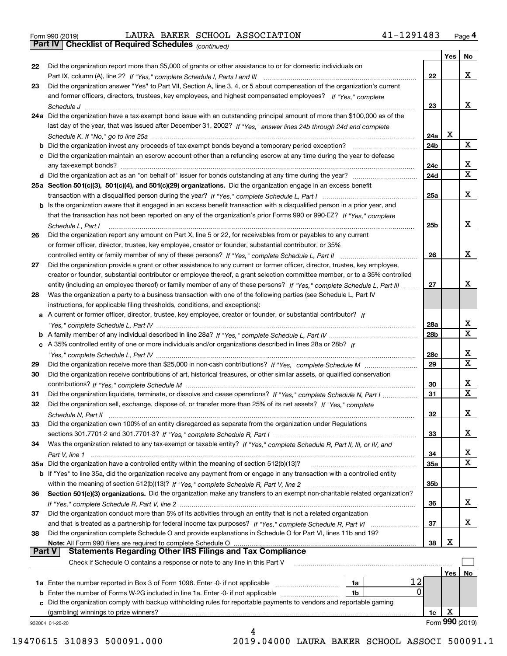| Form 990 (2019) |  |  |
|-----------------|--|--|

Form 990 (2019) LAURA BAKER SCHOOL ASSOCIATION 41-1291483 <sub>Page</sub> 4<br>**Part IV | Checklist of Required Schedules** <sub>(continued)</sub>

*(continued)*

|          |                                                                                                                                                                                 |                 | Yes | No              |
|----------|---------------------------------------------------------------------------------------------------------------------------------------------------------------------------------|-----------------|-----|-----------------|
| 22       | Did the organization report more than \$5,000 of grants or other assistance to or for domestic individuals on                                                                   |                 |     |                 |
|          |                                                                                                                                                                                 | 22              |     | x               |
| 23       | Did the organization answer "Yes" to Part VII, Section A, line 3, 4, or 5 about compensation of the organization's current                                                      |                 |     |                 |
|          | and former officers, directors, trustees, key employees, and highest compensated employees? If "Yes," complete                                                                  |                 |     |                 |
|          |                                                                                                                                                                                 | 23              |     | x               |
|          | 24a Did the organization have a tax-exempt bond issue with an outstanding principal amount of more than \$100,000 as of the                                                     |                 |     |                 |
|          | last day of the year, that was issued after December 31, 2002? If "Yes," answer lines 24b through 24d and complete                                                              |                 |     |                 |
|          |                                                                                                                                                                                 | 24a             | x   |                 |
|          | b Did the organization invest any proceeds of tax-exempt bonds beyond a temporary period exception?                                                                             | 24b             |     | X               |
|          | c Did the organization maintain an escrow account other than a refunding escrow at any time during the year to defease                                                          |                 |     |                 |
|          | any tax-exempt bonds?                                                                                                                                                           | 24c             |     | x               |
|          |                                                                                                                                                                                 | 24d             |     | X               |
|          | 25a Section 501(c)(3), 501(c)(4), and 501(c)(29) organizations. Did the organization engage in an excess benefit                                                                |                 |     |                 |
|          |                                                                                                                                                                                 | 25a             |     | х               |
|          | b Is the organization aware that it engaged in an excess benefit transaction with a disqualified person in a prior year, and                                                    |                 |     |                 |
|          | that the transaction has not been reported on any of the organization's prior Forms 990 or 990-EZ? If "Yes," complete                                                           |                 |     |                 |
|          | Schedule L. Part I                                                                                                                                                              | 25b             |     | x               |
| 26       | Did the organization report any amount on Part X, line 5 or 22, for receivables from or payables to any current                                                                 |                 |     |                 |
|          | or former officer, director, trustee, key employee, creator or founder, substantial contributor, or 35%                                                                         |                 |     |                 |
|          |                                                                                                                                                                                 | 26              |     | x               |
| 27       | Did the organization provide a grant or other assistance to any current or former officer, director, trustee, key employee,                                                     |                 |     |                 |
|          | creator or founder, substantial contributor or employee thereof, a grant selection committee member, or to a 35% controlled                                                     |                 |     |                 |
|          | entity (including an employee thereof) or family member of any of these persons? If "Yes," complete Schedule L, Part III                                                        | 27              |     | x               |
| 28       | Was the organization a party to a business transaction with one of the following parties (see Schedule L, Part IV                                                               |                 |     |                 |
|          | instructions, for applicable filing thresholds, conditions, and exceptions):                                                                                                    |                 |     |                 |
|          | a A current or former officer, director, trustee, key employee, creator or founder, or substantial contributor? If                                                              |                 |     |                 |
|          |                                                                                                                                                                                 | 28a             |     | x               |
|          |                                                                                                                                                                                 | 28 <sub>b</sub> |     | X               |
|          | c A 35% controlled entity of one or more individuals and/or organizations described in lines 28a or 28b? If                                                                     |                 |     |                 |
|          |                                                                                                                                                                                 | 28c             |     | x               |
| 29       |                                                                                                                                                                                 | 29              |     | X               |
| 30       | Did the organization receive contributions of art, historical treasures, or other similar assets, or qualified conservation                                                     |                 |     |                 |
|          |                                                                                                                                                                                 | 30              |     | x               |
| 31       | Did the organization liquidate, terminate, or dissolve and cease operations? If "Yes," complete Schedule N, Part I                                                              | 31              |     | $\mathbf x$     |
| 32       | Did the organization sell, exchange, dispose of, or transfer more than 25% of its net assets? If "Yes," complete                                                                |                 |     |                 |
|          |                                                                                                                                                                                 | 32              |     | х               |
|          | Did the organization own 100% of an entity disregarded as separate from the organization under Regulations                                                                      |                 |     |                 |
| 33       |                                                                                                                                                                                 | 33              |     | х               |
| 34       | Was the organization related to any tax-exempt or taxable entity? If "Yes," complete Schedule R, Part II, III, or IV, and                                                       |                 |     |                 |
|          |                                                                                                                                                                                 | 34              |     | X               |
|          | 35a Did the organization have a controlled entity within the meaning of section 512(b)(13)?                                                                                     | 35a             |     | х               |
|          | b If "Yes" to line 35a, did the organization receive any payment from or engage in any transaction with a controlled entity                                                     |                 |     |                 |
|          |                                                                                                                                                                                 | 35 <sub>b</sub> |     |                 |
| 36       | Section 501(c)(3) organizations. Did the organization make any transfers to an exempt non-charitable related organization?                                                      |                 |     |                 |
|          |                                                                                                                                                                                 | 36              |     | x               |
| 37       | Did the organization conduct more than 5% of its activities through an entity that is not a related organization                                                                |                 |     |                 |
|          | and that is treated as a partnership for federal income tax purposes? If "Yes," complete Schedule R, Part VI                                                                    | 37              |     | x               |
|          |                                                                                                                                                                                 |                 |     |                 |
| 38       | Did the organization complete Schedule O and provide explanations in Schedule O for Part VI, lines 11b and 19?<br>Note: All Form 990 filers are required to complete Schedule O | 38              | X   |                 |
| ∣ Part V | <b>Statements Regarding Other IRS Filings and Tax Compliance</b>                                                                                                                |                 |     |                 |
|          | Check if Schedule O contains a response or note to any line in this Part V                                                                                                      |                 |     |                 |
|          |                                                                                                                                                                                 |                 | Yes | No              |
|          | 12<br>1a                                                                                                                                                                        |                 |     |                 |
|          | 0<br><b>b</b> Enter the number of Forms W-2G included in line 1a. Enter -0- if not applicable<br>1b                                                                             |                 |     |                 |
| c        | Did the organization comply with backup withholding rules for reportable payments to vendors and reportable gaming                                                              |                 |     |                 |
|          | (gambling) winnings to prize winners?                                                                                                                                           | 1c              | х   |                 |
|          | 932004 01-20-20                                                                                                                                                                 |                 |     | Form 990 (2019) |
|          | 4                                                                                                                                                                               |                 |     |                 |

 <sup>19470615 310893 500091.000 2019.04000</sup> LAURA BAKER SCHOOL ASSOCI 500091.1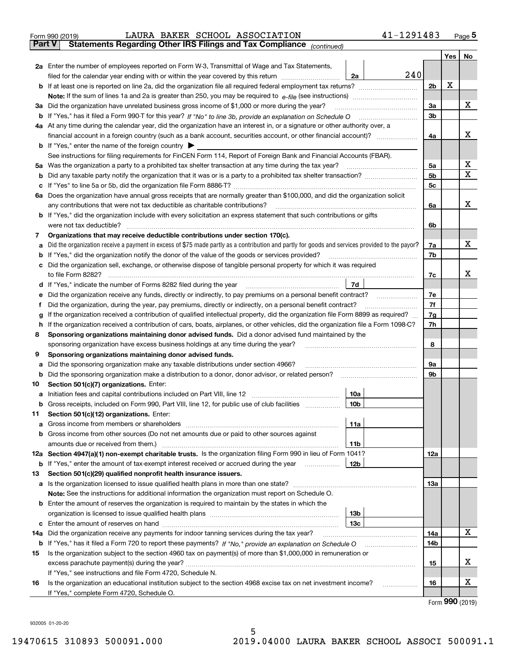|               | LAURA BAKER SCHOOL ASSOCIATION<br>Form 990 (2019)                                                                                                            | 41-1291483     |            | $Page$ <sup>5</sup> |
|---------------|--------------------------------------------------------------------------------------------------------------------------------------------------------------|----------------|------------|---------------------|
| <b>Part V</b> | Statements Regarding Other IRS Filings and Tax Compliance (continued)                                                                                        |                |            |                     |
|               |                                                                                                                                                              |                | <b>Yes</b> | No                  |
|               | 2a Enter the number of employees reported on Form W-3, Transmittal of Wage and Tax Statements,                                                               |                |            |                     |
|               | filed for the calendar year ending with or within the year covered by this return <i>manumumumum</i><br>2a                                                   | 240            |            |                     |
|               |                                                                                                                                                              | 2 <sub>b</sub> | X          |                     |
|               |                                                                                                                                                              |                |            |                     |
|               | 3a Did the organization have unrelated business gross income of \$1,000 or more during the year?                                                             | 3a             |            | х                   |
|               |                                                                                                                                                              | 3 <sub>b</sub> |            |                     |
|               | 4a At any time during the calendar year, did the organization have an interest in, or a signature or other authority over, a                                 |                |            |                     |
|               | financial account in a foreign country (such as a bank account, securities account, or other financial account)?                                             | 4a             |            | х                   |
|               | <b>b</b> If "Yes," enter the name of the foreign country $\triangleright$                                                                                    |                |            |                     |
|               | See instructions for filing requirements for FinCEN Form 114, Report of Foreign Bank and Financial Accounts (FBAR).                                          |                |            |                     |
|               | 5a Was the organization a party to a prohibited tax shelter transaction at any time during the tax year?                                                     | 5a             |            | х                   |
|               |                                                                                                                                                              | 5 <sub>b</sub> |            | X                   |
| c             |                                                                                                                                                              | 5 <sub>c</sub> |            |                     |
|               | 6a Does the organization have annual gross receipts that are normally greater than \$100,000, and did the organization solicit                               |                |            |                     |
|               | any contributions that were not tax deductible as charitable contributions?                                                                                  | 6a             |            | х                   |
|               | b If "Yes," did the organization include with every solicitation an express statement that such contributions or gifts                                       |                |            |                     |
|               | were not tax deductible?                                                                                                                                     | 6b             |            |                     |
| 7             | Organizations that may receive deductible contributions under section 170(c).                                                                                |                |            |                     |
| а             | Did the organization receive a payment in excess of \$75 made partly as a contribution and partly for goods and services provided to the payor?              | 7a             |            | х                   |
|               | <b>b</b> If "Yes," did the organization notify the donor of the value of the goods or services provided?                                                     | 7b             |            |                     |
|               | c Did the organization sell, exchange, or otherwise dispose of tangible personal property for which it was required                                          |                |            |                     |
|               | to file Form 8282?                                                                                                                                           | 7c             |            | х                   |
|               | 7d                                                                                                                                                           |                |            |                     |
| е             | Did the organization receive any funds, directly or indirectly, to pay premiums on a personal benefit contract?                                              | 7e             |            |                     |
| f             | Did the organization, during the year, pay premiums, directly or indirectly, on a personal benefit contract?                                                 | 7f             |            |                     |
| g             | If the organization received a contribution of qualified intellectual property, did the organization file Form 8899 as required?                             | 7g             |            |                     |
| h             | If the organization received a contribution of cars, boats, airplanes, or other vehicles, did the organization file a Form 1098-C?                           | 7h             |            |                     |
| 8             | Sponsoring organizations maintaining donor advised funds. Did a donor advised fund maintained by the                                                         |                |            |                     |
|               | sponsoring organization have excess business holdings at any time during the year?                                                                           | 8              |            |                     |
| 9             | Sponsoring organizations maintaining donor advised funds.                                                                                                    |                |            |                     |
| а             | Did the sponsoring organization make any taxable distributions under section 4966?                                                                           | 9а             |            |                     |
| b             | Did the sponsoring organization make a distribution to a donor, donor advisor, or related person?                                                            | 9b             |            |                     |
| 10            | Section 501(c)(7) organizations. Enter:                                                                                                                      |                |            |                     |
|               | 10a                                                                                                                                                          |                |            |                     |
|               | <b>b</b> Gross receipts, included on Form 990, Part VIII, line 12, for public use of club facilities <i>manument</i><br>10b                                  |                |            |                     |
| 11            | Section 501(c)(12) organizations. Enter:                                                                                                                     |                |            |                     |
| a             | 11a                                                                                                                                                          |                |            |                     |
|               | <b>b</b> Gross income from other sources (Do not net amounts due or paid to other sources against                                                            |                |            |                     |
|               | 11b                                                                                                                                                          |                |            |                     |
|               | 12a Section 4947(a)(1) non-exempt charitable trusts. Is the organization filing Form 990 in lieu of Form 1041?                                               | 12a            |            |                     |
|               | <b>b</b> If "Yes," enter the amount of tax-exempt interest received or accrued during the year<br>12b                                                        |                |            |                     |
| 13            | Section 501(c)(29) qualified nonprofit health insurance issuers.                                                                                             |                |            |                     |
|               | a Is the organization licensed to issue qualified health plans in more than one state?                                                                       | 13a            |            |                     |
|               | Note: See the instructions for additional information the organization must report on Schedule O.                                                            |                |            |                     |
|               | <b>b</b> Enter the amount of reserves the organization is required to maintain by the states in which the                                                    |                |            |                     |
|               | 13 <sub>b</sub>                                                                                                                                              |                |            |                     |
| с             | 13 <sub>c</sub>                                                                                                                                              |                |            | х                   |
| 14a           | Did the organization receive any payments for indoor tanning services during the tax year?                                                                   | 14a            |            |                     |
|               |                                                                                                                                                              | 14b            |            |                     |
| 15            | Is the organization subject to the section 4960 tax on payment(s) of more than \$1,000,000 in remuneration or                                                |                |            | х                   |
|               |                                                                                                                                                              | 15             |            |                     |
|               | If "Yes," see instructions and file Form 4720, Schedule N.                                                                                                   |                |            | х                   |
| 16            | Is the organization an educational institution subject to the section 4968 excise tax on net investment income?<br>If "Yes," complete Form 4720, Schedule O. | 16<br>.        |            |                     |
|               |                                                                                                                                                              |                |            |                     |

Form (2019) **990**

932005 01-20-20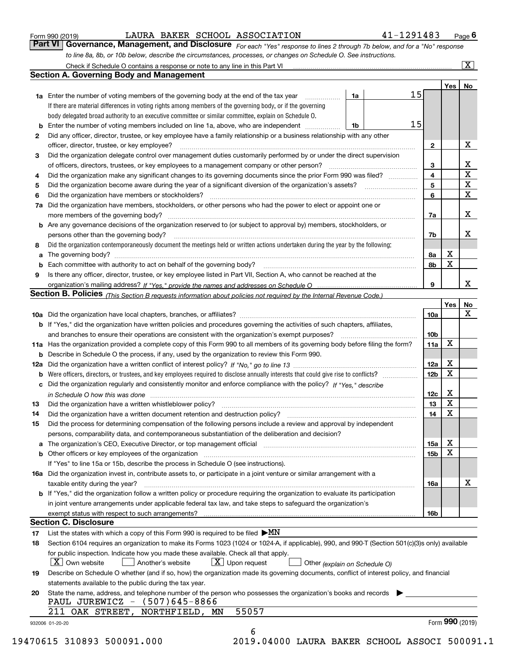| Form 990 (2019) |  |  |
|-----------------|--|--|
|                 |  |  |

LAURA BAKER SCHOOL ASSOCIATION 41-1291483

*For each "Yes" response to lines 2 through 7b below, and for a "No" response to line 8a, 8b, or 10b below, describe the circumstances, processes, or changes on Schedule O. See instructions.* Form 990 (2019) **1998** LAURA BAKER SCHOOL ASSOCIATION **11-1291483** Page 6<br>**Part VI Governance, Management, and Disclosure** For each "Yes" response to lines 2 through 7b below, and for a "No" response

|    |                                                                                                                                                                                                                                |    |    |                 | Yes <sub>1</sub> | No                       |
|----|--------------------------------------------------------------------------------------------------------------------------------------------------------------------------------------------------------------------------------|----|----|-----------------|------------------|--------------------------|
|    | <b>1a</b> Enter the number of voting members of the governing body at the end of the tax year <i>manumum</i>                                                                                                                   | 1a | 15 |                 |                  |                          |
|    | If there are material differences in voting rights among members of the governing body, or if the governing                                                                                                                    |    |    |                 |                  |                          |
|    | body delegated broad authority to an executive committee or similar committee, explain on Schedule O.                                                                                                                          |    |    |                 |                  |                          |
|    | <b>b</b> Enter the number of voting members included on line 1a, above, who are independent <i>manument</i> .                                                                                                                  | 1b | 15 |                 |                  |                          |
| 2  | Did any officer, director, trustee, or key employee have a family relationship or a business relationship with any other                                                                                                       |    |    |                 |                  |                          |
|    | officer, director, trustee, or key employee?                                                                                                                                                                                   |    |    | $\mathbf{2}$    |                  | Х                        |
| 3  | Did the organization delegate control over management duties customarily performed by or under the direct supervision                                                                                                          |    |    |                 |                  |                          |
|    |                                                                                                                                                                                                                                |    |    | 3               |                  | $\underline{\mathbf{X}}$ |
| 4  | Did the organization make any significant changes to its governing documents since the prior Form 990 was filed?                                                                                                               |    |    | 4               |                  | $\overline{\textbf{x}}$  |
| 5  |                                                                                                                                                                                                                                |    |    | 5               |                  | $\overline{\mathbf{x}}$  |
| 6  | Did the organization have members or stockholders?                                                                                                                                                                             |    |    | 6               |                  | $\overline{\mathbf{x}}$  |
|    | 7a Did the organization have members, stockholders, or other persons who had the power to elect or appoint one or                                                                                                              |    |    |                 |                  |                          |
|    |                                                                                                                                                                                                                                |    |    | 7a              |                  | X                        |
|    | <b>b</b> Are any governance decisions of the organization reserved to (or subject to approval by) members, stockholders, or                                                                                                    |    |    |                 |                  |                          |
|    | persons other than the governing body?                                                                                                                                                                                         |    |    | 7b              |                  | х                        |
| 8  | Did the organization contemporaneously document the meetings held or written actions undertaken during the year by the following:                                                                                              |    |    |                 |                  |                          |
| а  |                                                                                                                                                                                                                                |    |    | 8а              | Х                |                          |
|    |                                                                                                                                                                                                                                |    |    | 8b              | $\mathbf X$      |                          |
| 9  | Is there any officer, director, trustee, or key employee listed in Part VII, Section A, who cannot be reached at the                                                                                                           |    |    |                 |                  |                          |
|    |                                                                                                                                                                                                                                |    |    | 9               |                  | X                        |
|    |                                                                                                                                                                                                                                |    |    |                 |                  |                          |
|    | Section B. Policies (This Section B requests information about policies not required by the Internal Revenue Code.)                                                                                                            |    |    |                 | Yes              |                          |
|    |                                                                                                                                                                                                                                |    |    |                 |                  | No<br>$\mathbf{X}$       |
|    |                                                                                                                                                                                                                                |    |    | 10a             |                  |                          |
|    | b If "Yes," did the organization have written policies and procedures governing the activities of such chapters, affiliates,                                                                                                   |    |    |                 |                  |                          |
|    | and branches to ensure their operations are consistent with the organization's exempt purposes? [[[[[[[[[[[[[                                                                                                                  |    |    | 10 <sub>b</sub> | X                |                          |
|    | 11a Has the organization provided a complete copy of this Form 990 to all members of its governing body before filing the form?                                                                                                |    |    | 11a             |                  |                          |
|    | <b>b</b> Describe in Schedule O the process, if any, used by the organization to review this Form 990.                                                                                                                         |    |    |                 |                  |                          |
|    |                                                                                                                                                                                                                                |    |    | 12a             | X<br>$\mathbf x$ |                          |
|    |                                                                                                                                                                                                                                |    |    | 12 <sub>b</sub> |                  |                          |
|    | c Did the organization regularly and consistently monitor and enforce compliance with the policy? If "Yes," describe                                                                                                           |    |    |                 |                  |                          |
|    | in Schedule O how this was done www.communication.com/www.communications.com/www.communications.com/                                                                                                                           |    |    | 12c             | X                |                          |
| 13 |                                                                                                                                                                                                                                |    |    | 13              | X                |                          |
| 14 | Did the organization have a written document retention and destruction policy? manufactured and the organization have a written document retention and destruction policy?                                                     |    |    | 14              | X                |                          |
| 15 | Did the process for determining compensation of the following persons include a review and approval by independent                                                                                                             |    |    |                 |                  |                          |
|    | persons, comparability data, and contemporaneous substantiation of the deliberation and decision?                                                                                                                              |    |    |                 |                  |                          |
|    | a The organization's CEO, Executive Director, or top management official [11] [12] The organization's CEO, Executive Director, or top management official [12] [12] [12] [12] The organization's CEO, Executive Director, or t |    |    | 15a             | X                |                          |
|    | b Other officers or key employees of the organization manufactured content to the organization manufactured by Other officers or key employees of the organization manufactured content of the organization manufactured by Ot |    |    | 15 <sub>b</sub> | x                |                          |
|    | If "Yes" to line 15a or 15b, describe the process in Schedule O (see instructions).                                                                                                                                            |    |    |                 |                  |                          |
|    | 16a Did the organization invest in, contribute assets to, or participate in a joint venture or similar arrangement with a                                                                                                      |    |    |                 |                  |                          |
|    | taxable entity during the year?                                                                                                                                                                                                |    |    | 16a             |                  | x                        |
|    | <b>b</b> If "Yes," did the organization follow a written policy or procedure requiring the organization to evaluate its participation                                                                                          |    |    |                 |                  |                          |
|    | in joint venture arrangements under applicable federal tax law, and take steps to safeguard the organization's                                                                                                                 |    |    |                 |                  |                          |
|    |                                                                                                                                                                                                                                |    |    | 16b             |                  |                          |
|    | <b>Section C. Disclosure</b>                                                                                                                                                                                                   |    |    |                 |                  |                          |
| 17 | List the states with which a copy of this Form 990 is required to be filed $\blacktriangleright MN$                                                                                                                            |    |    |                 |                  |                          |
| 18 | Section 6104 requires an organization to make its Forms 1023 (1024 or 1024-A, if applicable), 990, and 990-T (Section 501(c)(3)s only) available                                                                               |    |    |                 |                  |                          |
|    | for public inspection. Indicate how you made these available. Check all that apply.                                                                                                                                            |    |    |                 |                  |                          |
|    | $X$ Own website<br>$\boxed{\text{X}}$ Upon request<br>Another's website<br>Other (explain on Schedule O)                                                                                                                       |    |    |                 |                  |                          |
| 19 | Describe on Schedule O whether (and if so, how) the organization made its governing documents, conflict of interest policy, and financial                                                                                      |    |    |                 |                  |                          |
|    | statements available to the public during the tax year.                                                                                                                                                                        |    |    |                 |                  |                          |
| 20 | State the name, address, and telephone number of the person who possesses the organization's books and records                                                                                                                 |    |    |                 |                  |                          |
|    | PAUL JUREWICZ - (507)645-8866                                                                                                                                                                                                  |    |    |                 |                  |                          |
|    | 55057<br>211<br>OAK STREET, NORTHFIELD, MN                                                                                                                                                                                     |    |    |                 |                  |                          |
|    |                                                                                                                                                                                                                                |    |    |                 | Form 990 (2019)  |                          |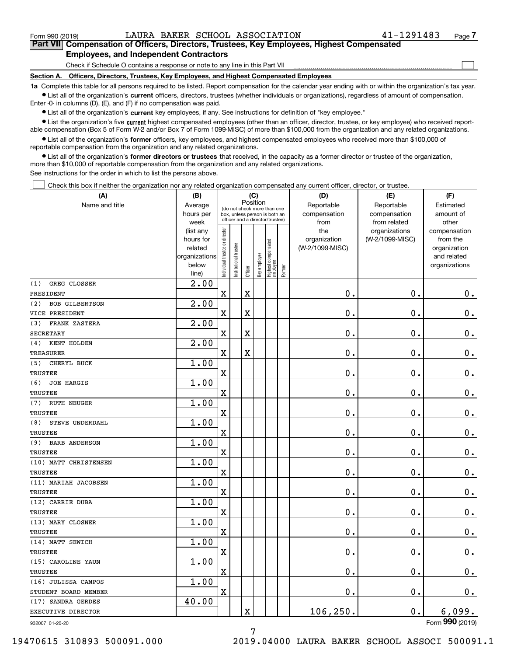$\mathcal{L}^{\text{max}}$ 

# **7Part VII Compensation of Officers, Directors, Trustees, Key Employees, Highest Compensated Employees, and Independent Contractors**

Check if Schedule O contains a response or note to any line in this Part VII

**Section A. Officers, Directors, Trustees, Key Employees, and Highest Compensated Employees**

**1a**  Complete this table for all persons required to be listed. Report compensation for the calendar year ending with or within the organization's tax year. **•** List all of the organization's current officers, directors, trustees (whether individuals or organizations), regardless of amount of compensation.

Enter -0- in columns (D), (E), and (F) if no compensation was paid.

 $\bullet$  List all of the organization's  $\,$ current key employees, if any. See instructions for definition of "key employee."

**•** List the organization's five current highest compensated employees (other than an officer, director, trustee, or key employee) who received reportable compensation (Box 5 of Form W-2 and/or Box 7 of Form 1099-MISC) of more than \$100,000 from the organization and any related organizations.

**•** List all of the organization's former officers, key employees, and highest compensated employees who received more than \$100,000 of reportable compensation from the organization and any related organizations.

**former directors or trustees**  ¥ List all of the organization's that received, in the capacity as a former director or trustee of the organization, more than \$10,000 of reportable compensation from the organization and any related organizations.

See instructions for the order in which to list the persons above.

Check this box if neither the organization nor any related organization compensated any current officer, director, or trustee.  $\mathcal{L}^{\text{max}}$ 

| (A)                          | (B)                      |                                |                       | (C)         |              |                                  |        | (D)             | (E)             | (F)                         |
|------------------------------|--------------------------|--------------------------------|-----------------------|-------------|--------------|----------------------------------|--------|-----------------|-----------------|-----------------------------|
| Name and title               | Average                  |                                |                       | Position    |              | (do not check more than one      |        | Reportable      | Reportable      | Estimated                   |
|                              | hours per                |                                |                       |             |              | box, unless person is both an    |        | compensation    | compensation    | amount of                   |
|                              | week                     |                                |                       |             |              | officer and a director/trustee)  |        | from            | from related    | other                       |
|                              | (list any                |                                |                       |             |              |                                  |        | the             | organizations   | compensation                |
|                              | hours for                |                                |                       |             |              |                                  |        | organization    | (W-2/1099-MISC) | from the                    |
|                              | related<br>organizations |                                |                       |             |              |                                  |        | (W-2/1099-MISC) |                 | organization<br>and related |
|                              | below                    |                                |                       |             |              |                                  |        |                 |                 | organizations               |
|                              | line)                    | Individual trustee or director | Institutional trustee | Officer     | Key employee | Highest compensated<br> employee | Former |                 |                 |                             |
| GREG CLOSSER<br>(1)          | 2.00                     |                                |                       |             |              |                                  |        |                 |                 |                             |
| PRESIDENT                    |                          | $\overline{\mathbf{X}}$        |                       | $\mathbf X$ |              |                                  |        | 0.              | 0.              | 0.                          |
| <b>BOB GILBERTSON</b><br>(2) | 2.00                     |                                |                       |             |              |                                  |        |                 |                 |                             |
| VICE PRESIDENT               |                          | $\overline{\mathbf{X}}$        |                       | $\mathbf X$ |              |                                  |        | 0.              | 0.              | 0.                          |
| FRANK ZASTERA<br>(3)         | 2.00                     |                                |                       |             |              |                                  |        |                 |                 |                             |
| <b>SECRETARY</b>             |                          | X                              |                       | $\mathbf X$ |              |                                  |        | 0.              | 0.              | 0.                          |
| KENT HOLDEN<br>(4)           | $\overline{2.00}$        |                                |                       |             |              |                                  |        |                 |                 |                             |
| <b>TREASURER</b>             |                          | X                              |                       | $\mathbf X$ |              |                                  |        | 0.              | 0.              | $\mathbf 0$ .               |
| CHERYL BUCK<br>(5)           | 1.00                     |                                |                       |             |              |                                  |        |                 |                 |                             |
| <b>TRUSTEE</b>               |                          | X                              |                       |             |              |                                  |        | 0.              | 0.              | $\mathbf 0$ .               |
| <b>JOE HARGIS</b><br>(6)     | 1.00                     |                                |                       |             |              |                                  |        |                 |                 |                             |
| <b>TRUSTEE</b>               |                          | X                              |                       |             |              |                                  |        | 0.              | 0.              | $\mathbf 0$ .               |
| <b>RUTH NEUGER</b><br>(7)    | 1.00                     |                                |                       |             |              |                                  |        |                 |                 |                             |
| <b>TRUSTEE</b>               |                          | X                              |                       |             |              |                                  |        | 0.              | 0.              | $\mathbf 0$ .               |
| (8)<br>STEVE UNDERDAHL       | 1.00                     |                                |                       |             |              |                                  |        |                 |                 |                             |
| <b>TRUSTEE</b>               |                          | X                              |                       |             |              |                                  |        | 0.              | 0.              | $\mathbf 0$ .               |
| <b>BARB ANDERSON</b><br>(9)  | 1.00                     |                                |                       |             |              |                                  |        |                 |                 |                             |
| <b>TRUSTEE</b>               |                          | X                              |                       |             |              |                                  |        | 0.              | 0.              | $\mathbf 0$ .               |
| (10) MATT CHRISTENSEN        | 1.00                     |                                |                       |             |              |                                  |        |                 |                 |                             |
| <b>TRUSTEE</b>               |                          | X                              |                       |             |              |                                  |        | 0.              | 0.              | $\mathbf 0$ .               |
| (11) MARIAH JACOBSEN         | 1.00                     |                                |                       |             |              |                                  |        |                 |                 |                             |
| <b>TRUSTEE</b>               |                          | X                              |                       |             |              |                                  |        | 0.              | 0.              | $\mathbf 0$ .               |
| (12) CARRIE DUBA             | 1.00                     |                                |                       |             |              |                                  |        |                 |                 |                             |
| <b>TRUSTEE</b>               |                          | X                              |                       |             |              |                                  |        | 0.              | 0.              | $0$ .                       |
| (13) MARY CLOSNER            | 1.00                     |                                |                       |             |              |                                  |        |                 |                 |                             |
| <b>TRUSTEE</b>               |                          | X                              |                       |             |              |                                  |        | 0.              | 0.              | 0.                          |
| (14) MATT SEWICH             | 1.00                     |                                |                       |             |              |                                  |        |                 |                 |                             |
| <b>TRUSTEE</b>               |                          | X                              |                       |             |              |                                  |        | 0.              | 0.              | 0.                          |
| (15) CAROLINE YAUN           | 1.00                     |                                |                       |             |              |                                  |        |                 |                 |                             |
| TRUSTEE                      |                          | $\mathbf X$                    |                       |             |              |                                  |        | $\mathbf 0$ .   | $\mathbf 0$ .   | 0.                          |
| (16) JULISSA CAMPOS          | 1.00                     |                                |                       |             |              |                                  |        |                 |                 |                             |
| STUDENT BOARD MEMBER         |                          | $\mathbf X$                    |                       |             |              |                                  |        | 0.              | $\mathbf 0$ .   | 0.                          |
| (17) SANDRA GERDES           | 40.00                    |                                |                       |             |              |                                  |        |                 |                 |                             |
| EXECUTIVE DIRECTOR           |                          |                                |                       | $\mathbf X$ |              |                                  |        | 106,250.        | $\mathbf 0$ .   | 6,099.                      |
| 932007 01-20-20              |                          |                                |                       |             |              |                                  |        |                 |                 | Form 990 (2019)             |

932007 01-20-20

19470615 310893 500091.000 2019.04000 LAURA BAKER SCHOOL ASSOCI 500091.1

7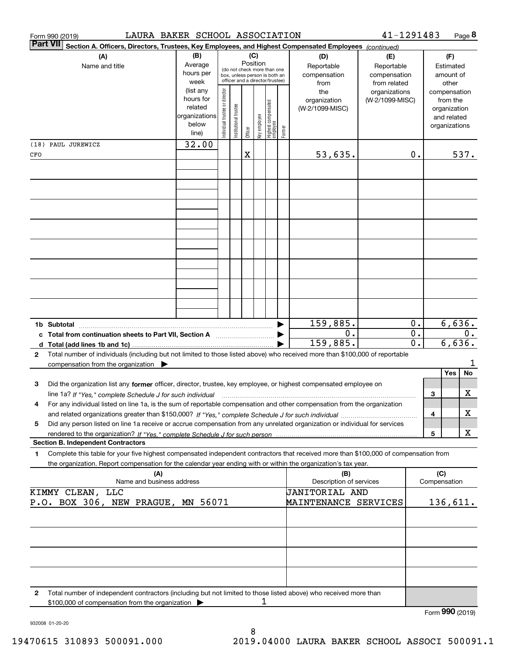|              | LAURA BAKER SCHOOL ASSOCIATION<br>Form 990 (2019)                                                                                    |                        |                                |                       |          |              |                                                                  |        |                                | 41-1291483                   |                  |   |                              | Page 8          |
|--------------|--------------------------------------------------------------------------------------------------------------------------------------|------------------------|--------------------------------|-----------------------|----------|--------------|------------------------------------------------------------------|--------|--------------------------------|------------------------------|------------------|---|------------------------------|-----------------|
|              | <b>Part VII</b><br>Section A. Officers, Directors, Trustees, Key Employees, and Highest Compensated Employees (continued)            |                        |                                |                       |          |              |                                                                  |        |                                |                              |                  |   |                              |                 |
|              | (A)                                                                                                                                  | (B)                    |                                |                       | Position | (C)          |                                                                  |        | (D)                            | (E)                          |                  |   | (F)                          |                 |
|              | Name and title                                                                                                                       | Average<br>hours per   |                                |                       |          |              | (do not check more than one                                      |        | Reportable<br>compensation     | Reportable                   |                  |   | Estimated<br>amount of       |                 |
|              |                                                                                                                                      | week                   |                                |                       |          |              | box, unless person is both an<br>officer and a director/trustee) |        | from                           | compensation<br>from related |                  |   | other                        |                 |
|              |                                                                                                                                      | (list any              |                                |                       |          |              |                                                                  |        | the                            | organizations                |                  |   | compensation                 |                 |
|              |                                                                                                                                      | hours for              |                                |                       |          |              |                                                                  |        | organization                   | (W-2/1099-MISC)              |                  |   | from the                     |                 |
|              |                                                                                                                                      | related                |                                |                       |          |              |                                                                  |        | (W-2/1099-MISC)                |                              |                  |   | organization                 |                 |
|              |                                                                                                                                      | organizations<br>below |                                |                       |          |              |                                                                  |        |                                |                              |                  |   | and related<br>organizations |                 |
|              |                                                                                                                                      | line)                  | Individual trustee or director | Institutional trustee | Officer  | key employee | Highest compensated<br>employee                                  | Former |                                |                              |                  |   |                              |                 |
|              | (18) PAUL JUREWICZ                                                                                                                   | 32.00                  |                                |                       |          |              |                                                                  |        |                                |                              |                  |   |                              |                 |
| CFO          |                                                                                                                                      |                        |                                |                       | X        |              |                                                                  |        | 53,635.                        |                              | 0.               |   |                              | 537.            |
|              |                                                                                                                                      |                        |                                |                       |          |              |                                                                  |        |                                |                              |                  |   |                              |                 |
|              |                                                                                                                                      |                        |                                |                       |          |              |                                                                  |        |                                |                              |                  |   |                              |                 |
|              |                                                                                                                                      |                        |                                |                       |          |              |                                                                  |        |                                |                              |                  |   |                              |                 |
|              |                                                                                                                                      |                        |                                |                       |          |              |                                                                  |        |                                |                              |                  |   |                              |                 |
|              |                                                                                                                                      |                        |                                |                       |          |              |                                                                  |        |                                |                              |                  |   |                              |                 |
|              |                                                                                                                                      |                        |                                |                       |          |              |                                                                  |        |                                |                              |                  |   |                              |                 |
|              |                                                                                                                                      |                        |                                |                       |          |              |                                                                  |        |                                |                              |                  |   |                              |                 |
|              |                                                                                                                                      |                        |                                |                       |          |              |                                                                  |        |                                |                              |                  |   |                              |                 |
|              |                                                                                                                                      |                        |                                |                       |          |              |                                                                  |        |                                |                              |                  |   |                              |                 |
|              |                                                                                                                                      |                        |                                |                       |          |              |                                                                  |        |                                |                              |                  |   |                              |                 |
|              |                                                                                                                                      |                        |                                |                       |          |              |                                                                  |        |                                |                              |                  |   |                              |                 |
|              |                                                                                                                                      |                        |                                |                       |          |              |                                                                  |        |                                |                              |                  |   |                              |                 |
|              |                                                                                                                                      |                        |                                |                       |          |              |                                                                  |        |                                |                              |                  |   |                              |                 |
|              | 1b Subtotal                                                                                                                          |                        |                                |                       |          |              |                                                                  |        | 159,885.                       |                              | 0.               |   | 6,636.                       |                 |
|              |                                                                                                                                      |                        |                                |                       |          |              |                                                                  |        | 0.                             |                              | 0.               |   |                              | 0.              |
|              |                                                                                                                                      |                        |                                |                       |          |              |                                                                  |        | 159,885.                       |                              | $\overline{0}$ . |   | 6,636.                       |                 |
| $\mathbf{2}$ | Total number of individuals (including but not limited to those listed above) who received more than \$100,000 of reportable         |                        |                                |                       |          |              |                                                                  |        |                                |                              |                  |   |                              |                 |
|              | compensation from the organization $\blacktriangleright$                                                                             |                        |                                |                       |          |              |                                                                  |        |                                |                              |                  |   |                              |                 |
| 3            | Did the organization list any former officer, director, trustee, key employee, or highest compensated employee on                    |                        |                                |                       |          |              |                                                                  |        |                                |                              |                  |   | Yes                          | No              |
|              |                                                                                                                                      |                        |                                |                       |          |              |                                                                  |        |                                |                              |                  | З |                              | X               |
| 4            | For any individual listed on line 1a, is the sum of reportable compensation and other compensation from the organization             |                        |                                |                       |          |              |                                                                  |        |                                |                              |                  |   |                              |                 |
|              |                                                                                                                                      |                        |                                |                       |          |              |                                                                  |        |                                |                              |                  | 4 |                              | х               |
| 5            | Did any person listed on line 1a receive or accrue compensation from any unrelated organization or individual for services           |                        |                                |                       |          |              |                                                                  |        |                                |                              |                  |   |                              |                 |
|              |                                                                                                                                      |                        |                                |                       |          |              |                                                                  |        |                                |                              |                  | 5 |                              | X               |
|              | <b>Section B. Independent Contractors</b>                                                                                            |                        |                                |                       |          |              |                                                                  |        |                                |                              |                  |   |                              |                 |
| 1            | Complete this table for your five highest compensated independent contractors that received more than \$100,000 of compensation from |                        |                                |                       |          |              |                                                                  |        |                                |                              |                  |   |                              |                 |
|              | the organization. Report compensation for the calendar year ending with or within the organization's tax year.                       |                        |                                |                       |          |              |                                                                  |        |                                |                              |                  |   |                              |                 |
|              | (A)<br>Name and business address                                                                                                     |                        |                                |                       |          |              |                                                                  |        | (B)<br>Description of services |                              |                  |   | (C)<br>Compensation          |                 |
|              | KIMMY CLEAN, LLC                                                                                                                     |                        |                                |                       |          |              |                                                                  |        | JANITORIAL AND                 |                              |                  |   |                              |                 |
|              | P.O. BOX 306, NEW PRAGUE, MN 56071                                                                                                   |                        |                                |                       |          |              |                                                                  |        | MAINTENANCE SERVICES           |                              |                  |   | 136,611.                     |                 |
|              |                                                                                                                                      |                        |                                |                       |          |              |                                                                  |        |                                |                              |                  |   |                              |                 |
|              |                                                                                                                                      |                        |                                |                       |          |              |                                                                  |        |                                |                              |                  |   |                              |                 |
|              |                                                                                                                                      |                        |                                |                       |          |              |                                                                  |        |                                |                              |                  |   |                              |                 |
|              |                                                                                                                                      |                        |                                |                       |          |              |                                                                  |        |                                |                              |                  |   |                              |                 |
|              |                                                                                                                                      |                        |                                |                       |          |              |                                                                  |        |                                |                              |                  |   |                              |                 |
|              |                                                                                                                                      |                        |                                |                       |          |              |                                                                  |        |                                |                              |                  |   |                              |                 |
| 2            | Total number of independent contractors (including but not limited to those listed above) who received more than                     |                        |                                |                       |          |              |                                                                  |        |                                |                              |                  |   |                              |                 |
|              | \$100,000 of compensation from the organization                                                                                      |                        |                                |                       |          | 1            |                                                                  |        |                                |                              |                  |   |                              |                 |
|              |                                                                                                                                      |                        |                                |                       |          |              |                                                                  |        |                                |                              |                  |   |                              | Form 990 (2019) |

932008 01-20-20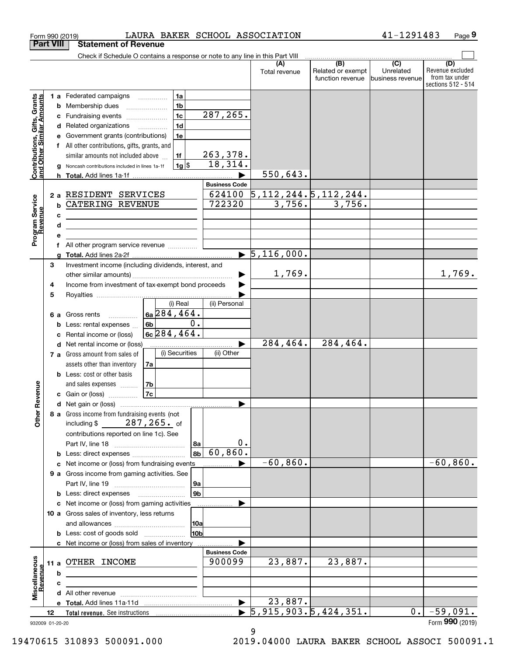|                                                           |      |    | LAURA BAKER SCHOOL ASSOCIATION<br>Form 990 (2019)                             |                |                            |                                  |                                              | 41-1291483                                      | Page 9                                                          |
|-----------------------------------------------------------|------|----|-------------------------------------------------------------------------------|----------------|----------------------------|----------------------------------|----------------------------------------------|-------------------------------------------------|-----------------------------------------------------------------|
| <b>Part VIII</b>                                          |      |    | <b>Statement of Revenue</b>                                                   |                |                            |                                  |                                              |                                                 |                                                                 |
|                                                           |      |    | Check if Schedule O contains a response or note to any line in this Part VIII |                |                            |                                  |                                              |                                                 |                                                                 |
|                                                           |      |    |                                                                               |                |                            | (A)<br>Total revenue             | (B)<br>Related or exempt<br>function revenue | $\overline{C}$<br>Unrelated<br>business revenue | (D)<br>Revenue excluded<br>from tax under<br>sections 512 - 514 |
|                                                           |      |    | 1a<br>1 a Federated campaigns                                                 |                |                            |                                  |                                              |                                                 |                                                                 |
| Contributions, Gifts, Grants<br>and Other Similar Amounts |      | b  | 1 <sub>b</sub><br>Membership dues                                             |                |                            |                                  |                                              |                                                 |                                                                 |
|                                                           |      | с  | 1 <sub>c</sub><br>Fundraising events                                          |                | 287, 265.                  |                                  |                                              |                                                 |                                                                 |
|                                                           |      | d  | 1 <sub>d</sub><br>Related organizations<br>.                                  |                |                            |                                  |                                              |                                                 |                                                                 |
|                                                           |      | е  | Government grants (contributions)<br>1e                                       |                |                            |                                  |                                              |                                                 |                                                                 |
|                                                           |      |    | All other contributions, gifts, grants, and                                   |                |                            |                                  |                                              |                                                 |                                                                 |
|                                                           |      |    | similar amounts not included above<br>1f                                      |                | $\frac{263,378.}{18,314.}$ |                                  |                                              |                                                 |                                                                 |
|                                                           |      | g  | $1g$ \$<br>Noncash contributions included in lines 1a-1f                      |                |                            | 550,643.                         |                                              |                                                 |                                                                 |
|                                                           |      | h. | Total. Add lines 1a-1f                                                        |                | <b>Business Code</b>       |                                  |                                              |                                                 |                                                                 |
|                                                           |      |    | 2 a RESIDENT SERVICES                                                         |                | 624100                     | 5, 112, 244.5, 112, 244.         |                                              |                                                 |                                                                 |
| Program Service<br>Revenue                                |      | b  | <b>CATERING REVENUE</b>                                                       |                | 722320                     | 3,756.                           | 3,756.                                       |                                                 |                                                                 |
|                                                           |      | c  |                                                                               |                |                            |                                  |                                              |                                                 |                                                                 |
|                                                           |      | d  |                                                                               |                |                            |                                  |                                              |                                                 |                                                                 |
|                                                           |      | е  |                                                                               |                |                            |                                  |                                              |                                                 |                                                                 |
|                                                           |      | f  |                                                                               |                |                            |                                  |                                              |                                                 |                                                                 |
|                                                           |      | a  |                                                                               |                |                            | $\blacktriangleright$ 5,116,000. |                                              |                                                 |                                                                 |
|                                                           | 3    |    | Investment income (including dividends, interest, and                         |                |                            |                                  |                                              |                                                 |                                                                 |
|                                                           |      |    |                                                                               |                |                            | 1,769.                           |                                              |                                                 | 1,769.                                                          |
|                                                           | 4    |    | Income from investment of tax-exempt bond proceeds                            |                |                            |                                  |                                              |                                                 |                                                                 |
|                                                           | 5    |    | (i) Real                                                                      |                | (ii) Personal              |                                  |                                              |                                                 |                                                                 |
|                                                           | 6а   |    | $6a$ 284, 464.<br>Gross rents                                                 |                |                            |                                  |                                              |                                                 |                                                                 |
|                                                           |      | b  | 6b<br>Less: rental expenses                                                   | 0.             |                            |                                  |                                              |                                                 |                                                                 |
|                                                           |      | с  | $6c$ 284, 464.<br>Rental income or (loss)                                     |                |                            |                                  |                                              |                                                 |                                                                 |
|                                                           |      | d  | Net rental income or (loss)                                                   |                |                            | 284,464.                         | 284,464.                                     |                                                 |                                                                 |
|                                                           |      |    | (i) Securities<br>7 a Gross amount from sales of                              |                | (ii) Other                 |                                  |                                              |                                                 |                                                                 |
|                                                           |      |    | assets other than inventory<br>7a                                             |                |                            |                                  |                                              |                                                 |                                                                 |
|                                                           |      |    | <b>b</b> Less: cost or other basis                                            |                |                            |                                  |                                              |                                                 |                                                                 |
|                                                           |      |    | and sales expenses<br>7b                                                      |                |                            |                                  |                                              |                                                 |                                                                 |
| evenue                                                    |      |    | 7c<br><b>c</b> Gain or (loss) $\ldots$                                        |                |                            |                                  |                                              |                                                 |                                                                 |
|                                                           |      |    |                                                                               |                |                            |                                  |                                              |                                                 |                                                                 |
| Other R                                                   |      |    | 8 a Gross income from fundraising events (not<br>including \$ $287, 265$ of   |                |                            |                                  |                                              |                                                 |                                                                 |
|                                                           |      |    | contributions reported on line 1c). See                                       |                |                            |                                  |                                              |                                                 |                                                                 |
|                                                           |      |    |                                                                               | 8a             | 0.                         |                                  |                                              |                                                 |                                                                 |
|                                                           |      | b  | Less: direct expenses                                                         | 8b             | 60,860.                    |                                  |                                              |                                                 |                                                                 |
|                                                           |      | с  | Net income or (loss) from fundraising events                                  |                |                            | $-60,860.$                       |                                              |                                                 | $-60, 860.$                                                     |
|                                                           |      |    | 9 a Gross income from gaming activities. See                                  |                |                            |                                  |                                              |                                                 |                                                                 |
|                                                           |      |    |                                                                               | 9a             |                            |                                  |                                              |                                                 |                                                                 |
|                                                           |      | b  |                                                                               | 9 <sub>b</sub> |                            |                                  |                                              |                                                 |                                                                 |
|                                                           |      | с  | Net income or (loss) from gaming activities                                   |                |                            |                                  |                                              |                                                 |                                                                 |
|                                                           |      |    | 10 a Gross sales of inventory, less returns                                   |                |                            |                                  |                                              |                                                 |                                                                 |
|                                                           |      |    | <b>b</b> Less: cost of goods sold                                             | 10a<br>10b     |                            |                                  |                                              |                                                 |                                                                 |
|                                                           |      |    | c Net income or (loss) from sales of inventory                                |                |                            |                                  |                                              |                                                 |                                                                 |
|                                                           |      |    |                                                                               |                | <b>Business Code</b>       |                                  |                                              |                                                 |                                                                 |
|                                                           | 11 a |    | OTHER INCOME                                                                  |                | 900099                     | 23,887.                          | 23,887.                                      |                                                 |                                                                 |
|                                                           |      | b  |                                                                               |                |                            |                                  |                                              |                                                 |                                                                 |
|                                                           |      | с  |                                                                               |                |                            |                                  |                                              |                                                 |                                                                 |
| Miscellaneous<br>Revenue                                  |      | d  |                                                                               |                |                            |                                  |                                              |                                                 |                                                                 |
|                                                           |      |    |                                                                               |                |                            | 23,887.                          |                                              |                                                 |                                                                 |
|                                                           | 12   |    |                                                                               |                |                            | 5,915,903.5,424,351.             |                                              | 0.                                              | $-59,091.$                                                      |
| 932009 01-20-20                                           |      |    |                                                                               |                |                            |                                  |                                              |                                                 | Form 990 (2019)                                                 |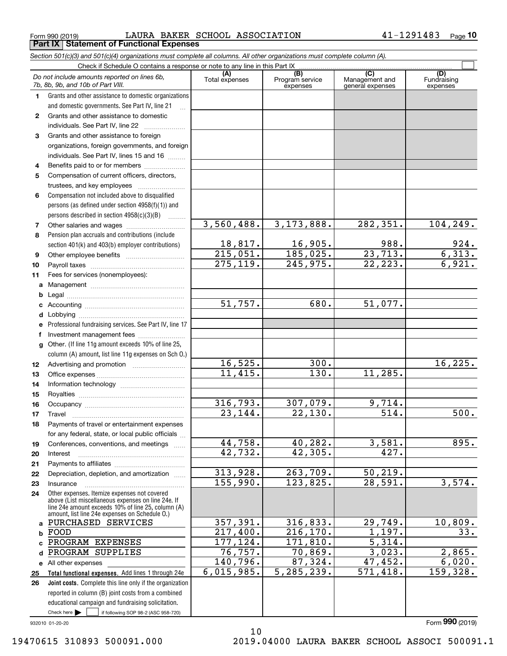$_{\rm Form\ 990\ (2019)}$  LAURA BAKER SCHOOL ASSOCIATION 41-1291483  $_{\rm Page}$ **Part IX Statement of Functional Expenses**

*Section 501(c)(3) and 501(c)(4) organizations must complete all columns. All other organizations must complete column (A).*

|        | Do not include amounts reported on lines 6b,<br>7b, 8b, 9b, and 10b of Part VIII.                  | (A)<br>Total expenses             | (B)<br>Program service<br>expenses | $\overline{(C)}$<br>Management and<br>general expenses | (D)<br>Fundraising<br>expenses |
|--------|----------------------------------------------------------------------------------------------------|-----------------------------------|------------------------------------|--------------------------------------------------------|--------------------------------|
| 1.     | Grants and other assistance to domestic organizations                                              |                                   |                                    |                                                        |                                |
|        | and domestic governments. See Part IV, line 21                                                     |                                   |                                    |                                                        |                                |
| 2      | Grants and other assistance to domestic                                                            |                                   |                                    |                                                        |                                |
|        | individuals. See Part IV, line 22                                                                  |                                   |                                    |                                                        |                                |
| 3      | Grants and other assistance to foreign                                                             |                                   |                                    |                                                        |                                |
|        | organizations, foreign governments, and foreign                                                    |                                   |                                    |                                                        |                                |
|        | individuals. See Part IV, lines 15 and 16                                                          |                                   |                                    |                                                        |                                |
| 4      | Benefits paid to or for members                                                                    |                                   |                                    |                                                        |                                |
| 5      | Compensation of current officers, directors,                                                       |                                   |                                    |                                                        |                                |
|        | trustees, and key employees                                                                        |                                   |                                    |                                                        |                                |
| 6      | Compensation not included above to disqualified                                                    |                                   |                                    |                                                        |                                |
|        | persons (as defined under section $4958(f)(1)$ ) and                                               |                                   |                                    |                                                        |                                |
|        | persons described in section 4958(c)(3)(B)<br>.                                                    |                                   |                                    |                                                        |                                |
| 7      | Other salaries and wages                                                                           | 3,560,488.                        | 3,173,888.                         | 282, 351.                                              | 104,249.                       |
| 8      | Pension plan accruals and contributions (include                                                   |                                   |                                    |                                                        |                                |
|        | section 401(k) and 403(b) employer contributions)                                                  | 18,817.<br>$\overline{215,051}$ . | 16,905.<br>185,025.                | 988.<br>23,713.                                        | $\frac{924}{6,313}$<br>6,921.  |
| 9      |                                                                                                    | 275, 119.                         | 245,975.                           | 22, 223.                                               |                                |
| 10     |                                                                                                    |                                   |                                    |                                                        |                                |
| 11     | Fees for services (nonemployees):                                                                  |                                   |                                    |                                                        |                                |
| a      |                                                                                                    |                                   |                                    |                                                        |                                |
| b      |                                                                                                    | 51,757.                           | 680.                               | 51,077.                                                |                                |
| c<br>d |                                                                                                    |                                   |                                    |                                                        |                                |
| е      | Professional fundraising services. See Part IV, line 17                                            |                                   |                                    |                                                        |                                |
| f      | Investment management fees                                                                         |                                   |                                    |                                                        |                                |
| g      | Other. (If line 11g amount exceeds 10% of line 25,                                                 |                                   |                                    |                                                        |                                |
|        | column (A) amount, list line 11g expenses on Sch O.)                                               |                                   |                                    |                                                        |                                |
| 12     |                                                                                                    | 16, 525.                          | 300.                               |                                                        | 16, 225.                       |
| 13     |                                                                                                    | 11,415.                           | 130.                               | 11,285.                                                |                                |
| 14     |                                                                                                    |                                   |                                    |                                                        |                                |
| 15     |                                                                                                    |                                   |                                    |                                                        |                                |
| 16     |                                                                                                    | 316, 793.                         | 307,079.                           | 9,714.                                                 |                                |
| 17     | Travel                                                                                             | 23, 144.                          | 22,130.                            | $\overline{514}$                                       | 500.                           |
| 18     | Payments of travel or entertainment expenses                                                       |                                   |                                    |                                                        |                                |
|        | for any federal, state, or local public officials                                                  |                                   |                                    |                                                        |                                |
| 19     | Conferences, conventions, and meetings                                                             | 44,758.                           | 40, 282.                           | 3,581.                                                 | 895.                           |
| 20     | Interest                                                                                           | 42,732.                           | 42,305.                            | 427.                                                   |                                |
| 21     |                                                                                                    |                                   |                                    |                                                        |                                |
| 22     | Depreciation, depletion, and amortization                                                          | 313,928.                          | 263,709.                           | 50, 219.                                               |                                |
| 23     | Insurance                                                                                          | 155,990.                          | 123,825.                           | 28,591.                                                | 3,574.                         |
| 24     | Other expenses. Itemize expenses not covered<br>above (List miscellaneous expenses on line 24e. If |                                   |                                    |                                                        |                                |
|        | line 24e amount exceeds 10% of line 25, column (A)                                                 |                                   |                                    |                                                        |                                |
|        | amount, list line 24e expenses on Schedule O.)                                                     |                                   |                                    |                                                        |                                |
| a      | PURCHASED SERVICES                                                                                 | 357,391.                          | 316,833.                           | 29,749.                                                | 10,809.                        |
| b      | FOOD                                                                                               | 217,400.<br>177, 124.             | 216, 170.<br>171,810.              | 1,197.<br>$\overline{5,314}$ .                         | 33.                            |
| c<br>d | PROGRAM EXPENSES<br>PROGRAM SUPPLIES                                                               | 76, 757.                          | 70,869.                            | 3,023.                                                 | 2,865.                         |
|        |                                                                                                    | 140, 796.                         | 87,324.                            | 47,452.                                                | 6,020.                         |
| 25     | e All other expenses<br>Total functional expenses. Add lines 1 through 24e                         | 6,015,985.                        | 5, 285, 239.                       | 571,418.                                               | 159,328.                       |
| 26     | Joint costs. Complete this line only if the organization                                           |                                   |                                    |                                                        |                                |
|        | reported in column (B) joint costs from a combined                                                 |                                   |                                    |                                                        |                                |
|        | educational campaign and fundraising solicitation.                                                 |                                   |                                    |                                                        |                                |
|        | Check here $\blacktriangleright$<br>if following SOP 98-2 (ASC 958-720)                            |                                   |                                    |                                                        |                                |
|        | 932010 01-20-20                                                                                    |                                   |                                    |                                                        | Form 990 (2019)                |

10

19470615 310893 500091.000 2019.04000 LAURA BAKER SCHOOL ASSOCI 500091.1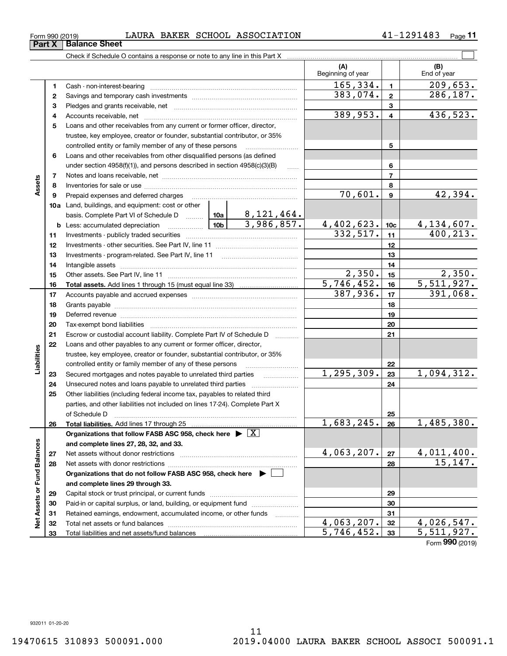|     | under section $4958(f)(1)$ , and persons described in section $4958(c)(3)(B)$ |         |  | .            |  |              | 6               |  |
|-----|-------------------------------------------------------------------------------|---------|--|--------------|--|--------------|-----------------|--|
| 7   |                                                                               |         |  |              |  |              | 7               |  |
| 8   |                                                                               |         |  |              |  |              | 8               |  |
| 9   | Prepaid expenses and deferred charges                                         |         |  |              |  | 70,601.      | 9               |  |
| 10a | Land, buildings, and equipment: cost or other                                 |         |  |              |  |              |                 |  |
|     | basis. Complete Part VI of Schedule D  10a                                    |         |  | 8, 121, 464. |  |              |                 |  |
|     | <b>b</b> Less: accumulated depreciation                                       | ∣ 10b l |  | 3,986,857.   |  | 4,402,623.   | 10 <sub>c</sub> |  |
| 11  |                                                                               |         |  |              |  | 332,517.     | 11              |  |
| 12  |                                                                               |         |  |              |  |              | 12              |  |
| 13  |                                                                               |         |  |              |  |              | 13              |  |
| 14  |                                                                               |         |  |              |  |              | 14              |  |
| 15  | Other assets. See Part IV, line 11                                            |         |  |              |  | 2,350.       | 15              |  |
| 16  | <b>Total assets.</b> Add lines 1 through 15 (must equal line 33) <i></i>      |         |  |              |  | 5,746,452.   | 16              |  |
| 17  |                                                                               |         |  |              |  | 387,936.     | 17              |  |
| 18  |                                                                               |         |  |              |  |              | 18              |  |
| 19  |                                                                               |         |  |              |  |              | 19              |  |
| 20  |                                                                               |         |  |              |  |              | 20              |  |
| 21  | Escrow or custodial account liability. Complete Part IV of Schedule D         |         |  |              |  |              | 21              |  |
| 22  | Loans and other payables to any current or former officer, director,          |         |  |              |  |              |                 |  |
|     | trustee, key employee, creator or founder, substantial contributor, or 35%    |         |  |              |  |              |                 |  |
|     | controlled entity or family member of any of these persons                    |         |  |              |  |              | 22              |  |
| 23  | Secured mortgages and notes payable to unrelated third parties                |         |  |              |  | 1, 295, 309. | 23              |  |
| 24  | Unsecured notes and loans payable to unrelated third parties                  |         |  |              |  |              | 24              |  |
| 25  | Other liabilities (including federal income tax, payables to related third    |         |  |              |  |              |                 |  |
|     | parties, and other liabilities not included on lines 17-24). Complete Part X  |         |  |              |  |              |                 |  |
|     | of Schedule D                                                                 |         |  |              |  |              | 25              |  |
|     |                                                                               |         |  |              |  |              |                 |  |

**Total liabilities.**  Add lines 17 through 25

Net assets with donor restrictions ~~~~~~~~~~~~~~~~~~~~~~

Capital stock or trust principal, or current funds ~~~~~~~~~~~~~~~Paid-in or capital surplus, or land, building, or equipment fund www.commun.com Retained earnings, endowment, accumulated income, or other funds www.com Total net assets or fund balances ~~~~~~~~~~~~~~~~~~~~~~

**Organizations that do not follow FASB ASC 958, check here** |

**Organizations that follow FASB ASC 958, check here** | X

**and complete lines 27, 28, 32, and 33.**

Net assets without donor restrictions

Total liabilities and net assets/fund balances

**and complete lines 29 through 33.**

### $_{\rm Form\ 990\ (2019)}$  LAURA BAKER SCHOOL ASSOCIATION 41-1291483  $_{\rm Page}$ **Part X** Balance Sheet

Check if Schedule O contains a response or note to any line in this Part X

Cash - non-interest-bearing ~~~~~~~~~~~~~~~~~~~~~~~~~ Savings and temporary cash investments ~~~~~~~~~~~~~~~~~~Pledges and grants receivable, net ~~~~~~~~~~~~~~~~~~~~~ Accounts receivable, net ~~~~~~~~~~~~~~~~~~~~~~~~~~ Loans and other receivables from any current or former officer, director, trustee, key employee, creator or founder, substantial contributor, or 35% controlled entity or family member of any of these persons ~~~~~~~~~ Loans and other receivables from other disqualified persons (as defined

**11**

 $\mathcal{L}^{\text{max}}$ 

70,601. 42,394.

332,517. 400,213.

 $2,350.$ 5,746,452. 5,511,927.

387,936. 391,068.

1,094,312.

4,134,607.

**(A) (B)**

Beginning of year | | End of year

 $\overline{165}, 334. \vert 1 \vert 209, 653.$ 

 $383,074.$  2 286,187.

 $389,953. 4$  436,523.

**5**

**26**

 $683, 245. |26 | 1, 485, 380.$ 

**2728**

 $4,063,207.$   $|z_7|$   $4,011,400.$ 

 $4,063,207.$   $32$  |  $4,026,547.$  $5,746,452.$  33 5,511,927.

Form (2019) **990**

15,147.

**6**

**Assets**

**26**

**Liabilities**

Liabilities

**2728**

**Net Assets or Fund Balances**

Net Assets or Fund Balances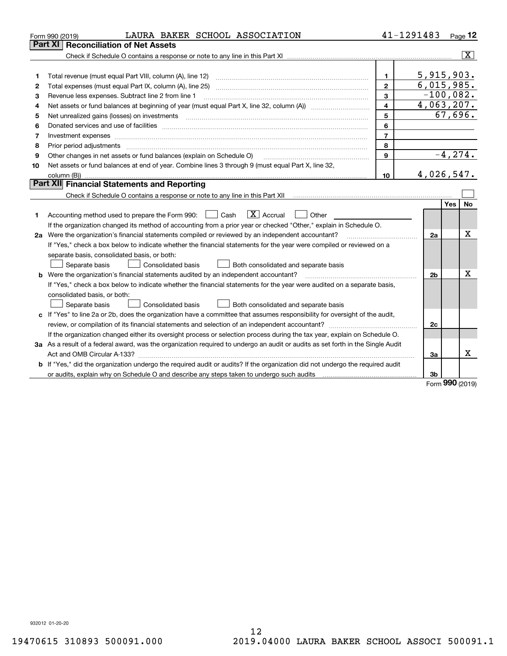|    | LAURA BAKER SCHOOL ASSOCIATION<br>Form 990 (2019)                                                                                                                                  |                | 41-1291483     |            | Page 12                 |
|----|------------------------------------------------------------------------------------------------------------------------------------------------------------------------------------|----------------|----------------|------------|-------------------------|
|    | <b>Reconciliation of Net Assets</b><br>Part XI                                                                                                                                     |                |                |            |                         |
|    |                                                                                                                                                                                    |                |                |            | $\overline{\mathbf{x}}$ |
|    |                                                                                                                                                                                    |                |                |            |                         |
| 1  |                                                                                                                                                                                    | $\mathbf{1}$   | 5,915,903.     |            |                         |
| 2  |                                                                                                                                                                                    | $\overline{2}$ | 6,015,985.     |            |                         |
| 3  | Revenue less expenses. Subtract line 2 from line 1                                                                                                                                 | 3              | $-100,082.$    |            |                         |
| 4  | Net assets or fund balances at beginning of year (must equal Part X, line 32, column (A)) <i>manageredial</i>                                                                      | $\overline{4}$ | 4,063,207.     |            |                         |
| 5  |                                                                                                                                                                                    | 5              |                | 67,696.    |                         |
| 6  |                                                                                                                                                                                    | 6              |                |            |                         |
| 7  | Investment expenses www.communication.com/www.communication.com/www.communication.com/www.communication.com                                                                        | $\overline{7}$ |                |            |                         |
| 8  | Prior period adjustments                                                                                                                                                           | 8              |                |            |                         |
| 9  | Other changes in net assets or fund balances (explain on Schedule O)                                                                                                               | $\mathbf{Q}$   |                | $-4, 274.$ |                         |
| 10 | Net assets or fund balances at end of year. Combine lines 3 through 9 (must equal Part X, line 32,                                                                                 |                |                |            |                         |
|    | column (B))                                                                                                                                                                        | 10             | 4,026,547.     |            |                         |
|    | Part XII Financial Statements and Reporting                                                                                                                                        |                |                |            |                         |
|    |                                                                                                                                                                                    |                |                |            |                         |
|    |                                                                                                                                                                                    |                |                | Yes        | No.                     |
| 1. | $\mathbf{X}$ Accrual<br>Accounting method used to prepare the Form 990: <u>[</u> Cash<br>    Other                                                                                 |                |                |            |                         |
|    | If the organization changed its method of accounting from a prior year or checked "Other," explain in Schedule O.                                                                  |                |                |            |                         |
|    | 2a Were the organization's financial statements compiled or reviewed by an independent accountant?                                                                                 |                | 2a             |            | Χ                       |
|    | If "Yes," check a box below to indicate whether the financial statements for the year were compiled or reviewed on a                                                               |                |                |            |                         |
|    | separate basis, consolidated basis, or both:                                                                                                                                       |                |                |            |                         |
|    | Both consolidated and separate basis<br>Separate basis<br>Consolidated basis                                                                                                       |                |                |            |                         |
|    | <b>b</b> Were the organization's financial statements audited by an independent accountant?                                                                                        |                | 2 <sub>b</sub> |            | X                       |
|    | If "Yes," check a box below to indicate whether the financial statements for the year were audited on a separate basis,                                                            |                |                |            |                         |
|    | consolidated basis, or both:                                                                                                                                                       |                |                |            |                         |
|    | Separate basis<br><b>Consolidated basis</b><br>Both consolidated and separate basis                                                                                                |                |                |            |                         |
|    | c If "Yes" to line 2a or 2b, does the organization have a committee that assumes responsibility for oversight of the audit,                                                        |                |                |            |                         |
|    |                                                                                                                                                                                    |                | 2c             |            |                         |
|    | If the organization changed either its oversight process or selection process during the tax year, explain on Schedule O.                                                          |                |                |            |                         |
|    | 3a As a result of a federal award, was the organization required to undergo an audit or audits as set forth in the Single Audit                                                    |                |                |            |                         |
|    |                                                                                                                                                                                    |                | За             |            | x                       |
|    | b If "Yes," did the organization undergo the required audit or audits? If the organization did not undergo the required audit                                                      |                |                |            |                         |
|    | or audits, explain why on Schedule O and describe any steps taken to undergo such audits manufactured university on Schedule O and describe any steps taken to undergo such audits |                | 3b             | <b>nnn</b> |                         |

Form (2019) **990**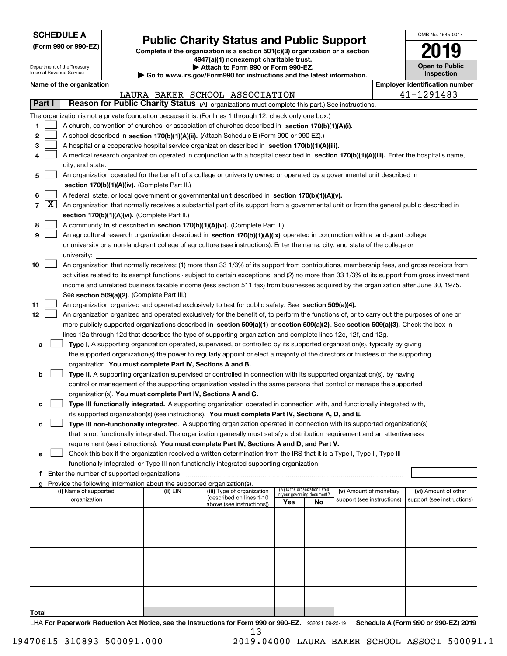| <b>SCHEDULE A</b> |
|-------------------|
|-------------------|

**(Form 990 or 990-EZ)**

# **Public Charity Status and Public Support**

**Complete if the organization is a section 501(c)(3) organization or a section 4947(a)(1) nonexempt charitable trust.**

| OMB No 1545-0047                    |
|-------------------------------------|
| 2019                                |
| <b>Open to Public</b><br>Insnection |

| Department of the Treasury<br>Internal Revenue Service |            |                                               | <b>Open to Public</b><br>Attach to Form 990 or Form 990-EZ.<br>Inspection<br>$\blacktriangleright$ Go to www.irs.gov/Form990 for instructions and the latest information. |                                                                                                                                               |     |                                                                |                            |  |                                       |
|--------------------------------------------------------|------------|-----------------------------------------------|---------------------------------------------------------------------------------------------------------------------------------------------------------------------------|-----------------------------------------------------------------------------------------------------------------------------------------------|-----|----------------------------------------------------------------|----------------------------|--|---------------------------------------|
|                                                        |            | Name of the organization                      |                                                                                                                                                                           |                                                                                                                                               |     |                                                                |                            |  | <b>Employer identification number</b> |
|                                                        |            |                                               |                                                                                                                                                                           | LAURA BAKER SCHOOL ASSOCIATION                                                                                                                |     |                                                                |                            |  | 41-1291483                            |
|                                                        | Part I     |                                               |                                                                                                                                                                           | Reason for Public Charity Status (All organizations must complete this part.) See instructions.                                               |     |                                                                |                            |  |                                       |
|                                                        |            |                                               |                                                                                                                                                                           | The organization is not a private foundation because it is: (For lines 1 through 12, check only one box.)                                     |     |                                                                |                            |  |                                       |
| 1.                                                     |            |                                               |                                                                                                                                                                           | A church, convention of churches, or association of churches described in section $170(b)(1)(A)(i)$ .                                         |     |                                                                |                            |  |                                       |
| 2                                                      |            |                                               |                                                                                                                                                                           | A school described in section 170(b)(1)(A)(ii). (Attach Schedule E (Form 990 or 990-EZ).)                                                     |     |                                                                |                            |  |                                       |
| 3                                                      |            |                                               |                                                                                                                                                                           | A hospital or a cooperative hospital service organization described in section 170(b)(1)(A)(iii).                                             |     |                                                                |                            |  |                                       |
| 4                                                      |            |                                               |                                                                                                                                                                           | A medical research organization operated in conjunction with a hospital described in section 170(b)(1)(A)(iii). Enter the hospital's name,    |     |                                                                |                            |  |                                       |
|                                                        |            | city, and state:                              |                                                                                                                                                                           |                                                                                                                                               |     |                                                                |                            |  |                                       |
| 5                                                      |            |                                               |                                                                                                                                                                           | An organization operated for the benefit of a college or university owned or operated by a governmental unit described in                     |     |                                                                |                            |  |                                       |
|                                                        |            |                                               | section 170(b)(1)(A)(iv). (Complete Part II.)                                                                                                                             |                                                                                                                                               |     |                                                                |                            |  |                                       |
| 6                                                      |            |                                               |                                                                                                                                                                           | A federal, state, or local government or governmental unit described in section 170(b)(1)(A)(v).                                              |     |                                                                |                            |  |                                       |
|                                                        | $7 \times$ |                                               |                                                                                                                                                                           | An organization that normally receives a substantial part of its support from a governmental unit or from the general public described in     |     |                                                                |                            |  |                                       |
|                                                        |            |                                               | section 170(b)(1)(A)(vi). (Complete Part II.)                                                                                                                             |                                                                                                                                               |     |                                                                |                            |  |                                       |
| 8                                                      |            |                                               |                                                                                                                                                                           | A community trust described in section 170(b)(1)(A)(vi). (Complete Part II.)                                                                  |     |                                                                |                            |  |                                       |
| 9                                                      |            |                                               |                                                                                                                                                                           | An agricultural research organization described in section 170(b)(1)(A)(ix) operated in conjunction with a land-grant college                 |     |                                                                |                            |  |                                       |
|                                                        |            |                                               |                                                                                                                                                                           | or university or a non-land-grant college of agriculture (see instructions). Enter the name, city, and state of the college or                |     |                                                                |                            |  |                                       |
|                                                        |            | university:                                   |                                                                                                                                                                           |                                                                                                                                               |     |                                                                |                            |  |                                       |
| 10                                                     |            |                                               |                                                                                                                                                                           | An organization that normally receives: (1) more than 33 1/3% of its support from contributions, membership fees, and gross receipts from     |     |                                                                |                            |  |                                       |
|                                                        |            |                                               |                                                                                                                                                                           | activities related to its exempt functions - subject to certain exceptions, and (2) no more than 33 1/3% of its support from gross investment |     |                                                                |                            |  |                                       |
|                                                        |            |                                               |                                                                                                                                                                           | income and unrelated business taxable income (less section 511 tax) from businesses acquired by the organization after June 30, 1975.         |     |                                                                |                            |  |                                       |
|                                                        |            |                                               | See section 509(a)(2). (Complete Part III.)                                                                                                                               |                                                                                                                                               |     |                                                                |                            |  |                                       |
| 11                                                     |            |                                               |                                                                                                                                                                           | An organization organized and operated exclusively to test for public safety. See section 509(a)(4).                                          |     |                                                                |                            |  |                                       |
| 12 <sub>2</sub>                                        |            |                                               |                                                                                                                                                                           | An organization organized and operated exclusively for the benefit of, to perform the functions of, or to carry out the purposes of one or    |     |                                                                |                            |  |                                       |
|                                                        |            |                                               |                                                                                                                                                                           | more publicly supported organizations described in section 509(a)(1) or section 509(a)(2). See section 509(a)(3). Check the box in            |     |                                                                |                            |  |                                       |
|                                                        |            |                                               |                                                                                                                                                                           | lines 12a through 12d that describes the type of supporting organization and complete lines 12e, 12f, and 12g.                                |     |                                                                |                            |  |                                       |
| a                                                      |            |                                               |                                                                                                                                                                           | Type I. A supporting organization operated, supervised, or controlled by its supported organization(s), typically by giving                   |     |                                                                |                            |  |                                       |
|                                                        |            |                                               |                                                                                                                                                                           | the supported organization(s) the power to regularly appoint or elect a majority of the directors or trustees of the supporting               |     |                                                                |                            |  |                                       |
|                                                        |            |                                               | organization. You must complete Part IV, Sections A and B.                                                                                                                |                                                                                                                                               |     |                                                                |                            |  |                                       |
| b                                                      |            |                                               |                                                                                                                                                                           | Type II. A supporting organization supervised or controlled in connection with its supported organization(s), by having                       |     |                                                                |                            |  |                                       |
|                                                        |            |                                               |                                                                                                                                                                           | control or management of the supporting organization vested in the same persons that control or manage the supported                          |     |                                                                |                            |  |                                       |
|                                                        |            |                                               | organization(s). You must complete Part IV, Sections A and C.                                                                                                             |                                                                                                                                               |     |                                                                |                            |  |                                       |
| с                                                      |            |                                               |                                                                                                                                                                           | Type III functionally integrated. A supporting organization operated in connection with, and functionally integrated with,                    |     |                                                                |                            |  |                                       |
|                                                        |            |                                               |                                                                                                                                                                           | its supported organization(s) (see instructions). You must complete Part IV, Sections A, D, and E.                                            |     |                                                                |                            |  |                                       |
| d                                                      |            |                                               |                                                                                                                                                                           | Type III non-functionally integrated. A supporting organization operated in connection with its supported organization(s)                     |     |                                                                |                            |  |                                       |
|                                                        |            |                                               |                                                                                                                                                                           | that is not functionally integrated. The organization generally must satisfy a distribution requirement and an attentiveness                  |     |                                                                |                            |  |                                       |
|                                                        |            |                                               |                                                                                                                                                                           | requirement (see instructions). You must complete Part IV, Sections A and D, and Part V.                                                      |     |                                                                |                            |  |                                       |
| е                                                      |            |                                               |                                                                                                                                                                           | Check this box if the organization received a written determination from the IRS that it is a Type I, Type II, Type III                       |     |                                                                |                            |  |                                       |
|                                                        |            |                                               |                                                                                                                                                                           | functionally integrated, or Type III non-functionally integrated supporting organization.                                                     |     |                                                                |                            |  |                                       |
|                                                        |            | f Enter the number of supported organizations |                                                                                                                                                                           |                                                                                                                                               |     |                                                                |                            |  |                                       |
| a                                                      |            |                                               | Provide the following information about the supported organization(s).                                                                                                    |                                                                                                                                               |     |                                                                |                            |  |                                       |
|                                                        |            | (i) Name of supported                         | (ii) EIN                                                                                                                                                                  | (iii) Type of organization                                                                                                                    |     | (iv) Is the organization listed<br>in your governing document? | (v) Amount of monetary     |  | (vi) Amount of other                  |
|                                                        |            | organization                                  |                                                                                                                                                                           | (described on lines 1-10<br>above (see instructions))                                                                                         | Yes | No                                                             | support (see instructions) |  | support (see instructions)            |
|                                                        |            |                                               |                                                                                                                                                                           |                                                                                                                                               |     |                                                                |                            |  |                                       |
|                                                        |            |                                               |                                                                                                                                                                           |                                                                                                                                               |     |                                                                |                            |  |                                       |
|                                                        |            |                                               |                                                                                                                                                                           |                                                                                                                                               |     |                                                                |                            |  |                                       |
|                                                        |            |                                               |                                                                                                                                                                           |                                                                                                                                               |     |                                                                |                            |  |                                       |
|                                                        |            |                                               |                                                                                                                                                                           |                                                                                                                                               |     |                                                                |                            |  |                                       |
|                                                        |            |                                               |                                                                                                                                                                           |                                                                                                                                               |     |                                                                |                            |  |                                       |
|                                                        |            |                                               |                                                                                                                                                                           |                                                                                                                                               |     |                                                                |                            |  |                                       |
|                                                        |            |                                               |                                                                                                                                                                           |                                                                                                                                               |     |                                                                |                            |  |                                       |
|                                                        |            |                                               |                                                                                                                                                                           |                                                                                                                                               |     |                                                                |                            |  |                                       |
|                                                        |            |                                               |                                                                                                                                                                           |                                                                                                                                               |     |                                                                |                            |  |                                       |

**Total**

LHA For Paperwork Reduction Act Notice, see the Instructions for Form 990 or 990-EZ. 932021 09-25-19 Schedule A (Form 990 or 990-EZ) 2019 13

19470615 310893 500091.000 2019.04000 LAURA BAKER SCHOOL ASSOCI 500091.1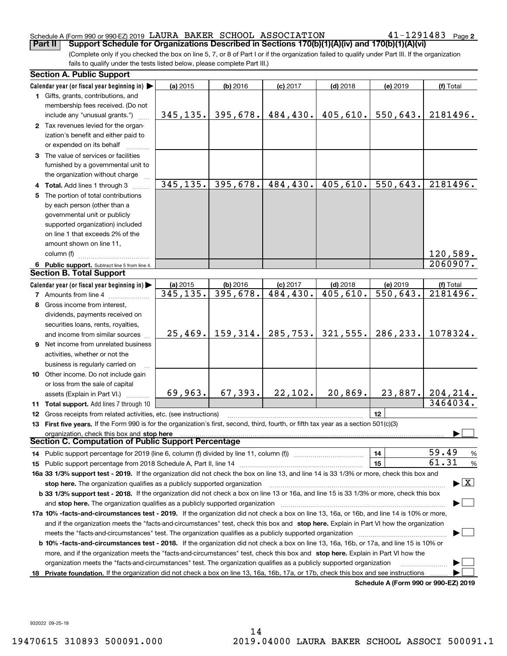### Schedule A (Form 990 or 990-EZ) 2019  $\,$  LAURA BAKER <code>SCHOOL</code> <code>ASSOCIATION</code>  $\,$  <code>41–1291483</code> <code> Page</code>

**2**

(Complete only if you checked the box on line 5, 7, or 8 of Part I or if the organization failed to qualify under Part III. If the organization fails to qualify under the tests listed below, please complete Part III.) **Part II Support Schedule for Organizations Described in Sections 170(b)(1)(A)(iv) and 170(b)(1)(A)(vi)**

|    | <b>Section A. Public Support</b>                                                                                                                                                                                               |           |                      |                         |                        |                                      |                                          |
|----|--------------------------------------------------------------------------------------------------------------------------------------------------------------------------------------------------------------------------------|-----------|----------------------|-------------------------|------------------------|--------------------------------------|------------------------------------------|
|    | Calendar year (or fiscal year beginning in) $\blacktriangleright$                                                                                                                                                              | (a) 2015  | (b) 2016             | $(c)$ 2017              | $(d)$ 2018             | (e) 2019                             | (f) Total                                |
|    | <b>1</b> Gifts, grants, contributions, and                                                                                                                                                                                     |           |                      |                         |                        |                                      |                                          |
|    | membership fees received. (Do not                                                                                                                                                                                              |           |                      |                         |                        |                                      |                                          |
|    | include any "unusual grants.")                                                                                                                                                                                                 |           | $345, 135.$ 395,678. | 484,430.                | 405,610.               | 550, 643.                            | 2181496.                                 |
|    | 2 Tax revenues levied for the organ-                                                                                                                                                                                           |           |                      |                         |                        |                                      |                                          |
|    | ization's benefit and either paid to                                                                                                                                                                                           |           |                      |                         |                        |                                      |                                          |
|    | or expended on its behalf                                                                                                                                                                                                      |           |                      |                         |                        |                                      |                                          |
|    | 3 The value of services or facilities                                                                                                                                                                                          |           |                      |                         |                        |                                      |                                          |
|    | furnished by a governmental unit to                                                                                                                                                                                            |           |                      |                         |                        |                                      |                                          |
|    | the organization without charge                                                                                                                                                                                                |           |                      |                         |                        |                                      |                                          |
|    |                                                                                                                                                                                                                                | 345, 135. | 395,678.             | 484,430.                | 405,610.               | 550,643.                             | 2181496.                                 |
|    | 4 Total. Add lines 1 through 3                                                                                                                                                                                                 |           |                      |                         |                        |                                      |                                          |
|    | 5 The portion of total contributions                                                                                                                                                                                           |           |                      |                         |                        |                                      |                                          |
|    | by each person (other than a                                                                                                                                                                                                   |           |                      |                         |                        |                                      |                                          |
|    | governmental unit or publicly                                                                                                                                                                                                  |           |                      |                         |                        |                                      |                                          |
|    | supported organization) included                                                                                                                                                                                               |           |                      |                         |                        |                                      |                                          |
|    | on line 1 that exceeds 2% of the                                                                                                                                                                                               |           |                      |                         |                        |                                      |                                          |
|    | amount shown on line 11,                                                                                                                                                                                                       |           |                      |                         |                        |                                      |                                          |
|    | column (f)                                                                                                                                                                                                                     |           |                      |                         |                        |                                      | 120,589.                                 |
|    | 6 Public support. Subtract line 5 from line 4.                                                                                                                                                                                 |           |                      |                         |                        |                                      | 2060907.                                 |
|    | <b>Section B. Total Support</b>                                                                                                                                                                                                |           |                      |                         |                        |                                      |                                          |
|    | Calendar year (or fiscal year beginning in)                                                                                                                                                                                    | (a) 2015  | (b) 2016             | $(c)$ 2017              | $(d)$ 2018             | (e) 2019                             | (f) Total                                |
|    | <b>7</b> Amounts from line 4                                                                                                                                                                                                   | 345,135.  | 395,678.             | $\overline{484}$ , 430. | $\overline{405,610}$ . | $\overline{550,643}$ .               | 2181496.                                 |
|    | 8 Gross income from interest,                                                                                                                                                                                                  |           |                      |                         |                        |                                      |                                          |
|    | dividends, payments received on                                                                                                                                                                                                |           |                      |                         |                        |                                      |                                          |
|    | securities loans, rents, royalties,                                                                                                                                                                                            |           |                      |                         |                        |                                      |                                          |
|    | and income from similar sources                                                                                                                                                                                                |           | $25,469.$ 159, 314.  | 285,753.                | 321,555.               | 286,233.                             | 1078324.                                 |
|    | 9 Net income from unrelated business                                                                                                                                                                                           |           |                      |                         |                        |                                      |                                          |
|    | activities, whether or not the                                                                                                                                                                                                 |           |                      |                         |                        |                                      |                                          |
|    | business is regularly carried on                                                                                                                                                                                               |           |                      |                         |                        |                                      |                                          |
|    | <b>10</b> Other income. Do not include gain                                                                                                                                                                                    |           |                      |                         |                        |                                      |                                          |
|    | or loss from the sale of capital                                                                                                                                                                                               |           |                      |                         |                        |                                      |                                          |
|    | assets (Explain in Part VI.)                                                                                                                                                                                                   | 69,963.   | 67,393.              | 22,102.                 | 20,869.                | 23,887.                              | 204,214.                                 |
|    | 11 Total support. Add lines 7 through 10                                                                                                                                                                                       |           |                      |                         |                        |                                      | 3464034.                                 |
|    |                                                                                                                                                                                                                                |           |                      |                         |                        | 12                                   |                                          |
|    | 12 Gross receipts from related activities, etc. (see instructions)                                                                                                                                                             |           |                      |                         |                        |                                      |                                          |
|    | 13 First five years. If the Form 990 is for the organization's first, second, third, fourth, or fifth tax year as a section 501(c)(3)                                                                                          |           |                      |                         |                        |                                      |                                          |
|    | organization, check this box and stop here<br>Section C. Computation of Public Support Percentage                                                                                                                              |           |                      |                         |                        |                                      |                                          |
|    |                                                                                                                                                                                                                                |           |                      |                         |                        |                                      | $\overline{59.49}$                       |
|    | 14 Public support percentage for 2019 (line 6, column (f) divided by line 11, column (f) <i>mummumumum</i>                                                                                                                     |           |                      |                         |                        | 14                                   | %<br>61.31                               |
|    | 15 Public support percentage from 2018 Schedule A, Part II, line 14 [11] [11] manument continuum manument of Public support percentage from 2018 Schedule A, Part II, line 14 [11] manument continuum manument of Public suppo |           |                      |                         |                        | 15                                   | $\%$                                     |
|    | 16a 33 1/3% support test - 2019. If the organization did not check the box on line 13, and line 14 is 33 1/3% or more, check this box and                                                                                      |           |                      |                         |                        |                                      |                                          |
|    | stop here. The organization qualifies as a publicly supported organization                                                                                                                                                     |           |                      |                         |                        |                                      | $\blacktriangleright$ $\boxed{\text{X}}$ |
|    | b 33 1/3% support test - 2018. If the organization did not check a box on line 13 or 16a, and line 15 is 33 1/3% or more, check this box                                                                                       |           |                      |                         |                        |                                      |                                          |
|    | and stop here. The organization qualifies as a publicly supported organization                                                                                                                                                 |           |                      |                         |                        |                                      |                                          |
|    | 17a 10% -facts-and-circumstances test - 2019. If the organization did not check a box on line 13, 16a, or 16b, and line 14 is 10% or more,                                                                                     |           |                      |                         |                        |                                      |                                          |
|    | and if the organization meets the "facts-and-circumstances" test, check this box and stop here. Explain in Part VI how the organization                                                                                        |           |                      |                         |                        |                                      |                                          |
|    | meets the "facts-and-circumstances" test. The organization qualifies as a publicly supported organization <i>marroummumumum</i>                                                                                                |           |                      |                         |                        |                                      |                                          |
|    | <b>b 10% -facts-and-circumstances test - 2018.</b> If the organization did not check a box on line 13, 16a, 16b, or 17a, and line 15 is 10% or                                                                                 |           |                      |                         |                        |                                      |                                          |
|    | more, and if the organization meets the "facts-and-circumstances" test, check this box and stop here. Explain in Part VI how the                                                                                               |           |                      |                         |                        |                                      |                                          |
|    | organization meets the "facts-and-circumstances" test. The organization qualifies as a publicly supported organization                                                                                                         |           |                      |                         |                        |                                      |                                          |
| 18 | Private foundation. If the organization did not check a box on line 13, 16a, 16b, 17a, or 17b, check this box and see instructions                                                                                             |           |                      |                         |                        |                                      |                                          |
|    |                                                                                                                                                                                                                                |           |                      |                         |                        | Schedule A (Form 990 or 990-F7) 2019 |                                          |

**Schedule A (Form 990 or 990-EZ) 2019**

932022 09-25-19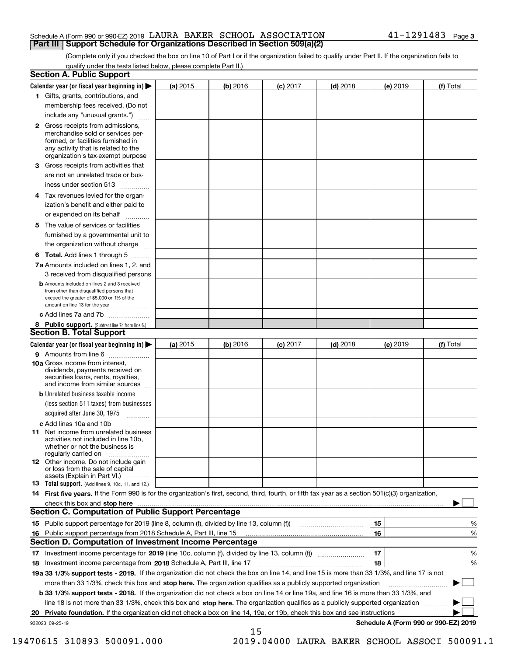### Schedule A (Form 990 or 990-EZ) 2019  $\,$  LAURA BAKER <code>SCHOOL</code> <code>ASSOCIATION</code>  $\,$  <code>41–1291483</code> <code> Page</code> **Part III Support Schedule for Organizations Described in Section 509(a)(2)**

(Complete only if you checked the box on line 10 of Part I or if the organization failed to qualify under Part II. If the organization fails to qualify under the tests listed below, please complete Part II.)

|    | <b>Section A. Public Support</b>                                                                                                                                                         |          |            |            |            |          |                                      |
|----|------------------------------------------------------------------------------------------------------------------------------------------------------------------------------------------|----------|------------|------------|------------|----------|--------------------------------------|
|    | Calendar year (or fiscal year beginning in) $\blacktriangleright$                                                                                                                        | (a) 2015 | $(b)$ 2016 | $(c)$ 2017 | $(d)$ 2018 | (e) 2019 | (f) Total                            |
|    | 1 Gifts, grants, contributions, and                                                                                                                                                      |          |            |            |            |          |                                      |
|    | membership fees received. (Do not                                                                                                                                                        |          |            |            |            |          |                                      |
|    | include any "unusual grants.")                                                                                                                                                           |          |            |            |            |          |                                      |
|    | 2 Gross receipts from admissions,<br>merchandise sold or services per-<br>formed, or facilities furnished in<br>any activity that is related to the<br>organization's tax-exempt purpose |          |            |            |            |          |                                      |
|    | 3 Gross receipts from activities that                                                                                                                                                    |          |            |            |            |          |                                      |
|    | are not an unrelated trade or bus-                                                                                                                                                       |          |            |            |            |          |                                      |
|    | iness under section 513                                                                                                                                                                  |          |            |            |            |          |                                      |
|    | 4 Tax revenues levied for the organ-                                                                                                                                                     |          |            |            |            |          |                                      |
|    | ization's benefit and either paid to                                                                                                                                                     |          |            |            |            |          |                                      |
|    | or expended on its behalf<br>.                                                                                                                                                           |          |            |            |            |          |                                      |
|    | 5 The value of services or facilities<br>furnished by a governmental unit to                                                                                                             |          |            |            |            |          |                                      |
|    | the organization without charge                                                                                                                                                          |          |            |            |            |          |                                      |
|    | <b>6 Total.</b> Add lines 1 through 5                                                                                                                                                    |          |            |            |            |          |                                      |
|    | 7a Amounts included on lines 1, 2, and                                                                                                                                                   |          |            |            |            |          |                                      |
|    | 3 received from disqualified persons                                                                                                                                                     |          |            |            |            |          |                                      |
|    | <b>b</b> Amounts included on lines 2 and 3 received<br>from other than disqualified persons that<br>exceed the greater of \$5,000 or 1% of the<br>amount on line 13 for the year         |          |            |            |            |          |                                      |
|    | c Add lines 7a and 7b                                                                                                                                                                    |          |            |            |            |          |                                      |
|    | 8 Public support. (Subtract line 7c from line 6.)<br><b>Section B. Total Support</b>                                                                                                     |          |            |            |            |          |                                      |
|    | Calendar year (or fiscal year beginning in) $\blacktriangleright$                                                                                                                        | (a) 2015 | (b) 2016   | $(c)$ 2017 | $(d)$ 2018 | (e) 2019 | (f) Total                            |
|    | 9 Amounts from line 6                                                                                                                                                                    |          |            |            |            |          |                                      |
|    | 10a Gross income from interest,<br>dividends, payments received on<br>securities loans, rents, royalties,<br>and income from similar sources                                             |          |            |            |            |          |                                      |
|    | <b>b</b> Unrelated business taxable income                                                                                                                                               |          |            |            |            |          |                                      |
|    | (less section 511 taxes) from businesses                                                                                                                                                 |          |            |            |            |          |                                      |
|    | acquired after June 30, 1975                                                                                                                                                             |          |            |            |            |          |                                      |
|    | c Add lines 10a and 10b                                                                                                                                                                  |          |            |            |            |          |                                      |
|    | 11 Net income from unrelated business<br>activities not included in line 10b,<br>whether or not the business is<br>regularly carried on                                                  |          |            |            |            |          |                                      |
|    | 12 Other income. Do not include gain<br>or loss from the sale of capital<br>assets (Explain in Part VI.)                                                                                 |          |            |            |            |          |                                      |
|    | <b>13</b> Total support. (Add lines 9, 10c, 11, and 12.)                                                                                                                                 |          |            |            |            |          |                                      |
|    | 14 First five years. If the Form 990 is for the organization's first, second, third, fourth, or fifth tax year as a section 501(c)(3) organization,                                      |          |            |            |            |          |                                      |
|    | check this box and stop here measurements are constructed as the state of the state of the state of the state o                                                                          |          |            |            |            |          |                                      |
|    | <b>Section C. Computation of Public Support Percentage</b>                                                                                                                               |          |            |            |            |          |                                      |
|    | 15 Public support percentage for 2019 (line 8, column (f), divided by line 13, column (f))                                                                                               |          |            |            |            | 15       | %                                    |
|    | 16 Public support percentage from 2018 Schedule A, Part III, line 15                                                                                                                     |          |            |            |            | 16       | %                                    |
|    | <b>Section D. Computation of Investment Income Percentage</b>                                                                                                                            |          |            |            |            |          |                                      |
|    | 17 Investment income percentage for 2019 (line 10c, column (f), divided by line 13, column (f))                                                                                          |          |            |            |            | 17       | %                                    |
|    | <b>18</b> Investment income percentage from <b>2018</b> Schedule A, Part III, line 17                                                                                                    |          |            |            |            | 18       | %                                    |
|    | 19a 33 1/3% support tests - 2019. If the organization did not check the box on line 14, and line 15 is more than 33 1/3%, and line 17 is not                                             |          |            |            |            |          |                                      |
|    | more than 33 1/3%, check this box and stop here. The organization qualifies as a publicly supported organization                                                                         |          |            |            |            |          | ▶                                    |
|    | b 33 1/3% support tests - 2018. If the organization did not check a box on line 14 or line 19a, and line 16 is more than 33 1/3%, and                                                    |          |            |            |            |          |                                      |
|    | line 18 is not more than 33 1/3%, check this box and stop here. The organization qualifies as a publicly supported organization                                                          |          |            |            |            |          |                                      |
| 20 | Private foundation. If the organization did not check a box on line 14, 19a, or 19b, check this box and see instructions                                                                 |          |            |            |            |          |                                      |
|    | 932023 09-25-19                                                                                                                                                                          |          | 15         |            |            |          | Schedule A (Form 990 or 990-EZ) 2019 |

 <sup>19470615 310893 500091.000 2019.04000</sup> LAURA BAKER SCHOOL ASSOCI 500091.1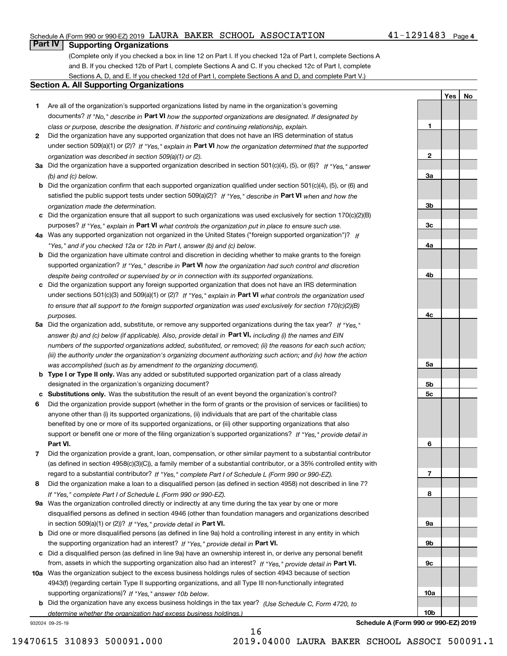### Schedule A (Form 990 or 990-EZ) 2019  $\,$  LAURA BAKER <code>SCHOOL</code> <code>ASSOCIATION</code>  $\,$  <code>41–1291483</code> <code> Page</code>

### **Part IV Supporting Organizations**

(Complete only if you checked a box in line 12 on Part I. If you checked 12a of Part I, complete Sections A and B. If you checked 12b of Part I, complete Sections A and C. If you checked 12c of Part I, complete Sections A, D, and E. If you checked 12d of Part I, complete Sections A and D, and complete Part V.)

### **Section A. All Supporting Organizations**

- **1** Are all of the organization's supported organizations listed by name in the organization's governing documents? If "No," describe in **Part VI** how the supported organizations are designated. If designated by *class or purpose, describe the designation. If historic and continuing relationship, explain.*
- **2** Did the organization have any supported organization that does not have an IRS determination of status under section 509(a)(1) or (2)? If "Yes," explain in Part VI how the organization determined that the supported *organization was described in section 509(a)(1) or (2).*
- **3a** Did the organization have a supported organization described in section 501(c)(4), (5), or (6)? If "Yes," answer *(b) and (c) below.*
- **b** Did the organization confirm that each supported organization qualified under section 501(c)(4), (5), or (6) and satisfied the public support tests under section 509(a)(2)? If "Yes," describe in **Part VI** when and how the *organization made the determination.*
- **c**Did the organization ensure that all support to such organizations was used exclusively for section 170(c)(2)(B) purposes? If "Yes," explain in **Part VI** what controls the organization put in place to ensure such use.
- **4a***If* Was any supported organization not organized in the United States ("foreign supported organization")? *"Yes," and if you checked 12a or 12b in Part I, answer (b) and (c) below.*
- **b** Did the organization have ultimate control and discretion in deciding whether to make grants to the foreign supported organization? If "Yes," describe in **Part VI** how the organization had such control and discretion *despite being controlled or supervised by or in connection with its supported organizations.*
- **c** Did the organization support any foreign supported organization that does not have an IRS determination under sections 501(c)(3) and 509(a)(1) or (2)? If "Yes," explain in **Part VI** what controls the organization used *to ensure that all support to the foreign supported organization was used exclusively for section 170(c)(2)(B) purposes.*
- **5a** Did the organization add, substitute, or remove any supported organizations during the tax year? If "Yes," answer (b) and (c) below (if applicable). Also, provide detail in **Part VI,** including (i) the names and EIN *numbers of the supported organizations added, substituted, or removed; (ii) the reasons for each such action; (iii) the authority under the organization's organizing document authorizing such action; and (iv) how the action was accomplished (such as by amendment to the organizing document).*
- **b** Type I or Type II only. Was any added or substituted supported organization part of a class already designated in the organization's organizing document?
- **cSubstitutions only.**  Was the substitution the result of an event beyond the organization's control?
- **6** Did the organization provide support (whether in the form of grants or the provision of services or facilities) to **Part VI.** *If "Yes," provide detail in* support or benefit one or more of the filing organization's supported organizations? anyone other than (i) its supported organizations, (ii) individuals that are part of the charitable class benefited by one or more of its supported organizations, or (iii) other supporting organizations that also
- **7**Did the organization provide a grant, loan, compensation, or other similar payment to a substantial contributor *If "Yes," complete Part I of Schedule L (Form 990 or 990-EZ).* regard to a substantial contributor? (as defined in section 4958(c)(3)(C)), a family member of a substantial contributor, or a 35% controlled entity with
- **8** Did the organization make a loan to a disqualified person (as defined in section 4958) not described in line 7? *If "Yes," complete Part I of Schedule L (Form 990 or 990-EZ).*
- **9a** Was the organization controlled directly or indirectly at any time during the tax year by one or more in section 509(a)(1) or (2))? If "Yes," *provide detail in* <code>Part VI.</code> disqualified persons as defined in section 4946 (other than foundation managers and organizations described
- **b** Did one or more disqualified persons (as defined in line 9a) hold a controlling interest in any entity in which the supporting organization had an interest? If "Yes," provide detail in P**art VI**.
- **c**Did a disqualified person (as defined in line 9a) have an ownership interest in, or derive any personal benefit from, assets in which the supporting organization also had an interest? If "Yes," provide detail in P**art VI.**
- **10a** Was the organization subject to the excess business holdings rules of section 4943 because of section supporting organizations)? If "Yes," answer 10b below. 4943(f) (regarding certain Type II supporting organizations, and all Type III non-functionally integrated
- **b** Did the organization have any excess business holdings in the tax year? (Use Schedule C, Form 4720, to *determine whether the organization had excess business holdings.)*

16

932024 09-25-19

**Schedule A (Form 990 or 990-EZ) 2019**

**YesNo**

**1**

**2**

**3a**

**3b**

**3c**

**4a**

**4b**

**4c**

**5a**

**5b5c**

**6**

**7**

**8**

**9a**

**9b**

**9c**

**10a**

**10b**

19470615 310893 500091.000 2019.04000 LAURA BAKER SCHOOL ASSOCI 500091.1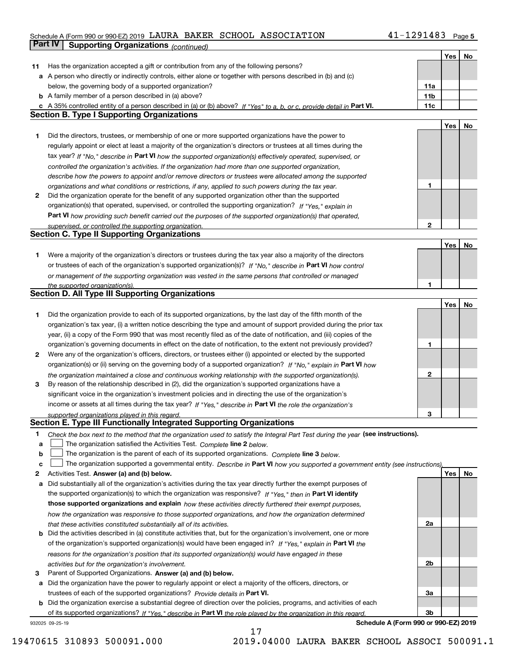### Schedule A (Form 990 or 990-EZ) 2019  $\,$  LAURA BAKER <code>SCHOOL</code> <code>ASSOCIATION</code>  $\,$  <code>41–1291483</code> <code> Page</code>

|    | Part IV<br><b>Supporting Organizations (continued)</b>                                                                                                                                                        |              |     |    |
|----|---------------------------------------------------------------------------------------------------------------------------------------------------------------------------------------------------------------|--------------|-----|----|
|    |                                                                                                                                                                                                               |              | Yes | No |
| 11 | Has the organization accepted a gift or contribution from any of the following persons?                                                                                                                       |              |     |    |
|    | a A person who directly or indirectly controls, either alone or together with persons described in (b) and (c)                                                                                                |              |     |    |
|    | below, the governing body of a supported organization?                                                                                                                                                        | 11a          |     |    |
|    | <b>b</b> A family member of a person described in (a) above?                                                                                                                                                  | 11b          |     |    |
|    | c A 35% controlled entity of a person described in (a) or (b) above? If "Yes" to a, b, or c, provide detail in Part VI.                                                                                       | 11c          |     |    |
|    | <b>Section B. Type I Supporting Organizations</b>                                                                                                                                                             |              |     |    |
|    |                                                                                                                                                                                                               |              | Yes | No |
| 1  | Did the directors, trustees, or membership of one or more supported organizations have the power to                                                                                                           |              |     |    |
|    | regularly appoint or elect at least a majority of the organization's directors or trustees at all times during the                                                                                            |              |     |    |
|    | tax year? If "No," describe in Part VI how the supported organization(s) effectively operated, supervised, or                                                                                                 |              |     |    |
|    |                                                                                                                                                                                                               |              |     |    |
|    | controlled the organization's activities. If the organization had more than one supported organization,                                                                                                       |              |     |    |
|    | describe how the powers to appoint and/or remove directors or trustees were allocated among the supported                                                                                                     | 1            |     |    |
| 2  | organizations and what conditions or restrictions, if any, applied to such powers during the tax year.<br>Did the organization operate for the benefit of any supported organization other than the supported |              |     |    |
|    | organization(s) that operated, supervised, or controlled the supporting organization? If "Yes," explain in                                                                                                    |              |     |    |
|    |                                                                                                                                                                                                               |              |     |    |
|    | Part VI how providing such benefit carried out the purposes of the supported organization(s) that operated,                                                                                                   | $\mathbf{2}$ |     |    |
|    | supervised, or controlled the supporting organization.<br><b>Section C. Type II Supporting Organizations</b>                                                                                                  |              |     |    |
|    |                                                                                                                                                                                                               |              |     |    |
|    |                                                                                                                                                                                                               |              | Yes | No |
| 1  | Were a majority of the organization's directors or trustees during the tax year also a majority of the directors                                                                                              |              |     |    |
|    | or trustees of each of the organization's supported organization(s)? If "No." describe in Part VI how control                                                                                                 |              |     |    |
|    | or management of the supporting organization was vested in the same persons that controlled or managed                                                                                                        |              |     |    |
|    | the supported organization(s).<br><b>Section D. All Type III Supporting Organizations</b>                                                                                                                     | 1            |     |    |
|    |                                                                                                                                                                                                               |              |     |    |
|    |                                                                                                                                                                                                               |              | Yes | No |
| 1  | Did the organization provide to each of its supported organizations, by the last day of the fifth month of the                                                                                                |              |     |    |
|    | organization's tax year, (i) a written notice describing the type and amount of support provided during the prior tax                                                                                         |              |     |    |
|    | year, (ii) a copy of the Form 990 that was most recently filed as of the date of notification, and (iii) copies of the                                                                                        |              |     |    |
|    | organization's governing documents in effect on the date of notification, to the extent not previously provided?                                                                                              | 1            |     |    |
| 2  | Were any of the organization's officers, directors, or trustees either (i) appointed or elected by the supported                                                                                              |              |     |    |
|    | organization(s) or (ii) serving on the governing body of a supported organization? If "No," explain in Part VI how                                                                                            |              |     |    |
|    | the organization maintained a close and continuous working relationship with the supported organization(s).                                                                                                   | 2            |     |    |
| 3  | By reason of the relationship described in (2), did the organization's supported organizations have a                                                                                                         |              |     |    |
|    | significant voice in the organization's investment policies and in directing the use of the organization's                                                                                                    |              |     |    |
|    | income or assets at all times during the tax year? If "Yes," describe in Part VI the role the organization's                                                                                                  |              |     |    |
|    | supported organizations played in this regard.                                                                                                                                                                | З            |     |    |
|    | Section E. Type III Functionally Integrated Supporting Organizations                                                                                                                                          |              |     |    |
| 1  | Check the box next to the method that the organization used to satisfy the Integral Part Test during the year (see instructions).                                                                             |              |     |    |
| a  | The organization satisfied the Activities Test. Complete line 2 below.                                                                                                                                        |              |     |    |
| b  | The organization is the parent of each of its supported organizations. Complete line 3 below.                                                                                                                 |              |     |    |
| c  | The organization supported a governmental entity. Describe in Part VI how you supported a government entity (see instructions),                                                                               |              |     |    |
| 2  | Activities Test. Answer (a) and (b) below.                                                                                                                                                                    |              | Yes | No |
| а  | Did substantially all of the organization's activities during the tax year directly further the exempt purposes of                                                                                            |              |     |    |
|    | the supported organization(s) to which the organization was responsive? If "Yes," then in Part VI identify                                                                                                    |              |     |    |
|    | those supported organizations and explain how these activities directly furthered their exempt purposes,                                                                                                      |              |     |    |
|    | how the organization was responsive to those supported organizations, and how the organization determined                                                                                                     |              |     |    |
|    | that these activities constituted substantially all of its activities.                                                                                                                                        | 2a           |     |    |
|    | <b>b</b> Did the activities described in (a) constitute activities that, but for the organization's involvement, one or more                                                                                  |              |     |    |
|    | of the organization's supported organization(s) would have been engaged in? If "Yes," explain in Part VI the                                                                                                  |              |     |    |
|    | reasons for the organization's position that its supported organization(s) would have engaged in these                                                                                                        |              |     |    |
|    | activities but for the organization's involvement.                                                                                                                                                            | 2b           |     |    |
| 3  | Parent of Supported Organizations. Answer (a) and (b) below.                                                                                                                                                  |              |     |    |
|    | a Did the organization have the power to regularly appoint or elect a majority of the officers, directors, or                                                                                                 |              |     |    |
|    | trustees of each of the supported organizations? Provide details in Part VI.                                                                                                                                  | За           |     |    |
|    | <b>b</b> Did the organization exercise a substantial degree of direction over the policies, programs, and activities of each                                                                                  |              |     |    |
|    | of its supported organizations? If "Yes," describe in Part VI the role played by the organization in this regard.                                                                                             | Зb           |     |    |
|    | Schedule A (Form 990 or 990-EZ) 2019<br>932025 09-25-19                                                                                                                                                       |              |     |    |

17

**Schedule A (Form 990 or 990-EZ) 2019**

19470615 310893 500091.000 2019.04000 LAURA BAKER SCHOOL ASSOCI 500091.1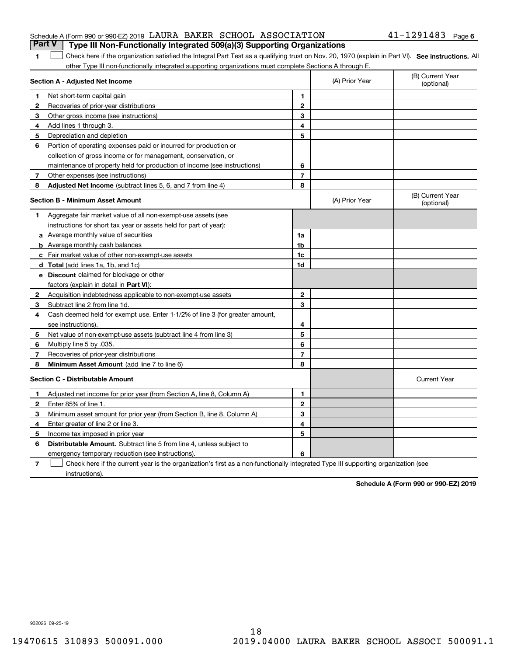### Schedule A (Form 990 or 990-EZ) 2019  $\,$  LAURA BAKER <code>SCHOOL</code> <code>ASSOCIATION</code>  $\,$  <code>41–1291483</code> <code> Page</code> **Part V Type III Non-Functionally Integrated 509(a)(3) Supporting Organizations**

### 1 Check here if the organization satisfied the Integral Part Test as a qualifying trust on Nov. 20, 1970 (explain in Part VI). See instructions. All other Type III non-functionally integrated supporting organizations must complete Sections A through E.

|   | Section A - Adjusted Net Income                                                                                                   |                | (A) Prior Year | (B) Current Year<br>(optional) |
|---|-----------------------------------------------------------------------------------------------------------------------------------|----------------|----------------|--------------------------------|
| 1 | Net short-term capital gain                                                                                                       | 1              |                |                                |
| 2 | Recoveries of prior-year distributions                                                                                            | $\mathbf{2}$   |                |                                |
| 3 | Other gross income (see instructions)                                                                                             | 3              |                |                                |
| 4 | Add lines 1 through 3.                                                                                                            | 4              |                |                                |
| 5 | Depreciation and depletion                                                                                                        | 5              |                |                                |
| 6 | Portion of operating expenses paid or incurred for production or                                                                  |                |                |                                |
|   | collection of gross income or for management, conservation, or                                                                    |                |                |                                |
|   | maintenance of property held for production of income (see instructions)                                                          | 6              |                |                                |
| 7 | Other expenses (see instructions)                                                                                                 | $\overline{7}$ |                |                                |
| 8 | Adjusted Net Income (subtract lines 5, 6, and 7 from line 4)                                                                      | 8              |                |                                |
|   | <b>Section B - Minimum Asset Amount</b>                                                                                           |                | (A) Prior Year | (B) Current Year<br>(optional) |
| 1 | Aggregate fair market value of all non-exempt-use assets (see                                                                     |                |                |                                |
|   | instructions for short tax year or assets held for part of year):                                                                 |                |                |                                |
|   | <b>a</b> Average monthly value of securities                                                                                      | 1a             |                |                                |
|   | <b>b</b> Average monthly cash balances                                                                                            | 1 <sub>b</sub> |                |                                |
|   | c Fair market value of other non-exempt-use assets                                                                                | 1c             |                |                                |
|   | d Total (add lines 1a, 1b, and 1c)                                                                                                | 1d             |                |                                |
|   | e Discount claimed for blockage or other                                                                                          |                |                |                                |
|   | factors (explain in detail in Part VI):                                                                                           |                |                |                                |
| 2 | Acquisition indebtedness applicable to non-exempt-use assets                                                                      | $\mathbf{2}$   |                |                                |
| 3 | Subtract line 2 from line 1d.                                                                                                     | 3              |                |                                |
| 4 | Cash deemed held for exempt use. Enter 1-1/2% of line 3 (for greater amount,                                                      |                |                |                                |
|   | see instructions)                                                                                                                 | 4              |                |                                |
| 5 | Net value of non-exempt-use assets (subtract line 4 from line 3)                                                                  | 5              |                |                                |
| 6 | Multiply line 5 by .035.                                                                                                          | 6              |                |                                |
| 7 | Recoveries of prior-year distributions                                                                                            | 7              |                |                                |
| 8 | <b>Minimum Asset Amount</b> (add line 7 to line 6)                                                                                | 8              |                |                                |
|   | <b>Section C - Distributable Amount</b>                                                                                           |                |                | <b>Current Year</b>            |
| 1 | Adjusted net income for prior year (from Section A, line 8, Column A)                                                             | 1              |                |                                |
| 2 | Enter 85% of line 1.                                                                                                              | $\mathbf{2}$   |                |                                |
| 3 | Minimum asset amount for prior year (from Section B, line 8, Column A)                                                            | 3              |                |                                |
| 4 | Enter greater of line 2 or line 3.                                                                                                | 4              |                |                                |
| 5 | Income tax imposed in prior year                                                                                                  | 5              |                |                                |
| 6 | <b>Distributable Amount.</b> Subtract line 5 from line 4, unless subject to                                                       |                |                |                                |
|   | emergency temporary reduction (see instructions).                                                                                 | 6              |                |                                |
| 7 | Check here if the current year is the organization's first as a non-functionally integrated Type III supporting organization (see |                |                |                                |

instructions).

**1**

**Schedule A (Form 990 or 990-EZ) 2019**

932026 09-25-19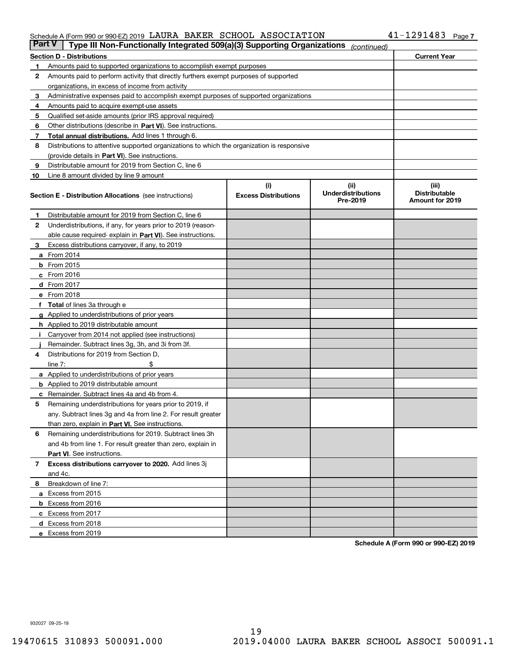### Schedule A (Form 990 or 990-EZ) 2019 LAURA BAKER SCHOOL ASSOCIATION 4 L-I ZY I 4 8 3 Page LAURA BAKER SCHOOL ASSOCIATION 41-1291483

| <b>Part V</b> | Type III Non-Functionally Integrated 509(a)(3) Supporting Organizations                    |                             | (continued)                           |                                         |
|---------------|--------------------------------------------------------------------------------------------|-----------------------------|---------------------------------------|-----------------------------------------|
|               | <b>Section D - Distributions</b>                                                           |                             |                                       | <b>Current Year</b>                     |
| 1             | Amounts paid to supported organizations to accomplish exempt purposes                      |                             |                                       |                                         |
| 2             | Amounts paid to perform activity that directly furthers exempt purposes of supported       |                             |                                       |                                         |
|               | organizations, in excess of income from activity                                           |                             |                                       |                                         |
| 3             | Administrative expenses paid to accomplish exempt purposes of supported organizations      |                             |                                       |                                         |
| 4             | Amounts paid to acquire exempt-use assets                                                  |                             |                                       |                                         |
| 5             | Qualified set-aside amounts (prior IRS approval required)                                  |                             |                                       |                                         |
| 6             | Other distributions (describe in Part VI). See instructions.                               |                             |                                       |                                         |
| 7             | <b>Total annual distributions.</b> Add lines 1 through 6.                                  |                             |                                       |                                         |
| 8             | Distributions to attentive supported organizations to which the organization is responsive |                             |                                       |                                         |
|               | (provide details in Part VI). See instructions.                                            |                             |                                       |                                         |
| 9             | Distributable amount for 2019 from Section C, line 6                                       |                             |                                       |                                         |
| 10            | Line 8 amount divided by line 9 amount                                                     |                             |                                       |                                         |
|               |                                                                                            | (i)                         | (iii)                                 | (iii)                                   |
|               | <b>Section E - Distribution Allocations</b> (see instructions)                             | <b>Excess Distributions</b> | <b>Underdistributions</b><br>Pre-2019 | <b>Distributable</b><br>Amount for 2019 |
| 1             | Distributable amount for 2019 from Section C, line 6                                       |                             |                                       |                                         |
| 2             | Underdistributions, if any, for years prior to 2019 (reason-                               |                             |                                       |                                         |
|               | able cause required- explain in Part VI). See instructions.                                |                             |                                       |                                         |
| З             | Excess distributions carryover, if any, to 2019                                            |                             |                                       |                                         |
|               | <b>a</b> From 2014                                                                         |                             |                                       |                                         |
|               | <b>b</b> From 2015                                                                         |                             |                                       |                                         |
|               | $c$ From 2016                                                                              |                             |                                       |                                         |
|               | d From 2017                                                                                |                             |                                       |                                         |
|               | e From 2018                                                                                |                             |                                       |                                         |
|               | Total of lines 3a through e                                                                |                             |                                       |                                         |
| g             | Applied to underdistributions of prior years                                               |                             |                                       |                                         |
|               | <b>h</b> Applied to 2019 distributable amount                                              |                             |                                       |                                         |
|               | Carryover from 2014 not applied (see instructions)                                         |                             |                                       |                                         |
|               | Remainder. Subtract lines 3g, 3h, and 3i from 3f.                                          |                             |                                       |                                         |
| 4             | Distributions for 2019 from Section D,                                                     |                             |                                       |                                         |
|               | line $7:$                                                                                  |                             |                                       |                                         |
|               | <b>a</b> Applied to underdistributions of prior years                                      |                             |                                       |                                         |
|               | <b>b</b> Applied to 2019 distributable amount                                              |                             |                                       |                                         |
|               | c Remainder. Subtract lines 4a and 4b from 4.                                              |                             |                                       |                                         |
| 5             | Remaining underdistributions for years prior to 2019, if                                   |                             |                                       |                                         |
|               | any. Subtract lines 3g and 4a from line 2. For result greater                              |                             |                                       |                                         |
|               | than zero, explain in Part VI. See instructions.                                           |                             |                                       |                                         |
| 6             | Remaining underdistributions for 2019. Subtract lines 3h                                   |                             |                                       |                                         |
|               | and 4b from line 1. For result greater than zero, explain in                               |                             |                                       |                                         |
|               | Part VI. See instructions.                                                                 |                             |                                       |                                         |
| 7             | Excess distributions carryover to 2020. Add lines 3j                                       |                             |                                       |                                         |
|               | and 4c.                                                                                    |                             |                                       |                                         |
| 8             | Breakdown of line 7:                                                                       |                             |                                       |                                         |
|               | a Excess from 2015                                                                         |                             |                                       |                                         |
|               | <b>b</b> Excess from 2016                                                                  |                             |                                       |                                         |
|               | c Excess from 2017                                                                         |                             |                                       |                                         |
|               | d Excess from 2018                                                                         |                             |                                       |                                         |
|               | e Excess from 2019                                                                         |                             |                                       |                                         |

**Schedule A (Form 990 or 990-EZ) 2019**

932027 09-25-19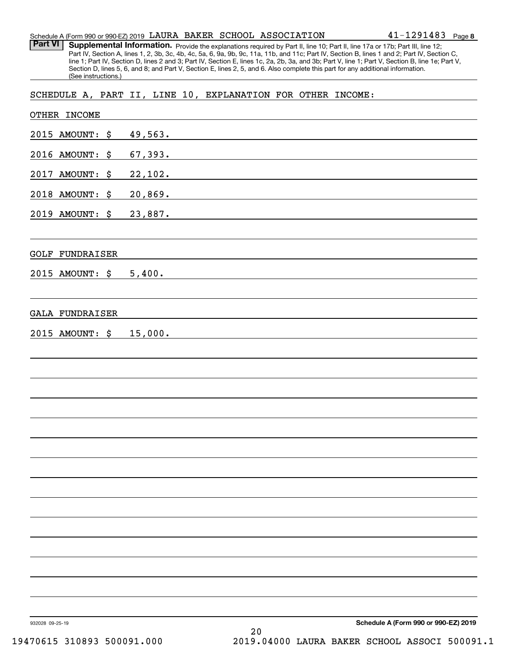| Schedule A (Form 990 or 990-EZ) 2019 LAURA BAKER SCHOOL ASSOCIATION |  |  | $41 - 1291483$ Page 8 |  |
|---------------------------------------------------------------------|--|--|-----------------------|--|
|                                                                     |  |  |                       |  |

Provide the explanations required by Part II, line 10; Part II, line 17a or 17b; Part III, line 12; Part IV, Section A, lines 1, 2, 3b, 3c, 4b, 4c, 5a, 6, 9a, 9b, 9c, 11a, 11b, and 11c; Part IV, Section B, lines 1 and 2; Part IV, Section C, line 1; Part IV, Section D, lines 2 and 3; Part IV, Section E, lines 1c, 2a, 2b, 3a, and 3b; Part V, line 1; Part V, Section B, line 1e; Part V, Section D, lines 5, 6, and 8; and Part V, Section E, lines 2, 5, and 6. Also complete this part for any additional information. (See instructions.) **Part VI Supplemental Information.** 

SCHEDULE A, PART II, LINE 10, EXPLANATION FOR OTHER INCOME:

| OTHER INCOME           |                                                                                                                                 |
|------------------------|---------------------------------------------------------------------------------------------------------------------------------|
| 2015 AMOUNT: \$        | 49,563.<br><u> 1980 - John Stoff, amerikansk politiker (d. 1980)</u>                                                            |
| 2016 AMOUNT:<br>\$     | 67,393.<br><u> 1980 - John Stein, mars and de Britain and de Britain and de Britain and de Britain and de Britain and de Br</u> |
| 2017 AMOUNT:<br>\$     | 22,102.<br><u> 1989 - Andrea Andrew Maria (h. 1989).</u>                                                                        |
| 2018 AMOUNT:<br>\$     | 20,869.<br><u> 1980 - Andrea Andrew Maria (h. 1980).</u>                                                                        |
| 2019 AMOUNT:<br>\$     | 23,887.<br>and the control of the control of the control of the control of the control of the control of the control of the     |
| <b>GOLF FUNDRAISER</b> |                                                                                                                                 |
| 2015 AMOUNT: \$        | 5,400.<br><u> 1989 - Johann Stoff, deutscher Stoff, der Stoff, der Stoff, der Stoff, der Stoff, der Stoff, der Stoff, der S</u> |
| <b>GALA FUNDRAISER</b> |                                                                                                                                 |
| 2015 AMOUNT: \$        | 15,000.                                                                                                                         |
|                        |                                                                                                                                 |
|                        |                                                                                                                                 |
|                        |                                                                                                                                 |
|                        |                                                                                                                                 |
|                        |                                                                                                                                 |
|                        |                                                                                                                                 |
|                        |                                                                                                                                 |
|                        |                                                                                                                                 |
|                        |                                                                                                                                 |
|                        |                                                                                                                                 |
|                        |                                                                                                                                 |
| 932028 09-25-19        | Schedule A (Form 990 or 990-EZ) 2019<br>20                                                                                      |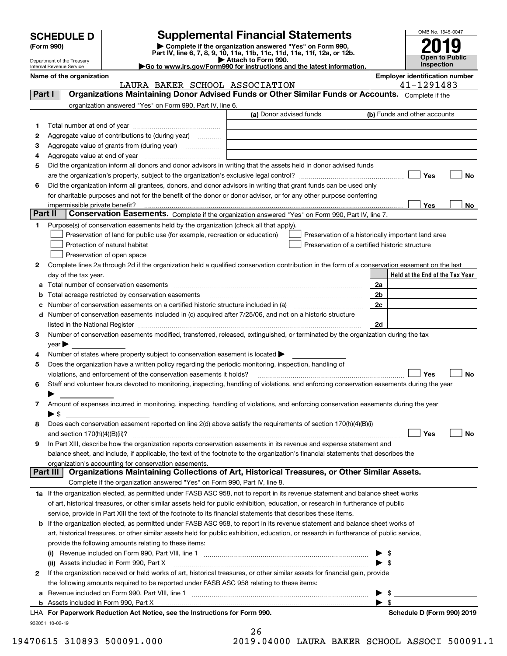|  | <b>SCHEDULE D</b> |  |  |  |
|--|-------------------|--|--|--|
|--|-------------------|--|--|--|

# **Supplemental Financial Statements**

(Form 990)<br>
Pepartment of the Treasury<br>
Department of the Treasury<br>
Department of the Treasury<br>
Department of the Treasury<br> **Co to www.irs.gov/Form990 for instructions and the latest information.**<br> **Co to www.irs.gov/Form9** 



Department of the Treasury Internal Revenue Service

|         | Name of the organization                                                                                                                       | <b>Employer identification number</b><br>41-1291483 |
|---------|------------------------------------------------------------------------------------------------------------------------------------------------|-----------------------------------------------------|
|         | LAURA BAKER SCHOOL ASSOCIATION<br>Organizations Maintaining Donor Advised Funds or Other Similar Funds or Accounts. Complete if the            |                                                     |
| Part I  |                                                                                                                                                |                                                     |
|         | organization answered "Yes" on Form 990, Part IV, line 6.                                                                                      |                                                     |
|         | (a) Donor advised funds                                                                                                                        | (b) Funds and other accounts                        |
| 1       |                                                                                                                                                |                                                     |
| 2       | Aggregate value of contributions to (during year)                                                                                              |                                                     |
| з       | Aggregate value of grants from (during year)                                                                                                   |                                                     |
| 4       |                                                                                                                                                |                                                     |
| 5       | Did the organization inform all donors and donor advisors in writing that the assets held in donor advised funds                               |                                                     |
|         |                                                                                                                                                | Yes<br>No                                           |
| 6       | Did the organization inform all grantees, donors, and donor advisors in writing that grant funds can be used only                              |                                                     |
|         | for charitable purposes and not for the benefit of the donor or donor advisor, or for any other purpose conferring                             |                                                     |
|         | impermissible private benefit?                                                                                                                 | Yes<br>No                                           |
| Part II | Conservation Easements. Complete if the organization answered "Yes" on Form 990, Part IV, line 7.                                              |                                                     |
| 1       | Purpose(s) of conservation easements held by the organization (check all that apply).                                                          |                                                     |
|         | Preservation of land for public use (for example, recreation or education)                                                                     | Preservation of a historically important land area  |
|         | Protection of natural habitat                                                                                                                  | Preservation of a certified historic structure      |
|         | Preservation of open space                                                                                                                     |                                                     |
| 2       | Complete lines 2a through 2d if the organization held a qualified conservation contribution in the form of a conservation easement on the last |                                                     |
|         | day of the tax year.                                                                                                                           | Held at the End of the Tax Year                     |
| a       | Total number of conservation easements                                                                                                         | 2a                                                  |
| b       | Total acreage restricted by conservation easements                                                                                             | 2 <sub>b</sub>                                      |
|         |                                                                                                                                                | 2c                                                  |
| d       | Number of conservation easements included in (c) acquired after 7/25/06, and not on a historic structure                                       |                                                     |
|         |                                                                                                                                                | 2d                                                  |
| 3       | Number of conservation easements modified, transferred, released, extinguished, or terminated by the organization during the tax               |                                                     |
|         | $year \blacktriangleright$                                                                                                                     |                                                     |
|         |                                                                                                                                                |                                                     |
| 4       | Number of states where property subject to conservation easement is located >                                                                  |                                                     |
| 5       | Does the organization have a written policy regarding the periodic monitoring, inspection, handling of                                         | Yes                                                 |
|         | violations, and enforcement of the conservation easements it holds?                                                                            | No                                                  |
| 6       | Staff and volunteer hours devoted to monitoring, inspecting, handling of violations, and enforcing conservation easements during the year      |                                                     |
|         |                                                                                                                                                |                                                     |
| 7       | Amount of expenses incurred in monitoring, inspecting, handling of violations, and enforcing conservation easements during the year            |                                                     |
|         | $\blacktriangleright$ \$                                                                                                                       |                                                     |
| 8       | Does each conservation easement reported on line 2(d) above satisfy the requirements of section 170(h)(4)(B)(i)                                |                                                     |
|         |                                                                                                                                                | Yes<br>No                                           |
|         | In Part XIII, describe how the organization reports conservation easements in its revenue and expense statement and                            |                                                     |
|         | balance sheet, and include, if applicable, the text of the footnote to the organization's financial statements that describes the              |                                                     |
|         | organization's accounting for conservation easements.                                                                                          |                                                     |
|         | Organizations Maintaining Collections of Art, Historical Treasures, or Other Similar Assets.<br><b>Part III</b>                                |                                                     |
|         | Complete if the organization answered "Yes" on Form 990, Part IV, line 8.                                                                      |                                                     |
|         | 1a If the organization elected, as permitted under FASB ASC 958, not to report in its revenue statement and balance sheet works                |                                                     |
|         | of art, historical treasures, or other similar assets held for public exhibition, education, or research in furtherance of public              |                                                     |
|         | service, provide in Part XIII the text of the footnote to its financial statements that describes these items.                                 |                                                     |
| b       | If the organization elected, as permitted under FASB ASC 958, to report in its revenue statement and balance sheet works of                    |                                                     |
|         | art, historical treasures, or other similar assets held for public exhibition, education, or research in furtherance of public service,        |                                                     |
|         | provide the following amounts relating to these items:                                                                                         |                                                     |
|         | (i)                                                                                                                                            | \$                                                  |
|         | (ii) Assets included in Form 990, Part X                                                                                                       | $\sqrt{3}$                                          |
| 2       | If the organization received or held works of art, historical treasures, or other similar assets for financial gain, provide                   |                                                     |
|         | the following amounts required to be reported under FASB ASC 958 relating to these items:                                                      |                                                     |
| а       |                                                                                                                                                | - \$                                                |
|         | <b>b</b> Assets included in Form 990, Part X                                                                                                   | $\blacktriangleright$ s                             |
|         | LHA For Paperwork Reduction Act Notice, see the Instructions for Form 990.                                                                     | Schedule D (Form 990) 2019                          |
|         | 932051 10-02-19                                                                                                                                |                                                     |
|         | 26                                                                                                                                             |                                                     |

19470615 310893 500091.000 2019.04000 LAURA BAKER SCHOOL ASSOCI 500091.1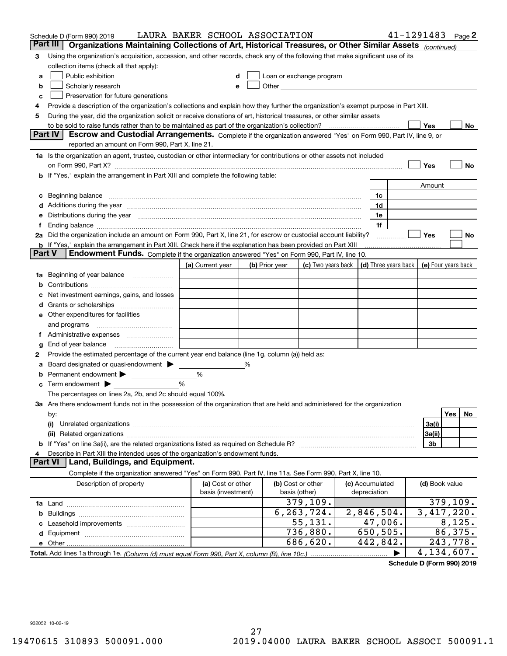|        | Schedule D (Form 990) 2019                                                                                                                                                                                                     | LAURA BAKER SCHOOL ASSOCIATION |   |                |                                                                                                                                                                                                                               |                      | 41-1291483     | Page 2              |
|--------|--------------------------------------------------------------------------------------------------------------------------------------------------------------------------------------------------------------------------------|--------------------------------|---|----------------|-------------------------------------------------------------------------------------------------------------------------------------------------------------------------------------------------------------------------------|----------------------|----------------|---------------------|
|        | Part III<br>Organizations Maintaining Collections of Art, Historical Treasures, or Other Similar Assets (continued)                                                                                                            |                                |   |                |                                                                                                                                                                                                                               |                      |                |                     |
| 3      | Using the organization's acquisition, accession, and other records, check any of the following that make significant use of its                                                                                                |                                |   |                |                                                                                                                                                                                                                               |                      |                |                     |
|        | collection items (check all that apply):                                                                                                                                                                                       |                                |   |                |                                                                                                                                                                                                                               |                      |                |                     |
| a      | Public exhibition                                                                                                                                                                                                              |                                |   |                | Loan or exchange program                                                                                                                                                                                                      |                      |                |                     |
| b      | Scholarly research                                                                                                                                                                                                             |                                | е |                | Other and the contract of the contract of the contract of the contract of the contract of the contract of the contract of the contract of the contract of the contract of the contract of the contract of the contract of the |                      |                |                     |
| с      | Preservation for future generations                                                                                                                                                                                            |                                |   |                |                                                                                                                                                                                                                               |                      |                |                     |
| 4      | Provide a description of the organization's collections and explain how they further the organization's exempt purpose in Part XIII.                                                                                           |                                |   |                |                                                                                                                                                                                                                               |                      |                |                     |
| 5      | During the year, did the organization solicit or receive donations of art, historical treasures, or other similar assets                                                                                                       |                                |   |                |                                                                                                                                                                                                                               |                      |                |                     |
|        | to be sold to raise funds rather than to be maintained as part of the organization's collection?                                                                                                                               |                                |   |                |                                                                                                                                                                                                                               |                      | Yes            | No                  |
|        | <b>Part IV</b><br>Escrow and Custodial Arrangements. Complete if the organization answered "Yes" on Form 990, Part IV, line 9, or                                                                                              |                                |   |                |                                                                                                                                                                                                                               |                      |                |                     |
|        | reported an amount on Form 990, Part X, line 21.                                                                                                                                                                               |                                |   |                |                                                                                                                                                                                                                               |                      |                |                     |
|        | 1a Is the organization an agent, trustee, custodian or other intermediary for contributions or other assets not included                                                                                                       |                                |   |                |                                                                                                                                                                                                                               |                      |                |                     |
|        | on Form 990, Part X? [11] matter contracts and contracts and contracts are contracted and contracts are contracted and contract and contract of the contract of the contract of the contract of the contract of the contract o |                                |   |                |                                                                                                                                                                                                                               |                      | Yes            | No                  |
|        | b If "Yes," explain the arrangement in Part XIII and complete the following table:                                                                                                                                             |                                |   |                |                                                                                                                                                                                                                               |                      |                |                     |
|        |                                                                                                                                                                                                                                |                                |   |                |                                                                                                                                                                                                                               |                      | Amount         |                     |
| c      | Beginning balance measurements and contain a series of the series of the series of the series of the series of                                                                                                                 |                                |   |                |                                                                                                                                                                                                                               | 1c                   |                |                     |
|        | Additions during the year manufactured and an annual contract of the year manufactured and all the year manufactured and all the year manufactured and all the year manufactured and all the year manufactured and all the yea |                                |   |                |                                                                                                                                                                                                                               | 1d                   |                |                     |
|        | Distributions during the year manufactured and an account of the state of the state of the state of the state o                                                                                                                |                                |   |                |                                                                                                                                                                                                                               | 1e                   |                |                     |
| Ť.,    |                                                                                                                                                                                                                                |                                |   |                |                                                                                                                                                                                                                               | 1f                   |                |                     |
|        | 2a Did the organization include an amount on Form 990, Part X, line 21, for escrow or custodial account liability?                                                                                                             |                                |   |                |                                                                                                                                                                                                                               | .                    | Yes            | No                  |
|        | <b>b</b> If "Yes," explain the arrangement in Part XIII. Check here if the explanation has been provided on Part XIII                                                                                                          |                                |   |                |                                                                                                                                                                                                                               |                      |                |                     |
| Part V | Endowment Funds. Complete if the organization answered "Yes" on Form 990, Part IV, line 10.                                                                                                                                    |                                |   |                |                                                                                                                                                                                                                               |                      |                |                     |
|        |                                                                                                                                                                                                                                | (a) Current year               |   | (b) Prior year | (c) Two years back                                                                                                                                                                                                            | (d) Three years back |                | (e) Four years back |
| 1a     | Beginning of year balance                                                                                                                                                                                                      |                                |   |                |                                                                                                                                                                                                                               |                      |                |                     |
|        |                                                                                                                                                                                                                                |                                |   |                |                                                                                                                                                                                                                               |                      |                |                     |
|        | Net investment earnings, gains, and losses                                                                                                                                                                                     |                                |   |                |                                                                                                                                                                                                                               |                      |                |                     |
| d      |                                                                                                                                                                                                                                |                                |   |                |                                                                                                                                                                                                                               |                      |                |                     |
|        | e Other expenditures for facilities                                                                                                                                                                                            |                                |   |                |                                                                                                                                                                                                                               |                      |                |                     |
|        | and programs                                                                                                                                                                                                                   |                                |   |                |                                                                                                                                                                                                                               |                      |                |                     |
|        |                                                                                                                                                                                                                                |                                |   |                |                                                                                                                                                                                                                               |                      |                |                     |
| g      |                                                                                                                                                                                                                                |                                |   |                |                                                                                                                                                                                                                               |                      |                |                     |
| 2      | Provide the estimated percentage of the current year end balance (line 1g, column (a)) held as:                                                                                                                                |                                |   |                |                                                                                                                                                                                                                               |                      |                |                     |
| а      | Board designated or quasi-endowment                                                                                                                                                                                            |                                | ℅ |                |                                                                                                                                                                                                                               |                      |                |                     |
|        | Permanent endowment > 1<br>Term endowment $\blacktriangleright$                                                                                                                                                                | %<br>%                         |   |                |                                                                                                                                                                                                                               |                      |                |                     |
|        | The percentages on lines 2a, 2b, and 2c should equal 100%.                                                                                                                                                                     |                                |   |                |                                                                                                                                                                                                                               |                      |                |                     |
|        | 3a Are there endowment funds not in the possession of the organization that are held and administered for the organization                                                                                                     |                                |   |                |                                                                                                                                                                                                                               |                      |                |                     |
|        | by:                                                                                                                                                                                                                            |                                |   |                |                                                                                                                                                                                                                               |                      |                | Yes<br>No.          |
|        | (i)                                                                                                                                                                                                                            |                                |   |                |                                                                                                                                                                                                                               |                      | 3a(i)          |                     |
|        |                                                                                                                                                                                                                                |                                |   |                |                                                                                                                                                                                                                               |                      | 3a(ii)         |                     |
|        |                                                                                                                                                                                                                                |                                |   |                |                                                                                                                                                                                                                               |                      | 3b             |                     |
|        | Describe in Part XIII the intended uses of the organization's endowment funds.                                                                                                                                                 |                                |   |                |                                                                                                                                                                                                                               |                      |                |                     |
|        | Land, Buildings, and Equipment.<br>Part VI                                                                                                                                                                                     |                                |   |                |                                                                                                                                                                                                                               |                      |                |                     |
|        | Complete if the organization answered "Yes" on Form 990, Part IV, line 11a. See Form 990, Part X, line 10.                                                                                                                     |                                |   |                |                                                                                                                                                                                                                               |                      |                |                     |
|        | Description of property                                                                                                                                                                                                        | (a) Cost or other              |   |                | (b) Cost or other                                                                                                                                                                                                             | (c) Accumulated      | (d) Book value |                     |
|        |                                                                                                                                                                                                                                | basis (investment)             |   |                | basis (other)                                                                                                                                                                                                                 | depreciation         |                |                     |
|        |                                                                                                                                                                                                                                |                                |   |                | 379, 109.                                                                                                                                                                                                                     |                      |                | 379, 109.           |
| b      |                                                                                                                                                                                                                                |                                |   |                | 6,263,724.                                                                                                                                                                                                                    | 2,846,504.           |                | 3,417,220.          |
|        |                                                                                                                                                                                                                                |                                |   |                | 55,131.                                                                                                                                                                                                                       | 47,006.              |                | 8,125.              |
|        |                                                                                                                                                                                                                                |                                |   |                | 736,880.                                                                                                                                                                                                                      | 650,505.             |                | 86,375.             |
|        |                                                                                                                                                                                                                                |                                |   |                | 686,620.                                                                                                                                                                                                                      | 442,842.             |                | 243,778.            |
|        |                                                                                                                                                                                                                                |                                |   |                |                                                                                                                                                                                                                               |                      |                | 4,134,607.          |

**Schedule D (Form 990) 2019**

932052 10-02-19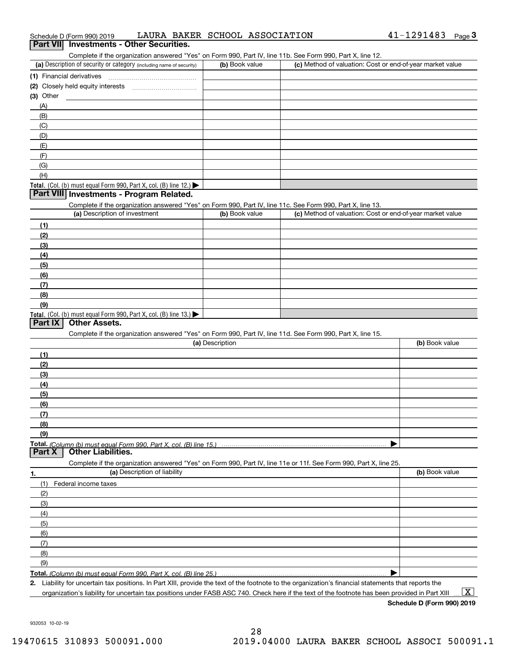| 41-1291483<br>LAURA BAKER SCHOOL ASSOCIATION<br>Schedule D (Form 990) 2019 | Page |  |
|----------------------------------------------------------------------------|------|--|
|----------------------------------------------------------------------------|------|--|

### **Part VII Investments - Other Securities.**

Complete if the organization answered "Yes" on Form 990, Part IV, line 11b. See Form 990, Part X, line 12.

| (a) Description of security or category (including name of security)                          | (b) Book value | (c) Method of valuation: Cost or end-of-year market value |
|-----------------------------------------------------------------------------------------------|----------------|-----------------------------------------------------------|
| (1) Financial derivatives                                                                     |                |                                                           |
| (2) Closely held equity interests                                                             |                |                                                           |
| (3) Other                                                                                     |                |                                                           |
| (A)                                                                                           |                |                                                           |
| (B)                                                                                           |                |                                                           |
| (C)                                                                                           |                |                                                           |
| (D)                                                                                           |                |                                                           |
| (E)                                                                                           |                |                                                           |
| (F)                                                                                           |                |                                                           |
| (G)                                                                                           |                |                                                           |
| (H)                                                                                           |                |                                                           |
| <b>Total.</b> (Col. (b) must equal Form 990, Part X, col. (B) line 12.) $\blacktriangleright$ |                |                                                           |

### **Part VIII Investments - Program Related.**

Complete if the organization answered "Yes" on Form 990, Part IV, line 11c. See Form 990, Part X, line 13.

| (a) Description of investment                                                          | (b) Book value | (c) Method of valuation: Cost or end-of-year market value |
|----------------------------------------------------------------------------------------|----------------|-----------------------------------------------------------|
| (1)                                                                                    |                |                                                           |
| (2)                                                                                    |                |                                                           |
| $\frac{1}{2}$                                                                          |                |                                                           |
| (4)                                                                                    |                |                                                           |
| (5)                                                                                    |                |                                                           |
| (6)                                                                                    |                |                                                           |
| (7)                                                                                    |                |                                                           |
| (8)                                                                                    |                |                                                           |
| (9)                                                                                    |                |                                                           |
| Total. (Col. (b) must equal Form 990, Part X, col. (B) line 13.) $\blacktriangleright$ |                |                                                           |

### **Part IX Other Assets.**

Complete if the organization answered "Yes" on Form 990, Part IV, line 11d. See Form 990, Part X, line 15.

| (a) Description                                                                                                   | (b) Book value |
|-------------------------------------------------------------------------------------------------------------------|----------------|
| (1)                                                                                                               |                |
| (2)                                                                                                               |                |
| (3)                                                                                                               |                |
| (4)                                                                                                               |                |
| (5)                                                                                                               |                |
| (6)                                                                                                               |                |
| (7)                                                                                                               |                |
| (8)                                                                                                               |                |
| (9)                                                                                                               |                |
|                                                                                                                   |                |
| <b>Part X</b> Other Liabilities.                                                                                  |                |
| Complete if the organization answered "Yes" on Form 990, Part IV, line 11e or 11f. See Form 990, Part X, line 25. |                |

| 1.                  | (a) Description of liability | (b) Book value |
|---------------------|------------------------------|----------------|
| (1)                 | Federal income taxes         |                |
| (2)                 |                              |                |
| $\qquad \qquad (3)$ |                              |                |
| (4)                 |                              |                |
| (5)                 |                              |                |
| (6)                 |                              |                |
| (7)                 |                              |                |
| (8)                 |                              |                |
| (9)                 |                              |                |
|                     |                              |                |

*(Column (b) must equal Form 990, Part X, col. (B) line 25.)* 

**2.**Liability for uncertain tax positions. In Part XIII, provide the text of the footnote to the organization's financial statements that reports the organization's liability for uncertain tax positions under FASB ASC 740. Check here if the text of the footnote has been provided in Part XIII

**Schedule D (Form 990) 2019**

 $\boxed{\text{X}}$ 

932053 10-02-19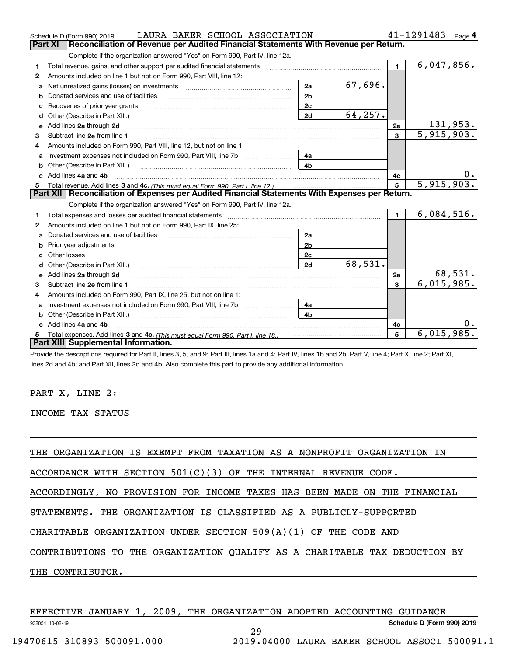|   | LAURA BAKER SCHOOL ASSOCIATION<br>Schedule D (Form 990) 2019                                                        |                |         |                | 41-1291483<br>Page 4 |
|---|---------------------------------------------------------------------------------------------------------------------|----------------|---------|----------------|----------------------|
|   | Reconciliation of Revenue per Audited Financial Statements With Revenue per Return.<br>Part XI                      |                |         |                |                      |
|   | Complete if the organization answered "Yes" on Form 990, Part IV, line 12a.                                         |                |         |                |                      |
| 1 | Total revenue, gains, and other support per audited financial statements                                            |                |         | $\blacksquare$ | 6,047,856.           |
| 2 | Amounts included on line 1 but not on Form 990, Part VIII, line 12:                                                 |                |         |                |                      |
| a | Net unrealized gains (losses) on investments [11] matter contracts and the unrealized gains (losses) on investments | 2a             | 67,696. |                |                      |
| b |                                                                                                                     | 2 <sub>b</sub> |         |                |                      |
|   |                                                                                                                     | 2c             |         |                |                      |
| d |                                                                                                                     | 2d             | 64,257. |                |                      |
| е | Add lines 2a through 2d                                                                                             |                |         | 2e             | 131,953.             |
| 3 |                                                                                                                     |                |         | $\mathbf{3}$   | 5,915,903.           |
| 4 | Amounts included on Form 990, Part VIII, line 12, but not on line 1:                                                |                |         |                |                      |
| a |                                                                                                                     | 4a             |         |                |                      |
|   |                                                                                                                     | 4 <sub>h</sub> |         |                |                      |
|   | c Add lines 4a and 4b                                                                                               |                |         | 4с             | О.                   |
| 5 |                                                                                                                     |                | 5       | 5,915,903.     |                      |
|   | Part XII   Reconciliation of Expenses per Audited Financial Statements With Expenses per Return.                    |                |         |                |                      |
|   | Complete if the organization answered "Yes" on Form 990, Part IV, line 12a.                                         |                |         |                |                      |
| 1 | Total expenses and losses per audited financial statements                                                          |                |         | $\blacksquare$ | 6,084,516.           |
| 2 | Amounts included on line 1 but not on Form 990, Part IX, line 25:                                                   |                |         |                |                      |
| a |                                                                                                                     | 2a             |         |                |                      |
| b |                                                                                                                     | 2 <sub>b</sub> |         |                |                      |
| c |                                                                                                                     | 2c             |         |                |                      |
| d |                                                                                                                     | 2d             | 68,531. |                |                      |
|   |                                                                                                                     |                |         | 2e             | 68,531.              |
| з |                                                                                                                     |                |         | 3              | 6,015,985.           |
| 4 | Amounts included on Form 990, Part IX, line 25, but not on line 1:                                                  |                |         |                |                      |
| a |                                                                                                                     | 4a             |         |                |                      |
| b | Other (Describe in Part XIII.)                                                                                      | 4 <sub>b</sub> |         |                |                      |
|   | c Add lines 4a and 4b                                                                                               |                |         | 4c             |                      |
| 5 |                                                                                                                     |                |         | 5              | 6,015,985.           |
|   | Part XIII Supplemental Information.                                                                                 |                |         |                |                      |
|   |                                                                                                                     |                |         |                |                      |

Provide the descriptions required for Part II, lines 3, 5, and 9; Part III, lines 1a and 4; Part IV, lines 1b and 2b; Part V, line 4; Part X, line 2; Part XI, lines 2d and 4b; and Part XII, lines 2d and 4b. Also complete this part to provide any additional information.

### PART X, LINE 2:

INCOME TAX STATUS

THE ORGANIZATION IS EXEMPT FROM TAXATION AS A NONPROFIT ORGANIZATION IN

ACCORDANCE WITH SECTION  $501(C)(3)$  OF THE INTERNAL REVENUE CODE.

ACCORDINGLY, NO PROVISION FOR INCOME TAXES HAS BEEN MADE ON THE FINANCIAL

STATEMENTS. THE ORGANIZATION IS CLASSIFIED AS A PUBLICLY-SUPPORTED

CHARITABLE ORGANIZATION UNDER SECTION 509(A)(1) OF THE CODE AND

CONTRIBUTIONS TO THE ORGANIZATION QUALIFY AS A CHARITABLE TAX DEDUCTION BY

THE CONTRIBUTOR.

|                            |  |  | EFFECTIVE JANUARY 1, 2009, THE ORGANIZATION ADOPTED ACCOUNTING GUIDANCE |                                               |                            |  |
|----------------------------|--|--|-------------------------------------------------------------------------|-----------------------------------------------|----------------------------|--|
| 932054 10-02-19            |  |  |                                                                         |                                               | Schedule D (Form 990) 2019 |  |
|                            |  |  | 29                                                                      |                                               |                            |  |
| 19470615 310893 500091.000 |  |  |                                                                         | 2019.04000 LAURA BAKER SCHOOL ASSOCI 500091.1 |                            |  |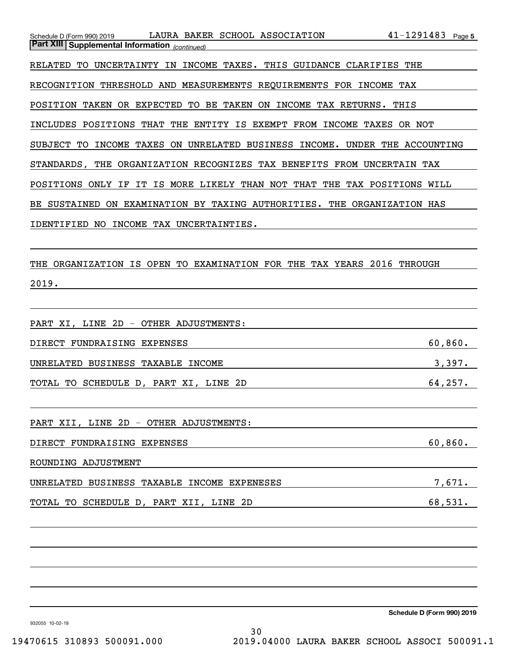| LAURA BAKER SCHOOL ASSOCIATION<br>Schedule D (Form 990) 2019               | $41 - 1291483$ Page 5 |
|----------------------------------------------------------------------------|-----------------------|
| Part XIII Supplemental Information (continued)                             |                       |
| RELATED TO UNCERTAINTY IN INCOME TAXES. THIS GUIDANCE CLARIFIES THE        |                       |
| RECOGNITION THRESHOLD AND MEASUREMENTS REQUIREMENTS FOR INCOME TAX         |                       |
| POSITION TAKEN OR EXPECTED TO BE TAKEN ON INCOME TAX RETURNS. THIS         |                       |
| INCLUDES POSITIONS THAT THE ENTITY IS EXEMPT FROM INCOME TAXES OR NOT      |                       |
| SUBJECT TO INCOME TAXES ON UNRELATED BUSINESS INCOME. UNDER THE ACCOUNTING |                       |
| STANDARDS, THE ORGANIZATION RECOGNIZES TAX BENEFITS FROM UNCERTAIN TAX     |                       |
| POSITIONS ONLY IF IT IS MORE LIKELY THAN NOT THAT THE TAX POSITIONS WILL   |                       |
| BE SUSTAINED ON EXAMINATION BY TAXING AUTHORITIES. THE ORGANIZATION HAS    |                       |
| IDENTIFIED NO INCOME TAX UNCERTAINTIES.                                    |                       |
|                                                                            |                       |
| THE ORGANIZATION IS OPEN TO EXAMINATION FOR THE TAX YEARS 2016 THROUGH     |                       |
| 2019.                                                                      |                       |
|                                                                            |                       |
| PART XI, LINE 2D - OTHER ADJUSTMENTS:                                      |                       |

| FUNDRAISING EXPENSES<br>DIRECT |                   | 860.<br>60 |
|--------------------------------|-------------------|------------|
| BUSINESS<br>UNRELATED          | INCOME<br>TAXABLE |            |

TOTAL TO SCHEDULE D, PART XI, LINE 2D 64,257.

PART XII, LINE 2D - OTHER ADJUSTMENTS:

DIRECT FUNDRAISING EXPENSES 60,860.

ROUNDING ADJUSTMENT

| UNRELATED BUSINESS TAXABLE INCOME EXPENESES |          |         |         |
|---------------------------------------------|----------|---------|---------|
|                                             |          |         |         |
| TOTAL TO SCHEDULE D,                        | PART XII | LINE 2D | 68,531. |

**Schedule D (Form 990) 2019**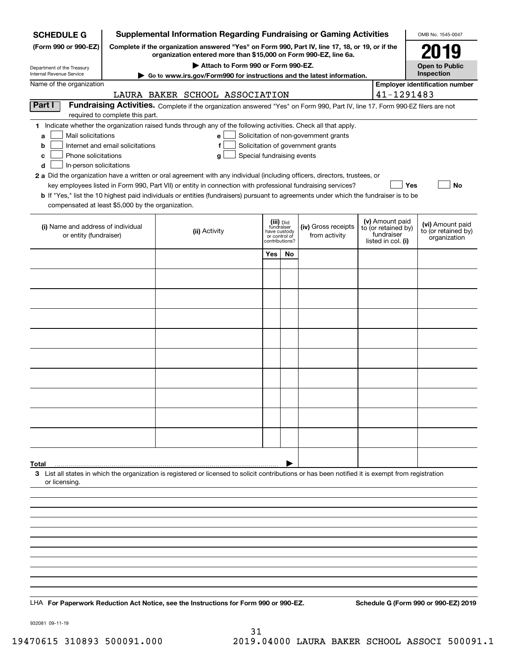| <b>SCHEDULE G</b>                                                                                                                             |                                  | <b>Supplemental Information Regarding Fundraising or Gaming Activities</b>                                                                                                                                                                                                                                                                                                                                                                                                                                                                                |                                                                            |    |                                                                            |                                                                            | OMB No. 1545-0047                                       |
|-----------------------------------------------------------------------------------------------------------------------------------------------|----------------------------------|-----------------------------------------------------------------------------------------------------------------------------------------------------------------------------------------------------------------------------------------------------------------------------------------------------------------------------------------------------------------------------------------------------------------------------------------------------------------------------------------------------------------------------------------------------------|----------------------------------------------------------------------------|----|----------------------------------------------------------------------------|----------------------------------------------------------------------------|---------------------------------------------------------|
| (Form 990 or 990-EZ)                                                                                                                          |                                  | Complete if the organization answered "Yes" on Form 990, Part IV, line 17, 18, or 19, or if the<br>organization entered more than \$15,000 on Form 990-EZ, line 6a.                                                                                                                                                                                                                                                                                                                                                                                       |                                                                            |    |                                                                            |                                                                            | 2019                                                    |
| Department of the Treasury<br>Internal Revenue Service                                                                                        |                                  | Attach to Form 990 or Form 990-EZ.<br>Go to www.irs.gov/Form990 for instructions and the latest information.                                                                                                                                                                                                                                                                                                                                                                                                                                              |                                                                            |    |                                                                            |                                                                            | <b>Open to Public</b><br>Inspection                     |
| Name of the organization                                                                                                                      |                                  |                                                                                                                                                                                                                                                                                                                                                                                                                                                                                                                                                           |                                                                            |    |                                                                            |                                                                            | <b>Employer identification number</b>                   |
|                                                                                                                                               |                                  | LAURA BAKER SCHOOL ASSOCIATION                                                                                                                                                                                                                                                                                                                                                                                                                                                                                                                            |                                                                            |    |                                                                            | 41-1291483                                                                 |                                                         |
| Part I                                                                                                                                        | required to complete this part.  | Fundraising Activities. Complete if the organization answered "Yes" on Form 990, Part IV, line 17. Form 990-EZ filers are not                                                                                                                                                                                                                                                                                                                                                                                                                             |                                                                            |    |                                                                            |                                                                            |                                                         |
| Mail solicitations<br>a<br>b<br>Phone solicitations<br>c<br>In-person solicitations<br>d<br>compensated at least \$5,000 by the organization. | Internet and email solicitations | 1 Indicate whether the organization raised funds through any of the following activities. Check all that apply.<br>е<br>f<br>Special fundraising events<br>g<br>2 a Did the organization have a written or oral agreement with any individual (including officers, directors, trustees, or<br>key employees listed in Form 990, Part VII) or entity in connection with professional fundraising services?<br><b>b</b> If "Yes," list the 10 highest paid individuals or entities (fundraisers) pursuant to agreements under which the fundraiser is to be |                                                                            |    | Solicitation of non-government grants<br>Solicitation of government grants | Yes                                                                        | No                                                      |
| (i) Name and address of individual<br>or entity (fundraiser)                                                                                  |                                  | (ii) Activity                                                                                                                                                                                                                                                                                                                                                                                                                                                                                                                                             | (iii) Did<br>fundraiser<br>have custody<br>or control of<br>contributions? |    | (iv) Gross receipts<br>from activity                                       | (v) Amount paid<br>to (or retained by)<br>fundraiser<br>listed in col. (i) | (vi) Amount paid<br>to (or retained by)<br>organization |
|                                                                                                                                               |                                  |                                                                                                                                                                                                                                                                                                                                                                                                                                                                                                                                                           | Yes                                                                        | No |                                                                            |                                                                            |                                                         |
|                                                                                                                                               |                                  |                                                                                                                                                                                                                                                                                                                                                                                                                                                                                                                                                           |                                                                            |    |                                                                            |                                                                            |                                                         |
|                                                                                                                                               |                                  |                                                                                                                                                                                                                                                                                                                                                                                                                                                                                                                                                           |                                                                            |    |                                                                            |                                                                            |                                                         |
|                                                                                                                                               |                                  |                                                                                                                                                                                                                                                                                                                                                                                                                                                                                                                                                           |                                                                            |    |                                                                            |                                                                            |                                                         |
|                                                                                                                                               |                                  |                                                                                                                                                                                                                                                                                                                                                                                                                                                                                                                                                           |                                                                            |    |                                                                            |                                                                            |                                                         |
|                                                                                                                                               |                                  |                                                                                                                                                                                                                                                                                                                                                                                                                                                                                                                                                           |                                                                            |    |                                                                            |                                                                            |                                                         |
|                                                                                                                                               |                                  |                                                                                                                                                                                                                                                                                                                                                                                                                                                                                                                                                           |                                                                            |    |                                                                            |                                                                            |                                                         |
|                                                                                                                                               |                                  |                                                                                                                                                                                                                                                                                                                                                                                                                                                                                                                                                           |                                                                            |    |                                                                            |                                                                            |                                                         |
|                                                                                                                                               |                                  |                                                                                                                                                                                                                                                                                                                                                                                                                                                                                                                                                           |                                                                            |    |                                                                            |                                                                            |                                                         |
|                                                                                                                                               |                                  |                                                                                                                                                                                                                                                                                                                                                                                                                                                                                                                                                           |                                                                            |    |                                                                            |                                                                            |                                                         |
|                                                                                                                                               |                                  |                                                                                                                                                                                                                                                                                                                                                                                                                                                                                                                                                           |                                                                            |    |                                                                            |                                                                            |                                                         |
|                                                                                                                                               |                                  |                                                                                                                                                                                                                                                                                                                                                                                                                                                                                                                                                           |                                                                            |    |                                                                            |                                                                            |                                                         |
|                                                                                                                                               |                                  |                                                                                                                                                                                                                                                                                                                                                                                                                                                                                                                                                           |                                                                            |    |                                                                            |                                                                            |                                                         |
|                                                                                                                                               |                                  |                                                                                                                                                                                                                                                                                                                                                                                                                                                                                                                                                           |                                                                            |    |                                                                            |                                                                            |                                                         |
| Total<br>or licensing.                                                                                                                        |                                  | 3 List all states in which the organization is registered or licensed to solicit contributions or has been notified it is exempt from registration                                                                                                                                                                                                                                                                                                                                                                                                        |                                                                            |    |                                                                            |                                                                            |                                                         |
|                                                                                                                                               |                                  |                                                                                                                                                                                                                                                                                                                                                                                                                                                                                                                                                           |                                                                            |    |                                                                            |                                                                            |                                                         |
|                                                                                                                                               |                                  |                                                                                                                                                                                                                                                                                                                                                                                                                                                                                                                                                           |                                                                            |    |                                                                            |                                                                            |                                                         |
|                                                                                                                                               |                                  |                                                                                                                                                                                                                                                                                                                                                                                                                                                                                                                                                           |                                                                            |    |                                                                            |                                                                            |                                                         |
|                                                                                                                                               |                                  |                                                                                                                                                                                                                                                                                                                                                                                                                                                                                                                                                           |                                                                            |    |                                                                            |                                                                            |                                                         |
|                                                                                                                                               |                                  |                                                                                                                                                                                                                                                                                                                                                                                                                                                                                                                                                           |                                                                            |    |                                                                            |                                                                            |                                                         |
|                                                                                                                                               |                                  |                                                                                                                                                                                                                                                                                                                                                                                                                                                                                                                                                           |                                                                            |    |                                                                            |                                                                            |                                                         |
|                                                                                                                                               |                                  |                                                                                                                                                                                                                                                                                                                                                                                                                                                                                                                                                           |                                                                            |    |                                                                            |                                                                            |                                                         |
|                                                                                                                                               |                                  | LHA For Paperwork Reduction Act Notice, see the Instructions for Form 990 or 990-EZ.                                                                                                                                                                                                                                                                                                                                                                                                                                                                      |                                                                            |    |                                                                            |                                                                            | Schedule G (Form 990 or 990-EZ) 2019                    |

932081 09-11-19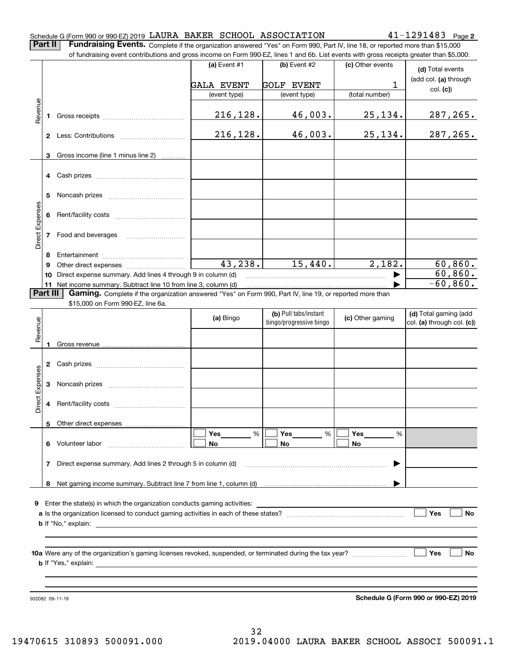|                   | of fundraising event contributions and gross income on Form 990-EZ, lines 1 and 6b. List events with gross receipts greater than \$5,000.     | (a) Event #1      | (b) Event #2                                     |                  |                                                     |
|-------------------|-----------------------------------------------------------------------------------------------------------------------------------------------|-------------------|--------------------------------------------------|------------------|-----------------------------------------------------|
|                   |                                                                                                                                               |                   |                                                  | (c) Other events | (d) Total events                                    |
|                   |                                                                                                                                               | <b>GALA EVENT</b> | <b>GOLF EVENT</b>                                | 1                | (add col. (a) through                               |
|                   |                                                                                                                                               | (event type)      | (event type)                                     | (total number)   | col. (c)                                            |
| Revenue<br>1      |                                                                                                                                               | 216,128.          | 46,003.                                          | 25,134.          | 287,265.                                            |
|                   |                                                                                                                                               | 216,128.          | 46,003.                                          | 25, 134.         | 287,265.                                            |
| 3                 | Gross income (line 1 minus line 2)<br>.                                                                                                       |                   |                                                  |                  |                                                     |
| 4                 | Cash prizes                                                                                                                                   |                   |                                                  |                  |                                                     |
| 5                 |                                                                                                                                               |                   |                                                  |                  |                                                     |
| 6                 |                                                                                                                                               |                   |                                                  |                  |                                                     |
| Direct Expenses   | 7 Food and beverages                                                                                                                          |                   |                                                  |                  |                                                     |
|                   |                                                                                                                                               |                   |                                                  |                  |                                                     |
| 8                 |                                                                                                                                               |                   |                                                  |                  |                                                     |
| 9                 |                                                                                                                                               | 43, 238.          | 15,440.                                          | 2,182.           | 60,860.                                             |
| 10                | Direct expense summary. Add lines 4 through 9 in column (d)                                                                                   |                   |                                                  |                  | 60,860.                                             |
|                   | 11 Net income summary. Subtract line 10 from line 3, column (d)                                                                               |                   |                                                  |                  | $-60,860.$                                          |
| Part III          | Gaming. Complete if the organization answered "Yes" on Form 990, Part IV, line 19, or reported more than<br>\$15,000 on Form 990-EZ, line 6a. |                   |                                                  |                  |                                                     |
|                   |                                                                                                                                               | (a) Bingo         | (b) Pull tabs/instant<br>bingo/progressive bingo | (c) Other gaming | (d) Total gaming (add<br>col. (a) through col. (c)) |
| Revenue<br>1      |                                                                                                                                               |                   |                                                  |                  |                                                     |
|                   |                                                                                                                                               |                   |                                                  |                  |                                                     |
| 2                 | Cash prizes [11] Cash prizes [11] Cash prizes [11] Cash prizes [11] Casa Dividend Dividend Dividend Dividend D                                |                   |                                                  |                  |                                                     |
| ect Expenses<br>3 |                                                                                                                                               |                   |                                                  |                  |                                                     |
| ة                 | 4 Rent/facility costs                                                                                                                         |                   |                                                  |                  |                                                     |
| 5                 |                                                                                                                                               |                   |                                                  |                  |                                                     |
|                   | 6 Volunteer labor                                                                                                                             | Yes<br>%<br>No    | Yes<br>%<br>No                                   | Yes<br>%<br>No   |                                                     |
| 7                 | Direct expense summary. Add lines 2 through 5 in column (d)                                                                                   |                   |                                                  |                  |                                                     |
|                   |                                                                                                                                               |                   |                                                  |                  |                                                     |
|                   |                                                                                                                                               |                   |                                                  |                  |                                                     |
|                   | <b>9</b> Enter the state(s) in which the organization conducts gaming activities:                                                             |                   |                                                  |                  | Yes<br><b>No</b>                                    |
|                   |                                                                                                                                               |                   |                                                  |                  |                                                     |
|                   |                                                                                                                                               |                   |                                                  |                  | Yes<br><b>No</b>                                    |
|                   |                                                                                                                                               |                   |                                                  |                  |                                                     |
|                   |                                                                                                                                               |                   |                                                  |                  |                                                     |
|                   |                                                                                                                                               |                   |                                                  |                  |                                                     |

LAURA BAKER SCHOOL ASSOCIATION 41-1291483

32 19470615 310893 500091.000 2019.04000 LAURA BAKER SCHOOL ASSOCI 500091.1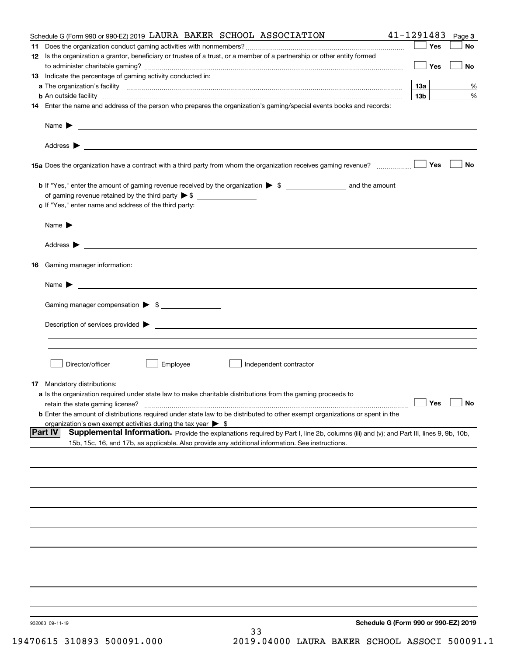|     | Schedule G (Form 990 or 990-EZ) 2019 LAURA BAKER SCHOOL ASSOCIATION                                                                                           | 41-1291483           | Page 3    |
|-----|---------------------------------------------------------------------------------------------------------------------------------------------------------------|----------------------|-----------|
| 11. |                                                                                                                                                               | Yes                  | No        |
|     | 12 Is the organization a grantor, beneficiary or trustee of a trust, or a member of a partnership or other entity formed                                      | Yes                  | No        |
|     | 13 Indicate the percentage of gaming activity conducted in:                                                                                                   |                      |           |
|     |                                                                                                                                                               | <u>13a</u>           | %         |
|     | <b>b</b> An outside facility <i>www.communicality www.communicality.communicality www.communicality www.communicality.communicality www.communicality.com</i> | 13 <sub>b</sub>      | %         |
|     | 14 Enter the name and address of the person who prepares the organization's gaming/special events books and records:                                          |                      |           |
|     |                                                                                                                                                               |                      |           |
|     |                                                                                                                                                               |                      |           |
|     |                                                                                                                                                               |                      | <b>No</b> |
|     |                                                                                                                                                               |                      |           |
|     |                                                                                                                                                               |                      |           |
|     | c If "Yes," enter name and address of the third party:                                                                                                        |                      |           |
|     | Name $\blacktriangleright$ $\bot$                                                                                                                             |                      |           |
|     |                                                                                                                                                               |                      |           |
|     | 16 Gaming manager information:                                                                                                                                |                      |           |
|     | Name $\blacktriangleright$ $\frac{1}{\sqrt{1-\frac{1}{2}}\left(1-\frac{1}{2}\right)}$                                                                         |                      |           |
|     | Gaming manager compensation > \$                                                                                                                              |                      |           |
|     |                                                                                                                                                               |                      |           |
|     |                                                                                                                                                               |                      |           |
|     |                                                                                                                                                               |                      |           |
|     | Director/officer<br>Employee<br>Independent contractor                                                                                                        |                      |           |
|     | 17 Mandatory distributions:                                                                                                                                   |                      |           |
|     | a Is the organization required under state law to make charitable distributions from the gaming proceeds to                                                   |                      |           |
|     | retain the state gaming license?                                                                                                                              | $\Box$ Yes $\Box$ No |           |
|     | <b>b</b> Enter the amount of distributions required under state law to be distributed to other exempt organizations or spent in the                           |                      |           |
|     | organization's own exempt activities during the tax year $\triangleright$ \$                                                                                  |                      |           |
|     | Part IV<br>Supplemental Information. Provide the explanations required by Part I, line 2b, columns (iii) and (v); and Part III, lines 9, 9b, 10b,             |                      |           |
|     | 15b, 15c, 16, and 17b, as applicable. Also provide any additional information. See instructions.                                                              |                      |           |
|     |                                                                                                                                                               |                      |           |
|     |                                                                                                                                                               |                      |           |
|     |                                                                                                                                                               |                      |           |
|     |                                                                                                                                                               |                      |           |
|     |                                                                                                                                                               |                      |           |
|     |                                                                                                                                                               |                      |           |
|     |                                                                                                                                                               |                      |           |
|     |                                                                                                                                                               |                      |           |
|     |                                                                                                                                                               |                      |           |
|     | Schedule G (Form 990 or 990-EZ) 2019<br>932083 09-11-19                                                                                                       |                      |           |
|     | 33<br>$C15$ adoon fooood                                                                                                                                      |                      |           |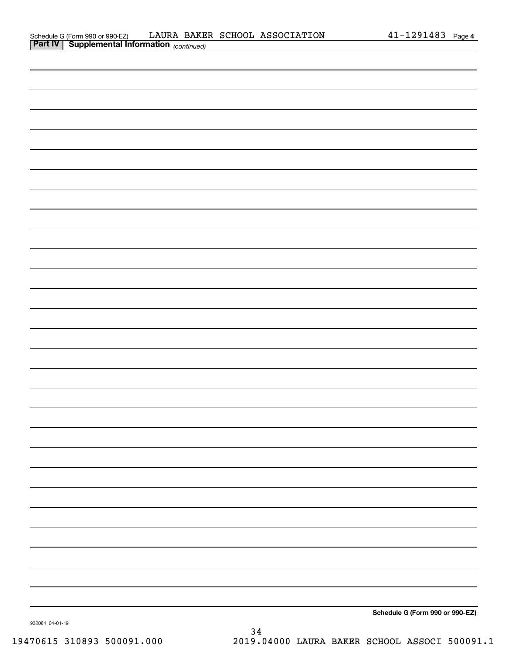|                | Schedule G (Form 990 or 990-EZ)                 | LAURA |  | BAKER SCHOOL ASSOCIATION | . 291<br>.483 | Page 4 |
|----------------|-------------------------------------------------|-------|--|--------------------------|---------------|--------|
| <b>Part IV</b> | Supplemental Information <sub>(continued)</sub> |       |  |                          |               |        |

| Schedule G (Form 990 or 990-EZ) |  |
|---------------------------------|--|
|                                 |  |
|                                 |  |
|                                 |  |
|                                 |  |
|                                 |  |
|                                 |  |
|                                 |  |
|                                 |  |
|                                 |  |
|                                 |  |
|                                 |  |
|                                 |  |
|                                 |  |
|                                 |  |
|                                 |  |
|                                 |  |
|                                 |  |
|                                 |  |
|                                 |  |
|                                 |  |
|                                 |  |
|                                 |  |
|                                 |  |
|                                 |  |
|                                 |  |
|                                 |  |
|                                 |  |
|                                 |  |
|                                 |  |
|                                 |  |
|                                 |  |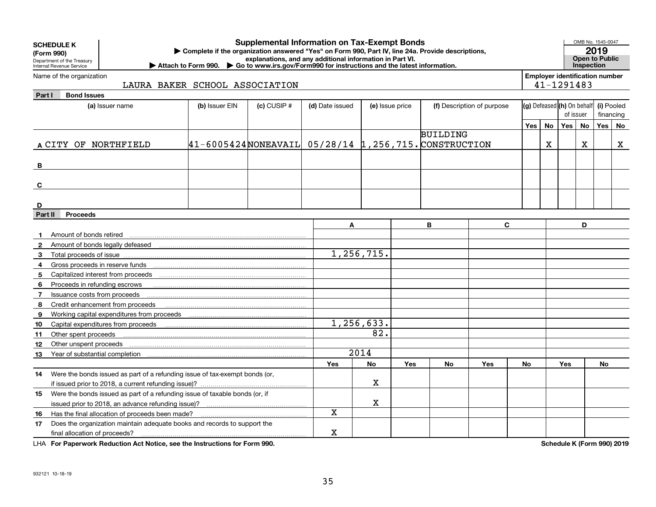| <b>SCHEDULE K</b><br>(Form 990)<br>Department of the Treasury<br>Internal Revenue Service | <b>Supplemental Information on Tax-Exempt Bonds</b><br>Complete if the organization answered "Yes" on Form 990, Part IV, line 24a. Provide descriptions,<br>explanations, and any additional information in Part VI.<br>▶ Attach to Form 990. ▶ Go to www.irs.gov/Form990 for instructions and the latest information. |                 |                 |                 |            |                 |                            |           |                                                     |            |    |            | OMB No. 1545-0047<br>2019<br><b>Open to Public</b><br>Inspection |  |
|-------------------------------------------------------------------------------------------|------------------------------------------------------------------------------------------------------------------------------------------------------------------------------------------------------------------------------------------------------------------------------------------------------------------------|-----------------|-----------------|-----------------|------------|-----------------|----------------------------|-----------|-----------------------------------------------------|------------|----|------------|------------------------------------------------------------------|--|
| Name of the organization                                                                  | LAURA BAKER SCHOOL ASSOCIATION                                                                                                                                                                                                                                                                                         |                 |                 |                 |            |                 |                            |           | <b>Employer identification number</b><br>41-1291483 |            |    |            |                                                                  |  |
| Part I<br><b>Bond Issues</b>                                                              |                                                                                                                                                                                                                                                                                                                        |                 |                 |                 |            |                 |                            |           |                                                     |            |    |            |                                                                  |  |
| (a) Issuer name                                                                           | (b) Issuer EIN                                                                                                                                                                                                                                                                                                         | $(c)$ CUSIP $#$ | (d) Date issued | (e) Issue price |            |                 | (f) Description of purpose |           | (g) Defeased (h) On behalf                          |            |    | (i) Pooled |                                                                  |  |
|                                                                                           |                                                                                                                                                                                                                                                                                                                        |                 |                 |                 |            |                 |                            |           |                                                     | of issuer  |    | financing  |                                                                  |  |
|                                                                                           |                                                                                                                                                                                                                                                                                                                        |                 |                 |                 |            |                 |                            | Yes       | <b>No</b>                                           | Yes        | No | Yes No     |                                                                  |  |
|                                                                                           |                                                                                                                                                                                                                                                                                                                        |                 |                 |                 |            | <b>BUILDING</b> |                            |           |                                                     |            |    |            |                                                                  |  |
| A CITY OF NORTHFIELD                                                                      | $ 41-6005424 $ NONEAVAIL 05/28/14 1,256,715. CONSTRUCTION                                                                                                                                                                                                                                                              |                 |                 |                 |            |                 |                            |           | X                                                   |            | X  |            | $\mathbf X$                                                      |  |
|                                                                                           |                                                                                                                                                                                                                                                                                                                        |                 |                 |                 |            |                 |                            |           |                                                     |            |    |            |                                                                  |  |
| B                                                                                         |                                                                                                                                                                                                                                                                                                                        |                 |                 |                 |            |                 |                            |           |                                                     |            |    |            |                                                                  |  |
|                                                                                           |                                                                                                                                                                                                                                                                                                                        |                 |                 |                 |            |                 |                            |           |                                                     |            |    |            |                                                                  |  |
| C                                                                                         |                                                                                                                                                                                                                                                                                                                        |                 |                 |                 |            |                 |                            |           |                                                     |            |    |            |                                                                  |  |
|                                                                                           |                                                                                                                                                                                                                                                                                                                        |                 |                 |                 |            |                 |                            |           |                                                     |            |    |            |                                                                  |  |
| D                                                                                         |                                                                                                                                                                                                                                                                                                                        |                 |                 |                 |            |                 |                            |           |                                                     |            |    |            |                                                                  |  |
| <b>Proceeds</b><br>Part II                                                                |                                                                                                                                                                                                                                                                                                                        |                 |                 |                 |            |                 |                            |           |                                                     |            |    |            |                                                                  |  |
|                                                                                           |                                                                                                                                                                                                                                                                                                                        |                 | A               |                 |            | B               | $\mathbf{C}$               |           |                                                     |            | D  |            |                                                                  |  |
| Amount of bonds retired<br>-1                                                             |                                                                                                                                                                                                                                                                                                                        |                 |                 |                 |            |                 |                            |           |                                                     |            |    |            |                                                                  |  |
| $\mathbf{2}$                                                                              |                                                                                                                                                                                                                                                                                                                        |                 |                 |                 |            |                 |                            |           |                                                     |            |    |            |                                                                  |  |
| 3<br>Total proceeds of issue                                                              |                                                                                                                                                                                                                                                                                                                        |                 |                 | 1,256,715.      |            |                 |                            |           |                                                     |            |    |            |                                                                  |  |
| 4                                                                                         |                                                                                                                                                                                                                                                                                                                        |                 |                 |                 |            |                 |                            |           |                                                     |            |    |            |                                                                  |  |
| 5                                                                                         |                                                                                                                                                                                                                                                                                                                        |                 |                 |                 |            |                 |                            |           |                                                     |            |    |            |                                                                  |  |
| Proceeds in refunding escrows<br>6                                                        |                                                                                                                                                                                                                                                                                                                        |                 |                 |                 |            |                 |                            |           |                                                     |            |    |            |                                                                  |  |
| Issuance costs from proceeds<br>$\overline{7}$                                            |                                                                                                                                                                                                                                                                                                                        |                 |                 |                 |            |                 |                            |           |                                                     |            |    |            |                                                                  |  |
| Credit enhancement from proceeds<br>8                                                     |                                                                                                                                                                                                                                                                                                                        |                 |                 |                 |            |                 |                            |           |                                                     |            |    |            |                                                                  |  |
| 9                                                                                         |                                                                                                                                                                                                                                                                                                                        |                 |                 |                 |            |                 |                            |           |                                                     |            |    |            |                                                                  |  |
| 10                                                                                        |                                                                                                                                                                                                                                                                                                                        |                 |                 | 1,256,633.      |            |                 |                            |           |                                                     |            |    |            |                                                                  |  |
| Other spent proceeds<br>11                                                                |                                                                                                                                                                                                                                                                                                                        |                 |                 | 82.             |            |                 |                            |           |                                                     |            |    |            |                                                                  |  |
| Other unspent proceeds<br>12                                                              |                                                                                                                                                                                                                                                                                                                        |                 |                 |                 |            |                 |                            |           |                                                     |            |    |            |                                                                  |  |
| Year of substantial completion<br>13                                                      |                                                                                                                                                                                                                                                                                                                        |                 |                 | 2014            |            |                 |                            |           |                                                     |            |    |            |                                                                  |  |
|                                                                                           |                                                                                                                                                                                                                                                                                                                        |                 | Yes             | <b>No</b>       | <b>Yes</b> | No              | Yes                        | <b>No</b> |                                                     | <b>Yes</b> |    | <b>No</b>  |                                                                  |  |
| 14 Were the bonds issued as part of a refunding issue of tax-exempt bonds (or,            |                                                                                                                                                                                                                                                                                                                        |                 |                 |                 |            |                 |                            |           |                                                     |            |    |            |                                                                  |  |
| if issued prior to 2018, a current refunding issue)?                                      |                                                                                                                                                                                                                                                                                                                        |                 |                 | x               |            |                 |                            |           |                                                     |            |    |            |                                                                  |  |
| Were the bonds issued as part of a refunding issue of taxable bonds (or, if<br>15         |                                                                                                                                                                                                                                                                                                                        |                 |                 |                 |            |                 |                            |           |                                                     |            |    |            |                                                                  |  |
| issued prior to 2018, an advance refunding issue)?                                        |                                                                                                                                                                                                                                                                                                                        |                 |                 | x               |            |                 |                            |           |                                                     |            |    |            |                                                                  |  |
| Has the final allocation of proceeds been made?<br>16                                     |                                                                                                                                                                                                                                                                                                                        |                 | X               |                 |            |                 |                            |           |                                                     |            |    |            |                                                                  |  |
| Does the organization maintain adequate books and records to support the<br>17            |                                                                                                                                                                                                                                                                                                                        |                 |                 |                 |            |                 |                            |           |                                                     |            |    |            |                                                                  |  |
| final allocation of proceeds?                                                             |                                                                                                                                                                                                                                                                                                                        |                 | x               |                 |            |                 |                            |           |                                                     |            |    |            |                                                                  |  |

**For Paperwork Reduction Act Notice, see the Instructions for Form 990. Schedule K (Form 990) 2019** LHA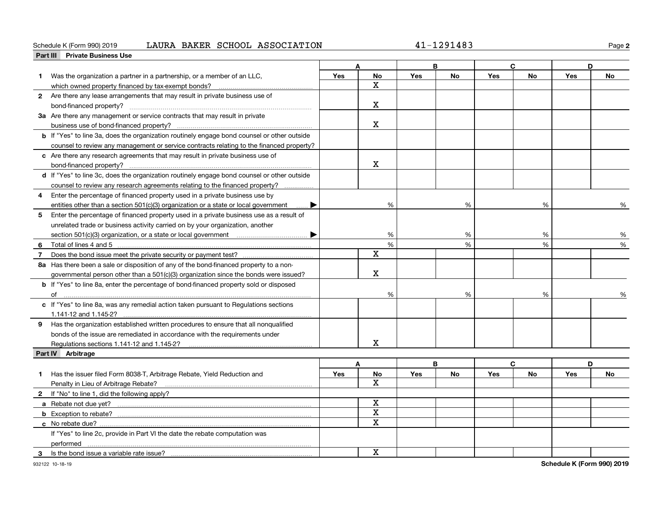### Schedule K (Form 990) 2019 Page LAURA BAKER SCHOOL ASSOCIATION 41-1291483

**2**

| <b>Private Business Use</b><br>Part III                                                                                                                                                                                             |     |                         |            |           |            |           |            |           |
|-------------------------------------------------------------------------------------------------------------------------------------------------------------------------------------------------------------------------------------|-----|-------------------------|------------|-----------|------------|-----------|------------|-----------|
|                                                                                                                                                                                                                                     |     | A                       |            | B         |            | C         |            | D         |
| Was the organization a partner in a partnership, or a member of an LLC,<br>1.                                                                                                                                                       | Yes | <b>No</b>               | <b>Yes</b> | <b>No</b> | Yes        | <b>No</b> | <b>Yes</b> | <b>No</b> |
| which owned property financed by tax-exempt bonds?                                                                                                                                                                                  |     | $\mathbf X$             |            |           |            |           |            |           |
| 2 Are there any lease arrangements that may result in private business use of                                                                                                                                                       |     |                         |            |           |            |           |            |           |
|                                                                                                                                                                                                                                     |     | $\mathbf X$             |            |           |            |           |            |           |
| 3a Are there any management or service contracts that may result in private                                                                                                                                                         |     |                         |            |           |            |           |            |           |
|                                                                                                                                                                                                                                     |     | $\mathbf X$             |            |           |            |           |            |           |
| b If "Yes" to line 3a, does the organization routinely engage bond counsel or other outside                                                                                                                                         |     |                         |            |           |            |           |            |           |
| counsel to review any management or service contracts relating to the financed property?                                                                                                                                            |     |                         |            |           |            |           |            |           |
| c Are there any research agreements that may result in private business use of                                                                                                                                                      |     |                         |            |           |            |           |            |           |
|                                                                                                                                                                                                                                     |     | X                       |            |           |            |           |            |           |
| d If "Yes" to line 3c, does the organization routinely engage bond counsel or other outside                                                                                                                                         |     |                         |            |           |            |           |            |           |
| counsel to review any research agreements relating to the financed property?                                                                                                                                                        |     |                         |            |           |            |           |            |           |
| Enter the percentage of financed property used in a private business use by<br>4                                                                                                                                                    |     |                         |            |           |            |           |            |           |
| entities other than a section 501(c)(3) organization or a state or local government                                                                                                                                                 |     | %                       |            | %         |            | %         |            | %         |
| 5<br>Enter the percentage of financed property used in a private business use as a result of                                                                                                                                        |     |                         |            |           |            |           |            |           |
| unrelated trade or business activity carried on by your organization, another                                                                                                                                                       |     |                         |            |           |            |           |            |           |
|                                                                                                                                                                                                                                     |     | %                       |            | %         |            | %         |            | %         |
| 6<br>Total of lines 4 and 5 [11, 2010] Total of lines 4 and 5 [11, 2010] Total of lines 4 and 5 [11, 2010] Total and Total All and Total All and Total All and Total All and Total All and Total All and Total All and Total All an |     | %                       |            | %         |            | %         |            | %         |
| $\overline{7}$                                                                                                                                                                                                                      |     | $\mathbf x$             |            |           |            |           |            |           |
| 8a Has there been a sale or disposition of any of the bond-financed property to a non-                                                                                                                                              |     |                         |            |           |            |           |            |           |
| governmental person other than a 501(c)(3) organization since the bonds were issued?                                                                                                                                                |     | $\mathbf X$             |            |           |            |           |            |           |
| <b>b</b> If "Yes" to line 8a, enter the percentage of bond-financed property sold or disposed                                                                                                                                       |     |                         |            |           |            |           |            |           |
| of                                                                                                                                                                                                                                  |     | %                       |            | %         |            | %         |            | ℅         |
| c If "Yes" to line 8a, was any remedial action taken pursuant to Regulations sections                                                                                                                                               |     |                         |            |           |            |           |            |           |
|                                                                                                                                                                                                                                     |     |                         |            |           |            |           |            |           |
| 9 Has the organization established written procedures to ensure that all nonqualified                                                                                                                                               |     |                         |            |           |            |           |            |           |
| bonds of the issue are remediated in accordance with the requirements under                                                                                                                                                         |     |                         |            |           |            |           |            |           |
|                                                                                                                                                                                                                                     |     | $\mathbf X$             |            |           |            |           |            |           |
| Part IV Arbitrage                                                                                                                                                                                                                   |     |                         |            |           |            |           |            |           |
|                                                                                                                                                                                                                                     |     | A                       |            | B         |            | C         |            | D         |
| Has the issuer filed Form 8038-T, Arbitrage Rebate, Yield Reduction and<br>1                                                                                                                                                        | Yes | No                      | <b>Yes</b> | <b>No</b> | <b>Yes</b> | No        | <b>Yes</b> | <b>No</b> |
| Penalty in Lieu of Arbitrage Rebate?                                                                                                                                                                                                |     | x                       |            |           |            |           |            |           |
| 2 If "No" to line 1, did the following apply?                                                                                                                                                                                       |     |                         |            |           |            |           |            |           |
| a Rebate not due yet?                                                                                                                                                                                                               |     | $\mathbf x$             |            |           |            |           |            |           |
|                                                                                                                                                                                                                                     |     | $\overline{\mathbf{X}}$ |            |           |            |           |            |           |
|                                                                                                                                                                                                                                     |     | $\overline{\mathbf{x}}$ |            |           |            |           |            |           |
| If "Yes" to line 2c, provide in Part VI the date the rebate computation was                                                                                                                                                         |     |                         |            |           |            |           |            |           |
| performed                                                                                                                                                                                                                           |     |                         |            |           |            |           |            |           |
| Is the bond issue a variable rate issue?<br>3                                                                                                                                                                                       |     | $\mathbf X$             |            |           |            |           |            |           |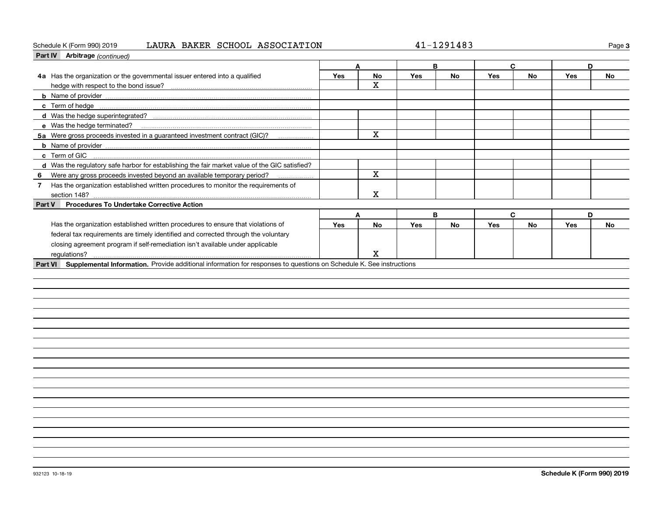### Schedule K (Form 990) 2019 Page LAURA BAKER SCHOOL ASSOCIATION 41-1291483

**3**

| Part IV Arbitrage (continued)                                                                                                                                                                                                        |            |                         |     |           |            |              |     |    |
|--------------------------------------------------------------------------------------------------------------------------------------------------------------------------------------------------------------------------------------|------------|-------------------------|-----|-----------|------------|--------------|-----|----|
|                                                                                                                                                                                                                                      | A          |                         | B   |           | C          |              | D   |    |
| 4a Has the organization or the governmental issuer entered into a qualified                                                                                                                                                          | <b>Yes</b> | <b>No</b>               | Yes | No        | <b>Yes</b> | <b>No</b>    | Yes | No |
|                                                                                                                                                                                                                                      |            | x                       |     |           |            |              |     |    |
|                                                                                                                                                                                                                                      |            |                         |     |           |            |              |     |    |
| c Term of hedge <b>manual contract to the contract of the contract of the contract of the contract of the contract of the contract of the contract of the contract of the contract of the contract of the contract of the contra</b> |            |                         |     |           |            |              |     |    |
|                                                                                                                                                                                                                                      |            |                         |     |           |            |              |     |    |
| e Was the hedge terminated?                                                                                                                                                                                                          |            |                         |     |           |            |              |     |    |
| 5a Were gross proceeds invested in a guaranteed investment contract (GIC)?                                                                                                                                                           |            | $\overline{\mathbf{x}}$ |     |           |            |              |     |    |
|                                                                                                                                                                                                                                      |            |                         |     |           |            |              |     |    |
| c Term of GIC                                                                                                                                                                                                                        |            |                         |     |           |            |              |     |    |
| d Was the regulatory safe harbor for establishing the fair market value of the GIC satisfied?                                                                                                                                        |            |                         |     |           |            |              |     |    |
| 6 Were any gross proceeds invested beyond an available temporary period?                                                                                                                                                             |            | $\mathbf X$             |     |           |            |              |     |    |
| Has the organization established written procedures to monitor the requirements of<br>7 <sup>7</sup>                                                                                                                                 |            |                         |     |           |            |              |     |    |
| section 148?                                                                                                                                                                                                                         |            | X                       |     |           |            |              |     |    |
| <b>Procedures To Undertake Corrective Action</b><br>Part V                                                                                                                                                                           |            |                         |     |           |            |              |     |    |
|                                                                                                                                                                                                                                      | A          |                         |     | B         |            | $\mathbf{C}$ | D   |    |
| Has the organization established written procedures to ensure that violations of                                                                                                                                                     | Yes        | No                      | Yes | <b>No</b> | Yes        | <b>No</b>    | Yes | No |
| federal tax requirements are timely identified and corrected through the voluntary                                                                                                                                                   |            |                         |     |           |            |              |     |    |
| closing agreement program if self-remediation isn't available under applicable                                                                                                                                                       |            |                         |     |           |            |              |     |    |
| regulations?                                                                                                                                                                                                                         |            | x                       |     |           |            |              |     |    |
| Part VI Supplemental Information. Provide additional information for responses to questions on Schedule K. See instructions                                                                                                          |            |                         |     |           |            |              |     |    |
|                                                                                                                                                                                                                                      |            |                         |     |           |            |              |     |    |
|                                                                                                                                                                                                                                      |            |                         |     |           |            |              |     |    |
|                                                                                                                                                                                                                                      |            |                         |     |           |            |              |     |    |
|                                                                                                                                                                                                                                      |            |                         |     |           |            |              |     |    |
|                                                                                                                                                                                                                                      |            |                         |     |           |            |              |     |    |
|                                                                                                                                                                                                                                      |            |                         |     |           |            |              |     |    |
|                                                                                                                                                                                                                                      |            |                         |     |           |            |              |     |    |
|                                                                                                                                                                                                                                      |            |                         |     |           |            |              |     |    |
|                                                                                                                                                                                                                                      |            |                         |     |           |            |              |     |    |
|                                                                                                                                                                                                                                      |            |                         |     |           |            |              |     |    |
|                                                                                                                                                                                                                                      |            |                         |     |           |            |              |     |    |
|                                                                                                                                                                                                                                      |            |                         |     |           |            |              |     |    |
|                                                                                                                                                                                                                                      |            |                         |     |           |            |              |     |    |
|                                                                                                                                                                                                                                      |            |                         |     |           |            |              |     |    |
|                                                                                                                                                                                                                                      |            |                         |     |           |            |              |     |    |
|                                                                                                                                                                                                                                      |            |                         |     |           |            |              |     |    |
|                                                                                                                                                                                                                                      |            |                         |     |           |            |              |     |    |
|                                                                                                                                                                                                                                      |            |                         |     |           |            |              |     |    |
|                                                                                                                                                                                                                                      |            |                         |     |           |            |              |     |    |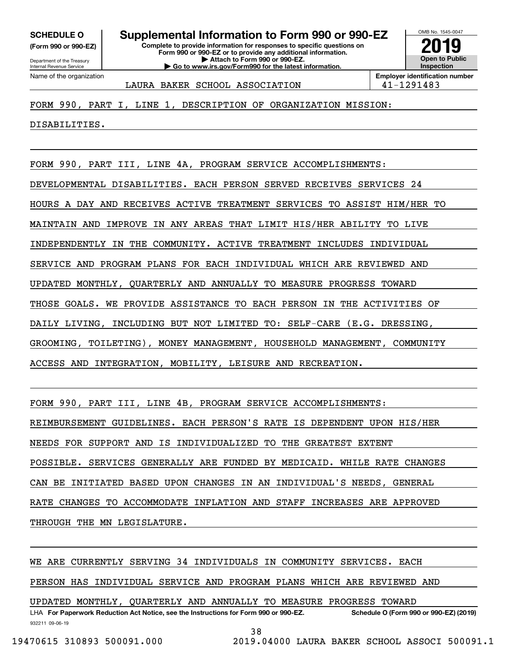**(Form 990 or 990-EZ)**

Department of the Treasury Internal Revenue Service Name of the organization

### **Complete to provide information for responses to specific questions on SCHEDULE O Supplemental Information to Form 990 or 990-EZ**

**Form 990 or 990-EZ or to provide any additional information. | Attach to Form 990 or 990-EZ. | Go to www.irs.gov/Form990 for the latest information.**



LAURA BAKER SCHOOL ASSOCIATION 141-1291483

FORM 990, PART I, LINE 1, DESCRIPTION OF ORGANIZATION MISSION:

DISABILITIES.

FORM 990, PART III, LINE 4A, PROGRAM SERVICE ACCOMPLISHMENTS:

DEVELOPMENTAL DISABILITIES. EACH PERSON SERVED RECEIVES SERVICES 24

HOURS A DAY AND RECEIVES ACTIVE TREATMENT SERVICES TO ASSIST HIM/HER TO

MAINTAIN AND IMPROVE IN ANY AREAS THAT LIMIT HIS/HER ABILITY TO LIVE

INDEPENDENTLY IN THE COMMUNITY. ACTIVE TREATMENT INCLUDES INDIVIDUAL

SERVICE AND PROGRAM PLANS FOR EACH INDIVIDUAL WHICH ARE REVIEWED AND

UPDATED MONTHLY, QUARTERLY AND ANNUALLY TO MEASURE PROGRESS TOWARD

THOSE GOALS. WE PROVIDE ASSISTANCE TO EACH PERSON IN THE ACTIVITIES OF

DAILY LIVING, INCLUDING BUT NOT LIMITED TO: SELF-CARE (E.G. DRESSING,

GROOMING, TOILETING), MONEY MANAGEMENT, HOUSEHOLD MANAGEMENT, COMMUNITY

ACCESS AND INTEGRATION, MOBILITY, LEISURE AND RECREATION.

FORM 990, PART III, LINE 4B, PROGRAM SERVICE ACCOMPLISHMENTS:

REIMBURSEMENT GUIDELINES. EACH PERSON'S RATE IS DEPENDENT UPON HIS/HER

NEEDS FOR SUPPORT AND IS INDIVIDUALIZED TO THE GREATEST EXTENT

POSSIBLE. SERVICES GENERALLY ARE FUNDED BY MEDICAID. WHILE RATE CHANGES

CAN BE INITIATED BASED UPON CHANGES IN AN INDIVIDUAL'S NEEDS, GENERAL

RATE CHANGES TO ACCOMMODATE INFLATION AND STAFF INCREASES ARE APPROVED

THROUGH THE MN LEGISLATURE.

WE ARE CURRENTLY SERVING 34 INDIVIDUALS IN COMMUNITY SERVICES. EACH

PERSON HAS INDIVIDUAL SERVICE AND PROGRAM PLANS WHICH ARE REVIEWED AND

UPDATED MONTHLY, QUARTERLY AND ANNUALLY TO MEASURE PROGRESS TOWARD

932211 09-06-19 LHA For Paperwork Reduction Act Notice, see the Instructions for Form 990 or 990-EZ. Schedule O (Form 990 or 990-EZ) (2019)

38

19470615 310893 500091.000 2019.04000 LAURA BAKER SCHOOL ASSOCI 500091.1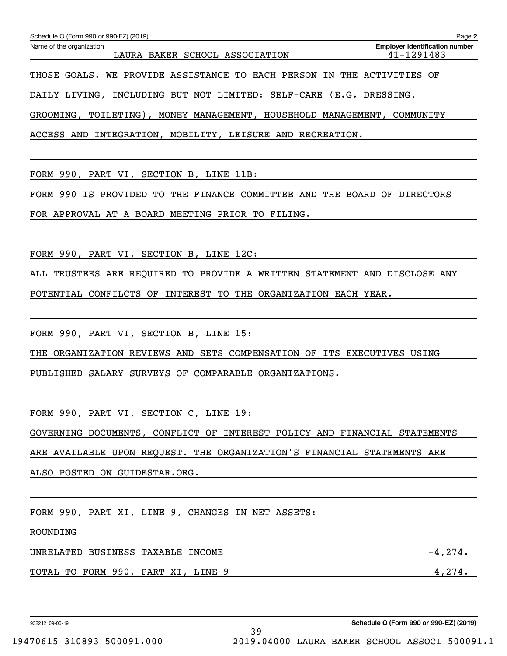| Schedule O (Form 990 or 990-EZ) (2019)                                 |                                                         |  |  |  |  |  |  |  |
|------------------------------------------------------------------------|---------------------------------------------------------|--|--|--|--|--|--|--|
| Name of the organization<br>LAURA BAKER SCHOOL ASSOCIATION             | <b>Employer identification number</b><br>$41 - 1291483$ |  |  |  |  |  |  |  |
| THOSE GOALS. WE PROVIDE ASSISTANCE TO EACH PERSON IN THE ACTIVITIES OF |                                                         |  |  |  |  |  |  |  |

DAILY LIVING, INCLUDING BUT NOT LIMITED: SELF-CARE (E.G. DRESSING,

GROOMING, TOILETING), MONEY MANAGEMENT, HOUSEHOLD MANAGEMENT, COMMUNITY

ACCESS AND INTEGRATION, MOBILITY, LEISURE AND RECREATION.

FORM 990, PART VI, SECTION B, LINE 11B:

FORM 990 IS PROVIDED TO THE FINANCE COMMITTEE AND THE BOARD OF DIRECTORS

FOR APPROVAL AT A BOARD MEETING PRIOR TO FILING.

FORM 990, PART VI, SECTION B, LINE 12C:

ALL TRUSTEES ARE REQUIRED TO PROVIDE A WRITTEN STATEMENT AND DISCLOSE ANY

POTENTIAL CONFILCTS OF INTEREST TO THE ORGANIZATION EACH YEAR.

FORM 990, PART VI, SECTION B, LINE 15:

THE ORGANIZATION REVIEWS AND SETS COMPENSATION OF ITS EXECUTIVES USING

PUBLISHED SALARY SURVEYS OF COMPARABLE ORGANIZATIONS.

FORM 990, PART VI, SECTION C, LINE 19:

GOVERNING DOCUMENTS, CONFLICT OF INTEREST POLICY AND FINANCIAL STATEMENTS

39

ARE AVAILABLE UPON REQUEST. THE ORGANIZATION'S FINANCIAL STATEMENTS ARE

ALSO POSTED ON GUIDESTAR.ORG.

FORM 990, PART XI, LINE 9, CHANGES IN NET ASSETS:

ROUNDING

UNRELATED BUSINESS TAXABLE INCOME  $-4,274$ .

TOTAL TO FORM 990, PART XI, LINE 9  $-4,274$ .

932212 09-06-19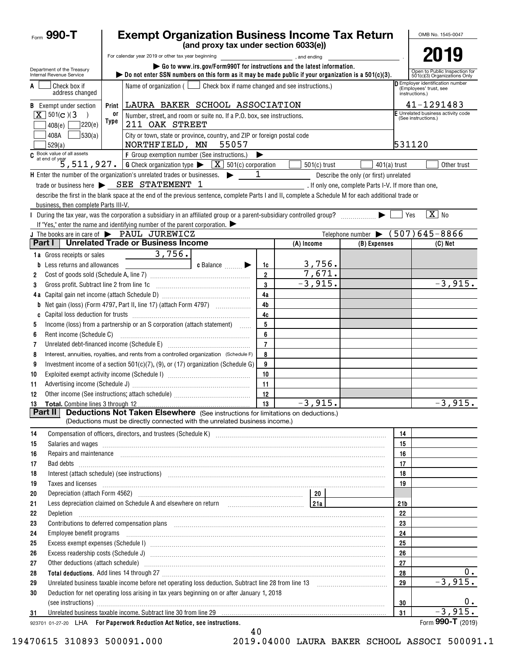| Form 990-T                                                                |       | <b>Exempt Organization Business Income Tax Return</b>                                                                                                                                                                                |                                                                         |                                                                              |                                                               |                                                      |                 |                     | OMB No. 1545-0047                  |
|---------------------------------------------------------------------------|-------|--------------------------------------------------------------------------------------------------------------------------------------------------------------------------------------------------------------------------------------|-------------------------------------------------------------------------|------------------------------------------------------------------------------|---------------------------------------------------------------|------------------------------------------------------|-----------------|---------------------|------------------------------------|
|                                                                           |       |                                                                                                                                                                                                                                      | (and proxy tax under section 6033(e))                                   |                                                                              |                                                               |                                                      |                 |                     | 2019                               |
|                                                                           |       | For calendar year 2019 or other tax year beginning [1,1,200] [1,200] , and ending                                                                                                                                                    | Go to www.irs.gov/Form990T for instructions and the latest information. |                                                                              |                                                               |                                                      |                 |                     |                                    |
| Department of the Treasury<br>Internal Revenue Service                    |       | bo not enter SSN numbers on this form as it may be made public if your organization is a $501(c)(3)$ .                                                                                                                               |                                                                         |                                                                              | Open to Public Inspection for<br>501(c)(3) Organizations Only |                                                      |                 |                     |                                    |
| Check box if<br>A<br>address changed                                      |       | Name of organization ( $\Box$ Check box if name changed and see instructions.)                                                                                                                                                       |                                                                         | D Employer identification number<br>(Employees' trust, see<br>instructions.) |                                                               |                                                      |                 |                     |                                    |
| <b>B</b> Exempt under section                                             | Print | LAURA BAKER SCHOOL ASSOCIATION                                                                                                                                                                                                       |                                                                         |                                                                              |                                                               |                                                      |                 |                     | 41-1291483                         |
| $X \mid 501(c)$ (3)                                                       | 0ľ    | Number, street, and room or suite no. If a P.O. box, see instructions.                                                                                                                                                               |                                                                         |                                                                              |                                                               |                                                      |                 | (See instructions.) | F Unrelated business activity code |
| 220(e)<br>408(e)                                                          | Type  | 211 OAK STREET                                                                                                                                                                                                                       |                                                                         |                                                                              |                                                               |                                                      |                 |                     |                                    |
| 530(a) <br>408A<br>529(a)                                                 |       | City or town, state or province, country, and ZIP or foreign postal code<br>NORTHFIELD, MN                                                                                                                                           |                                                                         | 531120                                                                       |                                                               |                                                      |                 |                     |                                    |
|                                                                           |       |                                                                                                                                                                                                                                      | 55057                                                                   |                                                                              |                                                               |                                                      |                 |                     |                                    |
|                                                                           |       | C Book value of all assets<br>$5, 511, 927$ .<br>G Check organization type $\blacktriangleright$ $\boxed{\text{X}}$ 501(c) corporation                                                                                               |                                                                         |                                                                              | $501(c)$ trust                                                | $401(a)$ trust                                       |                 |                     | Other trust                        |
|                                                                           |       | $\mathsf H$ Enter the number of the organization's unrelated trades or businesses. $\blacktriangleright$                                                                                                                             |                                                                         | 1                                                                            |                                                               | Describe the only (or first) unrelated               |                 |                     |                                    |
|                                                                           |       | trade or business here $\triangleright$ SEE STATEMENT 1                                                                                                                                                                              |                                                                         |                                                                              |                                                               | . If only one, complete Parts I-V. If more than one, |                 |                     |                                    |
|                                                                           |       | describe the first in the blank space at the end of the previous sentence, complete Parts I and II, complete a Schedule M for each additional trade or                                                                               |                                                                         |                                                                              |                                                               |                                                      |                 |                     |                                    |
| business, then complete Parts III-V.                                      |       |                                                                                                                                                                                                                                      |                                                                         |                                                                              |                                                               |                                                      |                 |                     |                                    |
|                                                                           |       | During the tax year, was the corporation a subsidiary in an affiliated group or a parent-subsidiary controlled group?                                                                                                                |                                                                         |                                                                              |                                                               |                                                      |                 | Yes                 | $\boxed{\text{X}}$ No              |
|                                                                           |       | If "Yes," enter the name and identifying number of the parent corporation. $\blacktriangleright$                                                                                                                                     |                                                                         |                                                                              |                                                               |                                                      |                 |                     |                                    |
|                                                                           |       | J The books are in care of $\blacktriangleright$ PAUL JUREWICZ                                                                                                                                                                       |                                                                         |                                                                              |                                                               | Telephone number $\bullet$ (507)645-8866             |                 |                     |                                    |
| Part I                                                                    |       | Unrelated Trade or Business Income                                                                                                                                                                                                   |                                                                         |                                                                              | (A) Income                                                    | (B) Expenses                                         |                 |                     | $(C)$ Net                          |
| 1a Gross receipts or sales                                                |       | 3,756.                                                                                                                                                                                                                               |                                                                         |                                                                              |                                                               |                                                      |                 |                     |                                    |
| <b>b</b> Less returns and allowances                                      |       |                                                                                                                                                                                                                                      | c Balance <b>Division</b>                                               | 1c                                                                           | 3,756.                                                        |                                                      |                 |                     |                                    |
| 2                                                                         |       |                                                                                                                                                                                                                                      |                                                                         | $\overline{2}$                                                               | 7,671.                                                        |                                                      |                 |                     |                                    |
| Gross profit. Subtract line 2 from line 1c<br>3                           |       |                                                                                                                                                                                                                                      |                                                                         | 3                                                                            | $-3,915.$                                                     |                                                      |                 |                     | $-3,915.$                          |
|                                                                           |       |                                                                                                                                                                                                                                      |                                                                         | 4a                                                                           |                                                               |                                                      |                 |                     |                                    |
|                                                                           |       | <b>b</b> Net gain (loss) (Form 4797, Part II, line 17) (attach Form 4797) $\ldots$                                                                                                                                                   |                                                                         | 4 <sub>b</sub>                                                               |                                                               |                                                      |                 |                     |                                    |
| C                                                                         |       |                                                                                                                                                                                                                                      |                                                                         | 4c                                                                           |                                                               |                                                      |                 |                     |                                    |
| 5                                                                         |       | Income (loss) from a partnership or an S corporation (attach statement)                                                                                                                                                              |                                                                         | 5                                                                            |                                                               |                                                      |                 |                     |                                    |
| 6                                                                         |       |                                                                                                                                                                                                                                      |                                                                         | 6                                                                            |                                                               |                                                      |                 |                     |                                    |
| 7                                                                         |       |                                                                                                                                                                                                                                      |                                                                         | $\overline{7}$                                                               |                                                               |                                                      |                 |                     |                                    |
| 8                                                                         |       | Interest, annuities, royalties, and rents from a controlled organization (Schedule F)                                                                                                                                                |                                                                         | 8                                                                            |                                                               |                                                      |                 |                     |                                    |
| 9                                                                         |       | Investment income of a section $501(c)(7)$ , (9), or (17) organization (Schedule G)                                                                                                                                                  |                                                                         | 9                                                                            |                                                               |                                                      |                 |                     |                                    |
| 10                                                                        |       |                                                                                                                                                                                                                                      |                                                                         | 10                                                                           |                                                               |                                                      |                 |                     |                                    |
| 11                                                                        |       |                                                                                                                                                                                                                                      |                                                                         | 11                                                                           |                                                               |                                                      |                 |                     |                                    |
| Other income (See instructions; attach schedule)<br>12                    |       |                                                                                                                                                                                                                                      |                                                                         | 12                                                                           |                                                               |                                                      |                 |                     |                                    |
|                                                                           |       |                                                                                                                                                                                                                                      |                                                                         | 13                                                                           | $-3,915.$                                                     |                                                      |                 |                     | $-3,915.$                          |
| <b>Part II</b>                                                            |       | <b>Deductions Not Taken Elsewhere</b> (See instructions for limitations on deductions.)                                                                                                                                              |                                                                         |                                                                              |                                                               |                                                      |                 |                     |                                    |
|                                                                           |       | (Deductions must be directly connected with the unrelated business income.)                                                                                                                                                          |                                                                         |                                                                              |                                                               |                                                      |                 |                     |                                    |
| 14                                                                        |       | Compensation of officers, directors, and trustees (Schedule K) [11] [2010] Compensation of officers, directors, and trustees (Schedule K) [11] [2010] [2010] [2010] [2010] [2010] [2010] [2010] [2010] [2010] [2010] [2010] [2       |                                                                         |                                                                              |                                                               |                                                      | 14              |                     |                                    |
| 15                                                                        |       |                                                                                                                                                                                                                                      |                                                                         |                                                                              |                                                               |                                                      | 15              |                     |                                    |
| 16                                                                        |       | Repairs and maintenance <i>[1] [1] [1] [1] [1] [1] [1] [1] [1] [1]</i> [1] <b>[1]</b> [1] <b>[1]</b> [1] <b>[1] [1] [1] [1] [1] [1] [1] [1] [1] [1] [1] [1] [1] [1] [1] [1] [1] [1] [1] [1] [1] [1]</b>                              |                                                                         |                                                                              |                                                               |                                                      | 16              |                     |                                    |
| 17                                                                        |       |                                                                                                                                                                                                                                      |                                                                         |                                                                              |                                                               |                                                      | 17              |                     |                                    |
| 18<br>19                                                                  |       | Interest (attach schedule) (see instructions) www.communications.communications are interest (attach schedule)                                                                                                                       |                                                                         |                                                                              |                                                               |                                                      | 18<br>19        |                     |                                    |
| 20                                                                        |       | Taxes and licenses <b>contract the contract of the contract of the contract of the contract of the contract of the contract of the contract of the contract of the contract of the contract of the contract of the contract of t</b> |                                                                         |                                                                              |                                                               |                                                      |                 |                     |                                    |
| 21                                                                        |       | Less depreciation claimed on Schedule A and elsewhere on return [21a]                                                                                                                                                                |                                                                         |                                                                              |                                                               |                                                      | 21 <sub>b</sub> |                     |                                    |
| 22                                                                        |       |                                                                                                                                                                                                                                      |                                                                         |                                                                              |                                                               |                                                      | 22              |                     |                                    |
| 23                                                                        |       | Contributions to deferred compensation plans [11] manufactured contributions to deferred compensation plans [11] manufactured compensation plans [11] manufactured compensation plans [11] manufactured contributions to defer       |                                                                         |                                                                              |                                                               |                                                      | 23              |                     |                                    |
| 24                                                                        |       | Employee benefit programs in the continuum contract of the contract of the contract of the contract of the contract of the contract of the contract of the contract of the contract of the contract of the contract of the con       |                                                                         |                                                                              |                                                               |                                                      | 24              |                     |                                    |
| 25                                                                        |       |                                                                                                                                                                                                                                      |                                                                         |                                                                              |                                                               |                                                      | 25              |                     |                                    |
| 26                                                                        |       |                                                                                                                                                                                                                                      |                                                                         |                                                                              |                                                               |                                                      | 26              |                     |                                    |
| 27                                                                        |       | Other deductions (attach schedule) www.communications.communications.communications.communications.com                                                                                                                               |                                                                         |                                                                              |                                                               |                                                      | 27              |                     |                                    |
| 28                                                                        |       |                                                                                                                                                                                                                                      |                                                                         |                                                                              |                                                               |                                                      | 28              |                     | 0.                                 |
| 29                                                                        |       |                                                                                                                                                                                                                                      |                                                                         |                                                                              |                                                               |                                                      | 29              |                     | $-3,915.$                          |
| 30                                                                        |       | Deduction for net operating loss arising in tax years beginning on or after January 1, 2018                                                                                                                                          |                                                                         |                                                                              |                                                               |                                                      |                 |                     |                                    |
|                                                                           |       |                                                                                                                                                                                                                                      |                                                                         |                                                                              |                                                               |                                                      | 30              |                     | $0$ .                              |
| 31                                                                        |       |                                                                                                                                                                                                                                      |                                                                         |                                                                              |                                                               |                                                      | 31              |                     | $-3,915.$                          |
| 923701 01-27-20 LHA For Paperwork Reduction Act Notice, see instructions. |       |                                                                                                                                                                                                                                      |                                                                         |                                                                              |                                                               |                                                      |                 |                     | Form 990-T (2019)                  |

<sup>40</sup>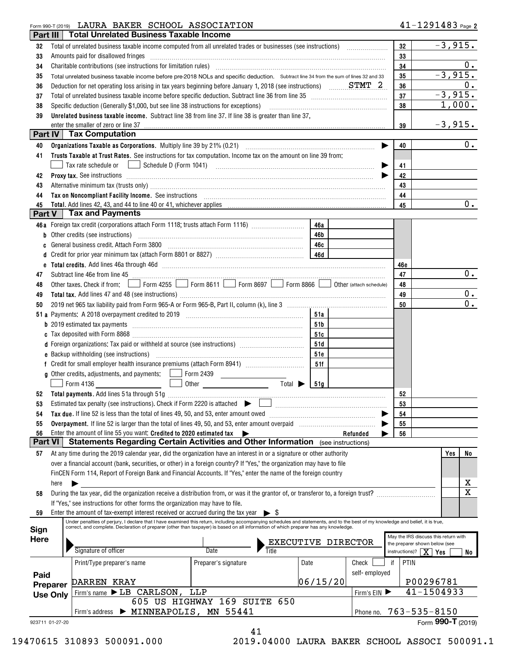## Form 990-T (2019) Page LAURA BAKER SCHOOL ASSOCIATION

| Part III        |                 | <b>Total Unrelated Business Taxable Income</b>                                                                                                                                                                                                                                          |                                                                                                                                                                                                                                      |           |                                                                                                                                                                                                                               |                                     |                                      |
|-----------------|-----------------|-----------------------------------------------------------------------------------------------------------------------------------------------------------------------------------------------------------------------------------------------------------------------------------------|--------------------------------------------------------------------------------------------------------------------------------------------------------------------------------------------------------------------------------------|-----------|-------------------------------------------------------------------------------------------------------------------------------------------------------------------------------------------------------------------------------|-------------------------------------|--------------------------------------|
| 32              |                 |                                                                                                                                                                                                                                                                                         |                                                                                                                                                                                                                                      |           |                                                                                                                                                                                                                               | 32                                  | $-3,915.$                            |
| 33              |                 | Amounts paid for disallowed fringes                                                                                                                                                                                                                                                     | 33                                                                                                                                                                                                                                   |           |                                                                                                                                                                                                                               |                                     |                                      |
| 34              |                 |                                                                                                                                                                                                                                                                                         | 34                                                                                                                                                                                                                                   | 0.        |                                                                                                                                                                                                                               |                                     |                                      |
| 35              |                 | Total unrelated business taxable income before pre-2018 NOLs and specific deduction. Subtract line 34 from the sum of lines 32 and 33                                                                                                                                                   |                                                                                                                                                                                                                                      | 35        | $-3,915.$                                                                                                                                                                                                                     |                                     |                                      |
| 36              |                 |                                                                                                                                                                                                                                                                                         | 36                                                                                                                                                                                                                                   | 0.        |                                                                                                                                                                                                                               |                                     |                                      |
| 37              |                 | Total of unrelated business taxable income before specific deduction. Subtract line 36 from line 35 [11] Total of uncontractual to the state of the state of the state of the state of the state of the state of the state of                                                           | 37                                                                                                                                                                                                                                   | $-3,915.$ |                                                                                                                                                                                                                               |                                     |                                      |
| 38              |                 | Specific deduction (Generally \$1,000, but see line 38 instructions for exceptions)                                                                                                                                                                                                     |                                                                                                                                                                                                                                      |           |                                                                                                                                                                                                                               | 38                                  | 1,000.                               |
| 39              |                 | Unrelated business taxable income. Subtract line 38 from line 37. If line 38 is greater than line 37,                                                                                                                                                                                   |                                                                                                                                                                                                                                      |           |                                                                                                                                                                                                                               |                                     |                                      |
|                 |                 | enter the smaller of zero or line 37                                                                                                                                                                                                                                                    |                                                                                                                                                                                                                                      |           |                                                                                                                                                                                                                               | 39                                  | $-3,915.$                            |
| Part IV         |                 | <b>Tax Computation</b>                                                                                                                                                                                                                                                                  |                                                                                                                                                                                                                                      |           |                                                                                                                                                                                                                               |                                     |                                      |
| 40              |                 |                                                                                                                                                                                                                                                                                         |                                                                                                                                                                                                                                      |           | ▶                                                                                                                                                                                                                             | 40                                  | 0.                                   |
| 41              |                 | Trusts Taxable at Trust Rates. See instructions for tax computation. Income tax on the amount on line 39 from:                                                                                                                                                                          |                                                                                                                                                                                                                                      |           |                                                                                                                                                                                                                               |                                     |                                      |
|                 |                 | Tax rate schedule or <u>Imperior Schedule D</u> (Form 1041) <b>Fig. 10.1 Example 20.2</b> Schedule D (Form 1041)                                                                                                                                                                        |                                                                                                                                                                                                                                      |           | ▶                                                                                                                                                                                                                             | 41                                  |                                      |
| 42              |                 |                                                                                                                                                                                                                                                                                         | 42                                                                                                                                                                                                                                   |           |                                                                                                                                                                                                                               |                                     |                                      |
|                 |                 |                                                                                                                                                                                                                                                                                         | 43                                                                                                                                                                                                                                   |           |                                                                                                                                                                                                                               |                                     |                                      |
| 43<br>44        |                 | Alternative minimum tax (trusts only) manufactured and an according term of the state of the state of the state of the state of the state of the state of the state of the state of the state of the state of the state of the                                                          |                                                                                                                                                                                                                                      |           |                                                                                                                                                                                                                               | 44                                  |                                      |
| 45              |                 | Tax on Noncompliant Facility Income. See instructions [11] Martin Matter and Martin Matter and Moncompliant Facility Income. See instructions [11] Martin Matter and Matter and Matter and Matter and Matter and Matter and Ma                                                          |                                                                                                                                                                                                                                      |           |                                                                                                                                                                                                                               | 45                                  | 0.                                   |
| Part V          |                 | <b>Tax and Payments</b>                                                                                                                                                                                                                                                                 |                                                                                                                                                                                                                                      |           |                                                                                                                                                                                                                               |                                     |                                      |
|                 |                 | 46a Foreign tax credit (corporations attach Form 1118; trusts attach Form 1116) [                                                                                                                                                                                                       |                                                                                                                                                                                                                                      |           |                                                                                                                                                                                                                               |                                     |                                      |
|                 |                 |                                                                                                                                                                                                                                                                                         |                                                                                                                                                                                                                                      | 46a       |                                                                                                                                                                                                                               |                                     |                                      |
| b               |                 | Other credits (see instructions)                                                                                                                                                                                                                                                        |                                                                                                                                                                                                                                      | 46b       |                                                                                                                                                                                                                               |                                     |                                      |
| c               |                 | General business credit. Attach Form 3800 [11] [2010] [2010] [2010] [2010] [2010] [2010] [2010] [2010] [2010] [                                                                                                                                                                         |                                                                                                                                                                                                                                      | 46с       |                                                                                                                                                                                                                               |                                     |                                      |
| d               |                 |                                                                                                                                                                                                                                                                                         |                                                                                                                                                                                                                                      |           |                                                                                                                                                                                                                               |                                     |                                      |
| е               |                 |                                                                                                                                                                                                                                                                                         |                                                                                                                                                                                                                                      |           |                                                                                                                                                                                                                               | 46e                                 | 0.                                   |
| 47              |                 | Subtract line 46e from line 45 <b>manual contract of the 45</b> manual contract line 46e from line 45                                                                                                                                                                                   |                                                                                                                                                                                                                                      |           |                                                                                                                                                                                                                               | 47                                  |                                      |
| 48              |                 | Other taxes. Check if from: Form 4255 Form 8611 Form 8697 Form 8866 OD Other (attach schedule)                                                                                                                                                                                          | 48                                                                                                                                                                                                                                   |           |                                                                                                                                                                                                                               |                                     |                                      |
| 49              |                 |                                                                                                                                                                                                                                                                                         |                                                                                                                                                                                                                                      |           |                                                                                                                                                                                                                               | 49                                  | 0.<br>0.                             |
| 50              |                 |                                                                                                                                                                                                                                                                                         |                                                                                                                                                                                                                                      |           |                                                                                                                                                                                                                               | 50                                  |                                      |
|                 |                 |                                                                                                                                                                                                                                                                                         |                                                                                                                                                                                                                                      | 51a       |                                                                                                                                                                                                                               |                                     |                                      |
|                 |                 |                                                                                                                                                                                                                                                                                         |                                                                                                                                                                                                                                      | 51 b      |                                                                                                                                                                                                                               |                                     |                                      |
|                 |                 |                                                                                                                                                                                                                                                                                         |                                                                                                                                                                                                                                      | 51c       |                                                                                                                                                                                                                               |                                     |                                      |
|                 |                 | d Foreign organizations: Tax paid or withheld at source (see instructions) [                                                                                                                                                                                                            |                                                                                                                                                                                                                                      | 51d       |                                                                                                                                                                                                                               |                                     |                                      |
|                 |                 |                                                                                                                                                                                                                                                                                         |                                                                                                                                                                                                                                      | 51e       |                                                                                                                                                                                                                               |                                     |                                      |
|                 |                 |                                                                                                                                                                                                                                                                                         |                                                                                                                                                                                                                                      | 51f       |                                                                                                                                                                                                                               |                                     |                                      |
|                 |                 | <b>g</b> Other credits, adjustments, and payments: Form 2439                                                                                                                                                                                                                            | <u> The Community of the Community of the Community of the Community of the Community of the Community of the Community of the Community of the Community of the Community of the Community of the Community of the Community of</u> |           |                                                                                                                                                                                                                               |                                     |                                      |
|                 |                 | Form 4136                                                                                                                                                                                                                                                                               | Total $\blacktriangleright$<br>$\Box$ Other                                                                                                                                                                                          | 51g       |                                                                                                                                                                                                                               |                                     |                                      |
| 52              |                 |                                                                                                                                                                                                                                                                                         |                                                                                                                                                                                                                                      |           |                                                                                                                                                                                                                               | 52                                  |                                      |
| 53              |                 | Estimated tax penalty (see instructions). Check if Form 2220 is attached $\blacktriangleright$                                                                                                                                                                                          |                                                                                                                                                                                                                                      |           |                                                                                                                                                                                                                               | 53                                  |                                      |
| 54              |                 | Tax due. If line 52 is less than the total of lines 49, 50, and 53, enter amount owed                                                                                                                                                                                                   |                                                                                                                                                                                                                                      |           |                                                                                                                                                                                                                               | 54                                  |                                      |
| 55              |                 | Overpayment. If line 52 is larger than the total of lines 49, 50, and 53, enter amount overpaid                                                                                                                                                                                         |                                                                                                                                                                                                                                      |           | and a construction of the construction of the construction of the construction of the construction of the construction of the construction of the construction of the construction of the construction of the construction of | 55                                  |                                      |
| 56              |                 | Enter the amount of line 55 you want: Credited to 2020 estimated tax                                                                                                                                                                                                                    |                                                                                                                                                                                                                                      |           | Refunded                                                                                                                                                                                                                      | 56                                  |                                      |
| <b>Part VI</b>  |                 | <b>Statements Regarding Certain Activities and Other Information</b> (see instructions)                                                                                                                                                                                                 |                                                                                                                                                                                                                                      |           |                                                                                                                                                                                                                               |                                     |                                      |
| 57              |                 | At any time during the 2019 calendar year, did the organization have an interest in or a signature or other authority                                                                                                                                                                   |                                                                                                                                                                                                                                      |           |                                                                                                                                                                                                                               |                                     | Yes<br>No                            |
|                 |                 | over a financial account (bank, securities, or other) in a foreign country? If "Yes," the organization may have to file                                                                                                                                                                 |                                                                                                                                                                                                                                      |           |                                                                                                                                                                                                                               |                                     |                                      |
|                 |                 | FinCEN Form 114, Report of Foreign Bank and Financial Accounts. If "Yes," enter the name of the foreign country                                                                                                                                                                         |                                                                                                                                                                                                                                      |           |                                                                                                                                                                                                                               |                                     |                                      |
|                 | here            |                                                                                                                                                                                                                                                                                         |                                                                                                                                                                                                                                      |           |                                                                                                                                                                                                                               |                                     | х                                    |
| 58              |                 | During the tax year, did the organization receive a distribution from, or was it the grantor of, or transferor to, a foreign trust?                                                                                                                                                     |                                                                                                                                                                                                                                      |           |                                                                                                                                                                                                                               |                                     | $\overline{\textbf{X}}$              |
|                 |                 | If "Yes," see instructions for other forms the organization may have to file.                                                                                                                                                                                                           |                                                                                                                                                                                                                                      |           |                                                                                                                                                                                                                               |                                     |                                      |
| 59              |                 | Enter the amount of tax-exempt interest received or accrued during the tax year $\triangleright$ \$<br>Under penalties of perjury, I declare that I have examined this return, including accompanying schedules and statements, and to the best of my knowledge and belief, it is true, |                                                                                                                                                                                                                                      |           |                                                                                                                                                                                                                               |                                     |                                      |
| Sign            |                 | correct, and complete. Declaration of preparer (other than taxpayer) is based on all information of which preparer has any knowledge.                                                                                                                                                   |                                                                                                                                                                                                                                      |           |                                                                                                                                                                                                                               |                                     |                                      |
| <b>Here</b>     |                 |                                                                                                                                                                                                                                                                                         |                                                                                                                                                                                                                                      |           |                                                                                                                                                                                                                               |                                     | May the IRS discuss this return with |
|                 |                 | Signature of officer                                                                                                                                                                                                                                                                    | Date<br>Title                                                                                                                                                                                                                        |           | EXECUTIVE DIRECTOR                                                                                                                                                                                                            |                                     | the preparer shown below (see        |
|                 |                 |                                                                                                                                                                                                                                                                                         |                                                                                                                                                                                                                                      |           |                                                                                                                                                                                                                               | instructions)? $\vert$ $\mathbf{X}$ | Yes<br>No                            |
|                 |                 | Print/Type preparer's name                                                                                                                                                                                                                                                              | Preparer's signature                                                                                                                                                                                                                 | Date      | Check                                                                                                                                                                                                                         | if<br>PTIN                          |                                      |
| Paid            |                 |                                                                                                                                                                                                                                                                                         |                                                                                                                                                                                                                                      |           | self-employed                                                                                                                                                                                                                 |                                     |                                      |
|                 | Preparer        | DARREN KRAY                                                                                                                                                                                                                                                                             |                                                                                                                                                                                                                                      | 06/15/20  |                                                                                                                                                                                                                               |                                     | P00296781                            |
|                 | <b>Use Only</b> | Firm's name > LB CARLSON, LLP                                                                                                                                                                                                                                                           |                                                                                                                                                                                                                                      |           | Firm's EIN                                                                                                                                                                                                                    |                                     | 41-1504933                           |
|                 |                 |                                                                                                                                                                                                                                                                                         | 605 US HIGHWAY 169 SUITE 650                                                                                                                                                                                                         |           |                                                                                                                                                                                                                               |                                     |                                      |
|                 |                 | > MINNEAPOLIS, MN 55441<br>Firm's address                                                                                                                                                                                                                                               |                                                                                                                                                                                                                                      |           | Phone no.                                                                                                                                                                                                                     |                                     | $763 - 535 - 8150$                   |
| 923711 01-27-20 |                 |                                                                                                                                                                                                                                                                                         |                                                                                                                                                                                                                                      |           |                                                                                                                                                                                                                               |                                     | Form 990-T (2019)                    |
|                 |                 |                                                                                                                                                                                                                                                                                         | 41                                                                                                                                                                                                                                   |           |                                                                                                                                                                                                                               |                                     |                                      |

19470615 310893 500091.000 2019.04000 LAURA BAKER SCHOOL ASSOCI 500091.1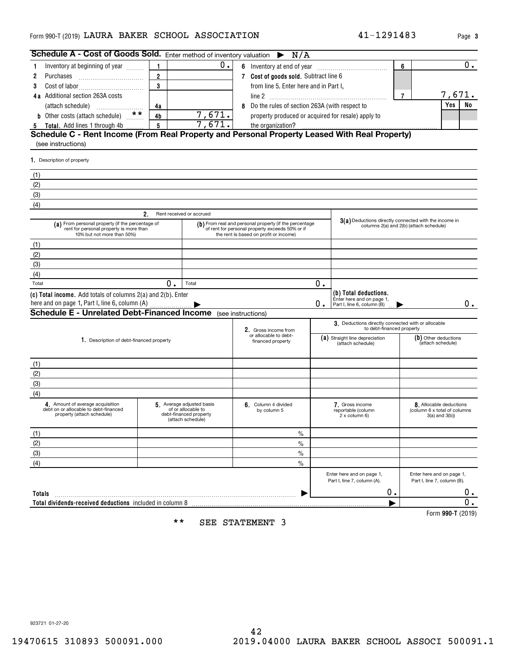| Schedule A - Cost of Goods Sold. Enter method of inventory valuation                                                      |                 |                                                                                               | $\triangleright$ N/A                                                                                                                                |                                                     |                                                                                  |                      |                                                                               |
|---------------------------------------------------------------------------------------------------------------------------|-----------------|-----------------------------------------------------------------------------------------------|-----------------------------------------------------------------------------------------------------------------------------------------------------|-----------------------------------------------------|----------------------------------------------------------------------------------|----------------------|-------------------------------------------------------------------------------|
| Inventory at beginning of year<br>1                                                                                       | 1.              | 0.                                                                                            |                                                                                                                                                     |                                                     |                                                                                  | 6                    | 0.                                                                            |
| Purchases<br>2                                                                                                            | $\overline{2}$  |                                                                                               | 7 Cost of goods sold. Subtract line 6                                                                                                               |                                                     |                                                                                  |                      |                                                                               |
| 3                                                                                                                         | 3               |                                                                                               | from line 5. Enter here and in Part I,                                                                                                              |                                                     |                                                                                  |                      |                                                                               |
| 4a Additional section 263A costs                                                                                          |                 |                                                                                               | $\overline{7}$                                                                                                                                      | 7,671.                                              |                                                                                  |                      |                                                                               |
| (attach schedule)                                                                                                         | 4a              |                                                                                               | 8 Do the rules of section 263A (with respect to                                                                                                     |                                                     | <b>Yes</b><br>No                                                                 |                      |                                                                               |
| b Other costs (attach schedule) **                                                                                        | 4b              | 7,671.                                                                                        | property produced or acquired for resale) apply to                                                                                                  |                                                     |                                                                                  |                      |                                                                               |
| Total. Add lines 1 through 4b<br>5                                                                                        | $5\phantom{.0}$ | 7,671.                                                                                        | the organization?                                                                                                                                   |                                                     |                                                                                  |                      |                                                                               |
| Schedule C - Rent Income (From Real Property and Personal Property Leased With Real Property)                             |                 |                                                                                               |                                                                                                                                                     |                                                     |                                                                                  |                      |                                                                               |
| (see instructions)                                                                                                        |                 |                                                                                               |                                                                                                                                                     |                                                     |                                                                                  |                      |                                                                               |
| 1. Description of property                                                                                                |                 |                                                                                               |                                                                                                                                                     |                                                     |                                                                                  |                      |                                                                               |
| (1)                                                                                                                       |                 |                                                                                               |                                                                                                                                                     |                                                     |                                                                                  |                      |                                                                               |
| (2)                                                                                                                       |                 |                                                                                               |                                                                                                                                                     |                                                     |                                                                                  |                      |                                                                               |
| (3)                                                                                                                       |                 |                                                                                               |                                                                                                                                                     |                                                     |                                                                                  |                      |                                                                               |
| (4)                                                                                                                       |                 |                                                                                               |                                                                                                                                                     |                                                     |                                                                                  |                      |                                                                               |
|                                                                                                                           | 2 <sub>1</sub>  | Rent received or accrued                                                                      |                                                                                                                                                     |                                                     | 3(a) Deductions directly connected with the income in                            |                      |                                                                               |
| (a) From personal property (if the percentage of<br>rent for personal property is more than<br>10% but not more than 50%) |                 |                                                                                               | (b) From real and personal property (if the percentage<br>of rent for personal property exceeds 50% or if<br>the rent is based on profit or income) |                                                     | columns 2(a) and 2(b) (attach schedule)                                          |                      |                                                                               |
| (1)                                                                                                                       |                 |                                                                                               |                                                                                                                                                     |                                                     |                                                                                  |                      |                                                                               |
| (2)                                                                                                                       |                 |                                                                                               |                                                                                                                                                     |                                                     |                                                                                  |                      |                                                                               |
| (3)                                                                                                                       |                 |                                                                                               |                                                                                                                                                     |                                                     |                                                                                  |                      |                                                                               |
| (4)                                                                                                                       |                 |                                                                                               |                                                                                                                                                     |                                                     |                                                                                  |                      |                                                                               |
| Total                                                                                                                     | 0.              | Total                                                                                         |                                                                                                                                                     | 0.                                                  |                                                                                  |                      |                                                                               |
| (c) Total income. Add totals of columns 2(a) and 2(b). Enter<br>here and on page 1, Part I, line 6, column (A)            |                 |                                                                                               |                                                                                                                                                     | 0.                                                  | (b) Total deductions.<br>Enter here and on page 1,<br>Part I, line 6, column (B) |                      | 0.                                                                            |
| <b>Schedule E - Unrelated Debt-Financed Income</b> (see instructions)                                                     |                 |                                                                                               |                                                                                                                                                     |                                                     |                                                                                  |                      |                                                                               |
|                                                                                                                           |                 |                                                                                               | 2. Gross income from                                                                                                                                |                                                     | 3. Deductions directly connected with or allocable<br>to debt-financed property  |                      |                                                                               |
| 1. Description of debt-financed property                                                                                  |                 |                                                                                               | or allocable to debt-                                                                                                                               | (a) Straight line depreciation<br>(attach schedule) |                                                                                  | (b) Other deductions |                                                                               |
|                                                                                                                           |                 |                                                                                               | financed property                                                                                                                                   |                                                     |                                                                                  |                      | (attach schedule)                                                             |
|                                                                                                                           |                 |                                                                                               |                                                                                                                                                     |                                                     |                                                                                  |                      |                                                                               |
| (1)                                                                                                                       |                 |                                                                                               |                                                                                                                                                     |                                                     |                                                                                  |                      |                                                                               |
| (2)                                                                                                                       |                 |                                                                                               |                                                                                                                                                     |                                                     |                                                                                  |                      |                                                                               |
| (3)                                                                                                                       |                 |                                                                                               |                                                                                                                                                     |                                                     |                                                                                  |                      |                                                                               |
| (4)                                                                                                                       |                 |                                                                                               |                                                                                                                                                     |                                                     |                                                                                  |                      |                                                                               |
| 4. Amount of average acquisition<br>debt on or allocable to debt-financed<br>property (attach schedule)                   |                 | 5 Average adjusted basis<br>of or allocable to<br>debt-financed property<br>(attach schedule) | 6. Column 4 divided<br>by column 5                                                                                                                  |                                                     | 7. Gross income<br>reportable (column<br>2 x column 6)                           |                      | 8. Allocable deductions<br>(column 6 x total of columns)<br>$3(a)$ and $3(b)$ |
| (1)                                                                                                                       |                 |                                                                                               | $\frac{0}{0}$                                                                                                                                       |                                                     |                                                                                  |                      |                                                                               |
| (2)                                                                                                                       |                 |                                                                                               | $\%$                                                                                                                                                |                                                     |                                                                                  |                      |                                                                               |
| (3)                                                                                                                       |                 |                                                                                               | $\frac{0}{0}$                                                                                                                                       |                                                     |                                                                                  |                      |                                                                               |
| (4)                                                                                                                       |                 |                                                                                               | $\frac{0}{0}$                                                                                                                                       |                                                     |                                                                                  |                      |                                                                               |
|                                                                                                                           |                 |                                                                                               |                                                                                                                                                     |                                                     | Enter here and on page 1,<br>Part I, line 7, column (A).                         |                      | Enter here and on page 1,<br>Part I, line 7, column (B).                      |
| <b>Totals</b>                                                                                                             |                 |                                                                                               |                                                                                                                                                     |                                                     | 0.                                                                               |                      | 0.                                                                            |
| Total dividends-received deductions included in column 8                                                                  |                 |                                                                                               |                                                                                                                                                     |                                                     |                                                                                  |                      | 0.                                                                            |
|                                                                                                                           |                 |                                                                                               |                                                                                                                                                     |                                                     |                                                                                  |                      | Form 990-T (2019)                                                             |

\*\* SEE STATEMENT 3

923721 01-27-20

**3**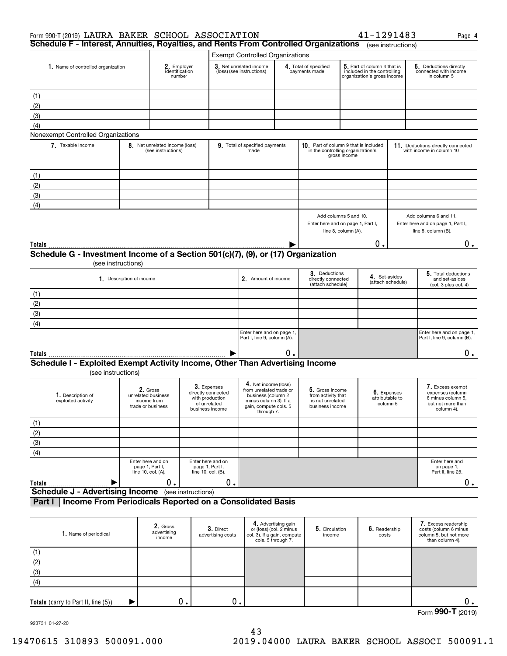| Form 990-T (2019) LAURA BAKER SCHOOL ASSOCIATION                                                   |                          |                                                                    |                                                                                         |                                                                                                                                       |                                                                                                  |                                                                              |                     | 41-1291483                                                                                |                                                               | Page 4                                                                                       |
|----------------------------------------------------------------------------------------------------|--------------------------|--------------------------------------------------------------------|-----------------------------------------------------------------------------------------|---------------------------------------------------------------------------------------------------------------------------------------|--------------------------------------------------------------------------------------------------|------------------------------------------------------------------------------|---------------------|-------------------------------------------------------------------------------------------|---------------------------------------------------------------|----------------------------------------------------------------------------------------------|
| Schedule F - Interest, Annuities, Royalties, and Rents From Controlled Organizations               |                          |                                                                    |                                                                                         |                                                                                                                                       |                                                                                                  |                                                                              |                     |                                                                                           | (see instructions)                                            |                                                                                              |
|                                                                                                    |                          |                                                                    |                                                                                         | <b>Exempt Controlled Organizations</b>                                                                                                |                                                                                                  |                                                                              |                     |                                                                                           |                                                               |                                                                                              |
| 1. Name of controlled organization                                                                 |                          | 2. Employer<br>identification<br>number                            |                                                                                         | 3. Net unrelated income<br>(loss) (see instructions)                                                                                  |                                                                                                  | 4. Total of specified<br>payments made                                       |                     | 5. Part of column 4 that is<br>included in the controlling<br>organization's gross income |                                                               | 6. Deductions directly<br>connected with income<br>in column 5                               |
| (1)                                                                                                |                          |                                                                    |                                                                                         |                                                                                                                                       |                                                                                                  |                                                                              |                     |                                                                                           |                                                               |                                                                                              |
| (2)                                                                                                |                          |                                                                    |                                                                                         |                                                                                                                                       |                                                                                                  |                                                                              |                     |                                                                                           |                                                               |                                                                                              |
| (3)                                                                                                |                          |                                                                    |                                                                                         |                                                                                                                                       |                                                                                                  |                                                                              |                     |                                                                                           |                                                               |                                                                                              |
| (4)                                                                                                |                          |                                                                    |                                                                                         |                                                                                                                                       |                                                                                                  |                                                                              |                     |                                                                                           |                                                               |                                                                                              |
| Nonexempt Controlled Organizations                                                                 |                          |                                                                    |                                                                                         |                                                                                                                                       |                                                                                                  |                                                                              |                     |                                                                                           |                                                               |                                                                                              |
| 7. Taxable Income                                                                                  |                          | 8. Net unrelated income (loss)<br>(see instructions)               |                                                                                         | 9. Total of specified payments<br>made                                                                                                |                                                                                                  | 10. Part of column 9 that is included<br>in the controlling organization's   | gross income        |                                                                                           |                                                               | 11. Deductions directly connected<br>with income in column 10                                |
| (1)                                                                                                |                          |                                                                    |                                                                                         |                                                                                                                                       |                                                                                                  |                                                                              |                     |                                                                                           |                                                               |                                                                                              |
| (2)                                                                                                |                          |                                                                    |                                                                                         |                                                                                                                                       |                                                                                                  |                                                                              |                     |                                                                                           |                                                               |                                                                                              |
| (3)                                                                                                |                          |                                                                    |                                                                                         |                                                                                                                                       |                                                                                                  |                                                                              |                     |                                                                                           |                                                               |                                                                                              |
| (4)                                                                                                |                          |                                                                    |                                                                                         |                                                                                                                                       |                                                                                                  |                                                                              |                     |                                                                                           |                                                               |                                                                                              |
|                                                                                                    |                          |                                                                    |                                                                                         |                                                                                                                                       |                                                                                                  | Add columns 5 and 10.<br>Enter here and on page 1, Part I,                   | line 8, column (A). |                                                                                           |                                                               | Add columns 6 and 11.<br>Enter here and on page 1, Part I,<br>line 8, column (B).            |
| Totals                                                                                             |                          |                                                                    |                                                                                         |                                                                                                                                       |                                                                                                  |                                                                              |                     | 0.                                                                                        |                                                               | 0.                                                                                           |
| Schedule G - Investment Income of a Section 501(c)(7), (9), or (17) Organization                   | (see instructions)       |                                                                    |                                                                                         |                                                                                                                                       |                                                                                                  |                                                                              |                     |                                                                                           |                                                               |                                                                                              |
|                                                                                                    | 1. Description of income |                                                                    |                                                                                         |                                                                                                                                       | 3. Deductions<br>4. Set-asides<br>2. Amount of income<br>directly connected<br>(attach schedule) |                                                                              |                     | (attach schedule)                                                                         | 5. Total deductions<br>and set-asides<br>(col. 3 plus col. 4) |                                                                                              |
| (1)                                                                                                |                          |                                                                    |                                                                                         |                                                                                                                                       |                                                                                                  |                                                                              |                     |                                                                                           |                                                               |                                                                                              |
| $\frac{(2)}{(3)}$                                                                                  |                          |                                                                    |                                                                                         |                                                                                                                                       |                                                                                                  |                                                                              |                     |                                                                                           |                                                               |                                                                                              |
|                                                                                                    |                          |                                                                    |                                                                                         |                                                                                                                                       |                                                                                                  |                                                                              |                     |                                                                                           |                                                               |                                                                                              |
| $\overline{(4)}$                                                                                   |                          |                                                                    |                                                                                         |                                                                                                                                       |                                                                                                  |                                                                              |                     |                                                                                           |                                                               |                                                                                              |
|                                                                                                    |                          |                                                                    |                                                                                         | Enter here and on page 1,<br>Part I, line 9, column (A).                                                                              |                                                                                                  |                                                                              |                     |                                                                                           |                                                               | Enter here and on page 1,<br>Part I, line 9, column (B).                                     |
| Totals                                                                                             |                          |                                                                    |                                                                                         |                                                                                                                                       | 0.                                                                                               |                                                                              |                     |                                                                                           |                                                               | $0$ .                                                                                        |
| Schedule I - Exploited Exempt Activity Income, Other Than Advertising Income<br>(see instructions) |                          |                                                                    |                                                                                         |                                                                                                                                       |                                                                                                  |                                                                              |                     |                                                                                           |                                                               |                                                                                              |
| 1. Description of<br>exploited activity                                                            |                          | 2. Gross<br>unrelated business<br>income from<br>trade or business | 3. Expenses<br>directly connected<br>with production<br>of unrelated<br>business income | 4. Net income (loss)<br>from unrelated trade or<br>business (column 2<br>minus column 3). If a<br>gain, compute cols. 5<br>through 7. |                                                                                                  | 5. Gross income<br>from activity that<br>is not unrelated<br>business income |                     |                                                                                           | 6. Expenses<br>attributable to<br>column 5                    | 7. Excess exempt<br>expenses (column<br>6 minus column 5,<br>but not more than<br>column 4). |
|                                                                                                    |                          |                                                                    |                                                                                         |                                                                                                                                       |                                                                                                  |                                                                              |                     |                                                                                           |                                                               |                                                                                              |
| $\frac{(1)}{(2)}$<br>$\frac{(3)}{(4)}$                                                             |                          |                                                                    |                                                                                         |                                                                                                                                       |                                                                                                  |                                                                              |                     |                                                                                           |                                                               |                                                                                              |
|                                                                                                    |                          |                                                                    |                                                                                         |                                                                                                                                       |                                                                                                  |                                                                              |                     |                                                                                           |                                                               |                                                                                              |
|                                                                                                    |                          |                                                                    |                                                                                         |                                                                                                                                       |                                                                                                  |                                                                              |                     |                                                                                           |                                                               |                                                                                              |
|                                                                                                    |                          | Enter here and on<br>page 1, Part I,<br>line 10, col. (A).         | Enter here and on<br>page 1, Part I,<br>line 10, col. (B).                              |                                                                                                                                       |                                                                                                  |                                                                              |                     |                                                                                           |                                                               | Enter here and<br>on page 1,<br>Part II, line 25.                                            |
| Totals<br><b>Schedule J - Advertising Income</b> (see instructions)                                |                          | 0.                                                                 | 0.                                                                                      |                                                                                                                                       |                                                                                                  |                                                                              |                     |                                                                                           |                                                               | $0$ .                                                                                        |
| Income From Periodicals Reported on a Consolidated Basis<br>Part I                                 |                          |                                                                    |                                                                                         |                                                                                                                                       |                                                                                                  |                                                                              |                     |                                                                                           |                                                               |                                                                                              |
|                                                                                                    |                          |                                                                    |                                                                                         |                                                                                                                                       |                                                                                                  |                                                                              |                     |                                                                                           |                                                               |                                                                                              |
| 1. Name of periodical                                                                              |                          | 2. Gross<br>advertising<br>income                                  | 3. Direct<br>advertising costs                                                          | col. 3). If a gain, compute                                                                                                           | 4. Advertising gain<br>or (loss) (col. 2 minus<br>cols. 5 through 7.                             | 5. Circulation<br>income                                                     |                     | 6. Readership<br>costs                                                                    |                                                               | 7. Excess readership<br>costs (column 6 minus<br>column 5, but not more<br>than column 4).   |
| $\frac{(1)}{(2)}$<br>$\frac{(2)}{(3)}$                                                             |                          |                                                                    |                                                                                         |                                                                                                                                       |                                                                                                  |                                                                              |                     |                                                                                           |                                                               |                                                                                              |
|                                                                                                    |                          |                                                                    |                                                                                         |                                                                                                                                       |                                                                                                  |                                                                              |                     |                                                                                           |                                                               |                                                                                              |
|                                                                                                    |                          |                                                                    |                                                                                         |                                                                                                                                       |                                                                                                  |                                                                              |                     |                                                                                           |                                                               |                                                                                              |
| $\overline{(4)}$                                                                                   |                          |                                                                    |                                                                                         |                                                                                                                                       |                                                                                                  |                                                                              |                     |                                                                                           |                                                               |                                                                                              |

923731 01-27-20

 $\blacktriangleright$ 

**Totals** (carry to Part II, line (5))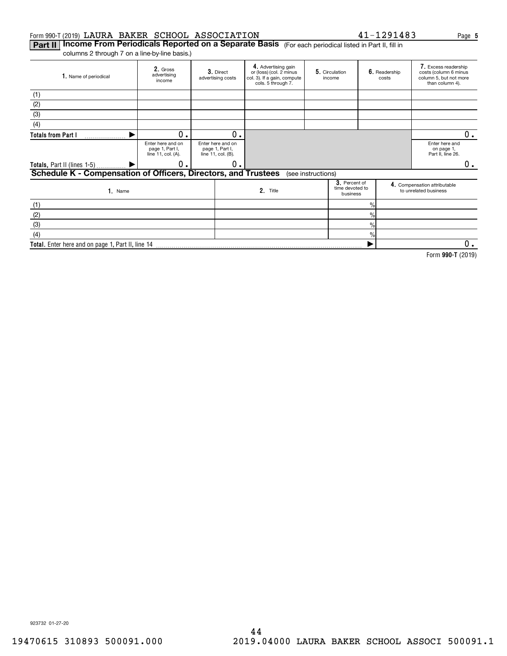### Form 990-T (2019)  ${\tt LAURA~BAKER}$   ${\tt SCHOOL~ASSOCIATION}$   ${\tt A1-1291483}$  Page

**Part II | Income From Periodicals Reported on a Separate Basis** (For each periodical listed in Part II, fill in columns 2 through 7 on a line-by-line basis.)

**Total.**  Enter here and on page 1, Part II, line 14

| 1. Name of periodical                                          | 2. Gross<br>advertising<br>income                          | 3. Direct<br>advertising costs                             | 4. Advertising gain<br>or (loss) (col. 2 minus<br>col. 3). If a gain, compute<br>cols. 5 through 7. |                    | 5. Circulation<br>income                     |                | 6. Readership<br>costs                            | 7. Excess readership<br>costs (column 6 minus<br>column 5, but not more<br>than column 4). |
|----------------------------------------------------------------|------------------------------------------------------------|------------------------------------------------------------|-----------------------------------------------------------------------------------------------------|--------------------|----------------------------------------------|----------------|---------------------------------------------------|--------------------------------------------------------------------------------------------|
| (1)                                                            |                                                            |                                                            |                                                                                                     |                    |                                              |                |                                                   |                                                                                            |
| (2)                                                            |                                                            |                                                            |                                                                                                     |                    |                                              |                |                                                   |                                                                                            |
| (3)                                                            |                                                            |                                                            |                                                                                                     |                    |                                              |                |                                                   |                                                                                            |
| (4)                                                            |                                                            |                                                            |                                                                                                     |                    |                                              |                |                                                   |                                                                                            |
| <b>Totals from Part I</b><br>.                                 | 0                                                          | 0.                                                         |                                                                                                     |                    |                                              |                |                                                   | 0.                                                                                         |
|                                                                | Enter here and on<br>page 1, Part I,<br>line 11, col. (A). | Enter here and on<br>page 1, Part I,<br>line 11, col. (B). |                                                                                                     |                    |                                              |                | Enter here and<br>on page 1,<br>Part II, line 26. |                                                                                            |
| Totals, Part II (lines 1-5)  ▶                                 | 0.                                                         | о.                                                         |                                                                                                     |                    |                                              |                |                                                   | 0.                                                                                         |
| Schedule K - Compensation of Officers, Directors, and Trustees |                                                            |                                                            |                                                                                                     | (see instructions) |                                              |                |                                                   |                                                                                            |
| $1.$ Name                                                      |                                                            |                                                            | 2. Title                                                                                            |                    | 3. Percent of<br>time devoted to<br>business |                |                                                   | 4. Compensation attributable<br>to unrelated business                                      |
| (1)                                                            |                                                            |                                                            |                                                                                                     |                    |                                              | $\frac{9}{10}$ |                                                   |                                                                                            |
| (2)                                                            |                                                            |                                                            |                                                                                                     |                    |                                              | $\frac{9}{6}$  |                                                   |                                                                                            |
| (3)                                                            |                                                            |                                                            |                                                                                                     |                    |                                              | $\%$           |                                                   |                                                                                            |
| (4)                                                            |                                                            |                                                            |                                                                                                     |                    |                                              | $\%$           |                                                   |                                                                                            |

**990-T**  Form (2019)  $\blacktriangleright$  $0$  .

923732 01-27-20